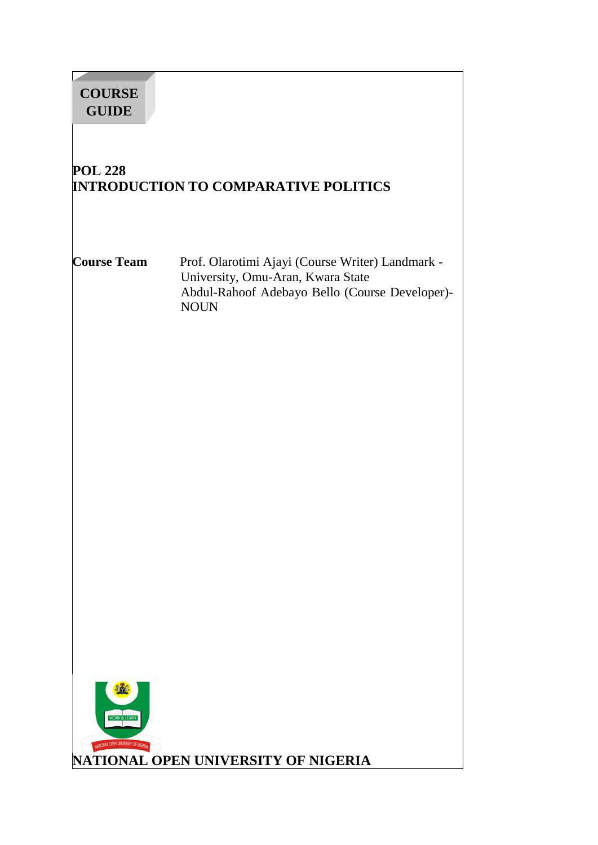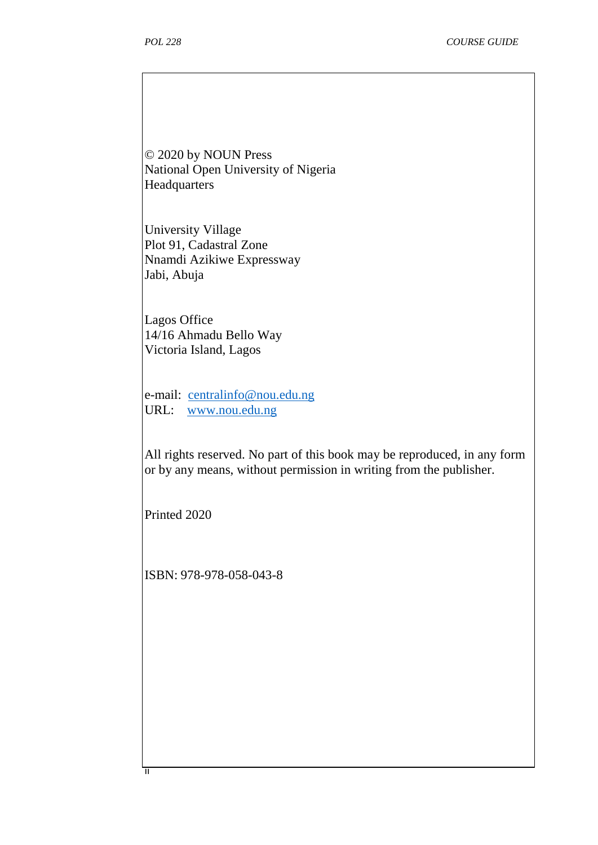© 2020 by NOUN Press National Open University of Nigeria **Headquarters** 

University Village Plot 91, Cadastral Zone Nnamdi Azikiwe Expressway Jabi, Abuja

Lagos Office 14/16 Ahmadu Bello Way Victoria Island, Lagos

e-mail: centralinfo@nou.edu.ng URL: www.nou.edu.ng

All rights reserved. No part of this book may be reproduced, in any form or by any means, without permission in writing from the publisher.

Printed 2020

ii

ISBN: 978-978-058-043-8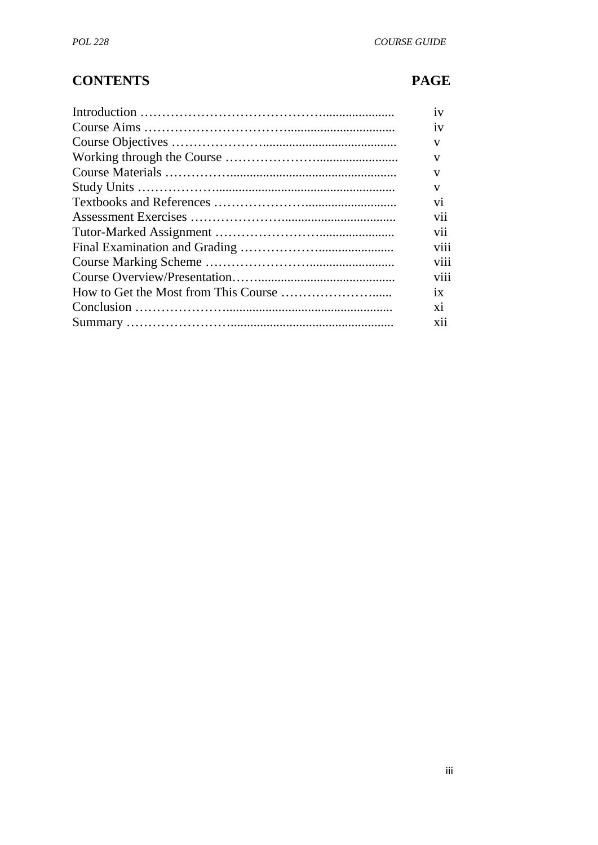# **CONTENTS PAGE**

| 1V             |
|----------------|
| 1V             |
| V              |
| V              |
| v              |
| v              |
| V <sub>1</sub> |
| V11            |
| V11            |
| V111           |
| V111           |
| viii           |
| 1X             |
| X1             |
| <b>X11</b>     |
|                |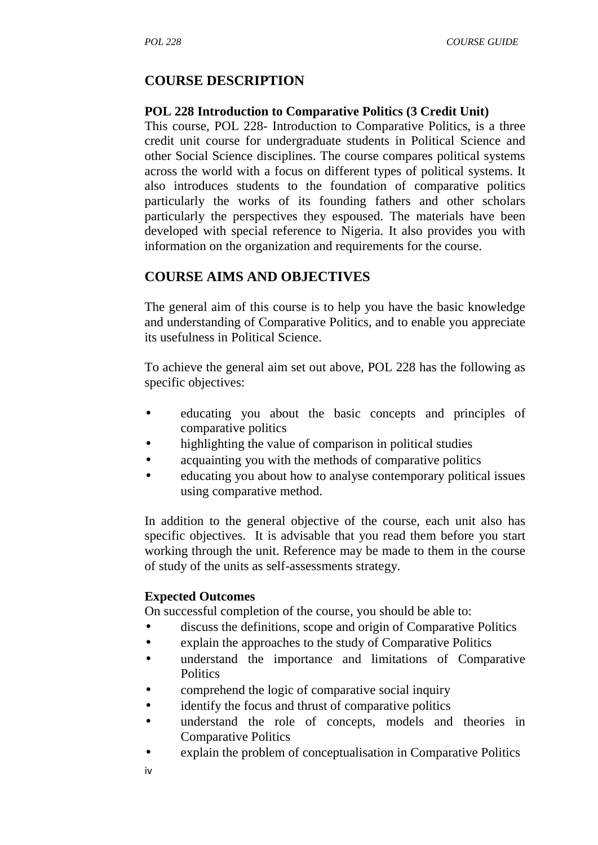## **COURSE DESCRIPTION**

#### **POL 228 Introduction to Comparative Politics (3 Credit Unit)**

This course, POL 228- Introduction to Comparative Politics, is a three credit unit course for undergraduate students in Political Science and other Social Science disciplines. The course compares political systems across the world with a focus on different types of political systems. It also introduces students to the foundation of comparative politics particularly the works of its founding fathers and other scholars particularly the perspectives they espoused. The materials have been developed with special reference to Nigeria. It also provides you with information on the organization and requirements for the course.

## **COURSE AIMS AND OBJECTIVES**

The general aim of this course is to help you have the basic knowledge and understanding of Comparative Politics, and to enable you appreciate its usefulness in Political Science.

To achieve the general aim set out above, POL 228 has the following as specific objectives:

- educating you about the basic concepts and principles of comparative politics
- highlighting the value of comparison in political studies
- acquainting you with the methods of comparative politics
- educating you about how to analyse contemporary political issues using comparative method.

In addition to the general objective of the course, each unit also has specific objectives. It is advisable that you read them before you start working through the unit. Reference may be made to them in the course of study of the units as self-assessments strategy.

#### **Expected Outcomes**

On successful completion of the course, you should be able to:

- discuss the definitions, scope and origin of Comparative Politics
- explain the approaches to the study of Comparative Politics
- understand the importance and limitations of Comparative **Politics**
- comprehend the logic of comparative social inquiry
- identify the focus and thrust of comparative politics
- understand the role of concepts, models and theories in Comparative Politics
- explain the problem of conceptualisation in Comparative Politics
- iv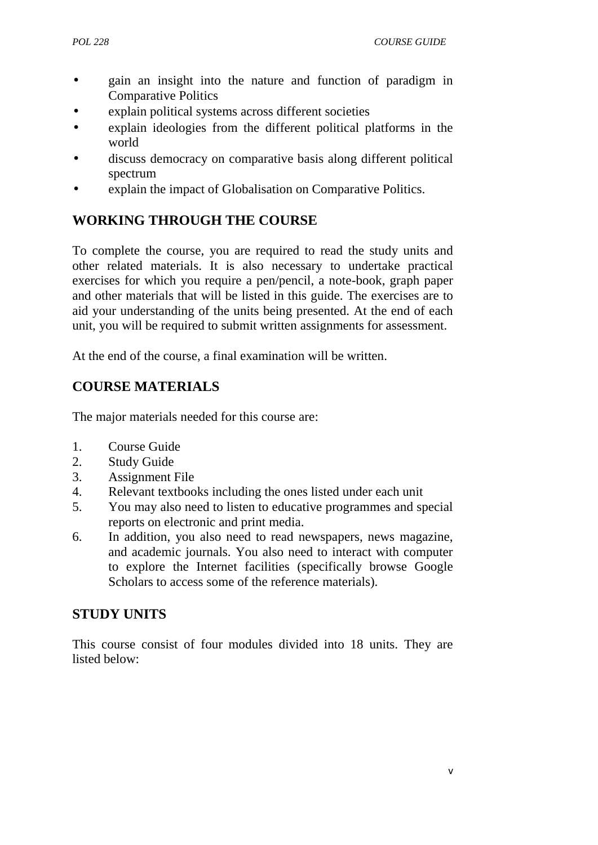- gain an insight into the nature and function of paradigm in Comparative Politics
- explain political systems across different societies
- explain ideologies from the different political platforms in the world
- discuss democracy on comparative basis along different political spectrum
- explain the impact of Globalisation on Comparative Politics.

# **WORKING THROUGH THE COURSE**

To complete the course, you are required to read the study units and other related materials. It is also necessary to undertake practical exercises for which you require a pen/pencil, a note-book, graph paper and other materials that will be listed in this guide. The exercises are to aid your understanding of the units being presented. At the end of each unit, you will be required to submit written assignments for assessment.

At the end of the course, a final examination will be written.

# **COURSE MATERIALS**

The major materials needed for this course are:

- 1. Course Guide
- 2. Study Guide
- 3. Assignment File
- 4. Relevant textbooks including the ones listed under each unit
- 5. You may also need to listen to educative programmes and special reports on electronic and print media.
- 6. In addition, you also need to read newspapers, news magazine, and academic journals. You also need to interact with computer to explore the Internet facilities (specifically browse Google Scholars to access some of the reference materials).

## **STUDY UNITS**

This course consist of four modules divided into 18 units. They are listed below: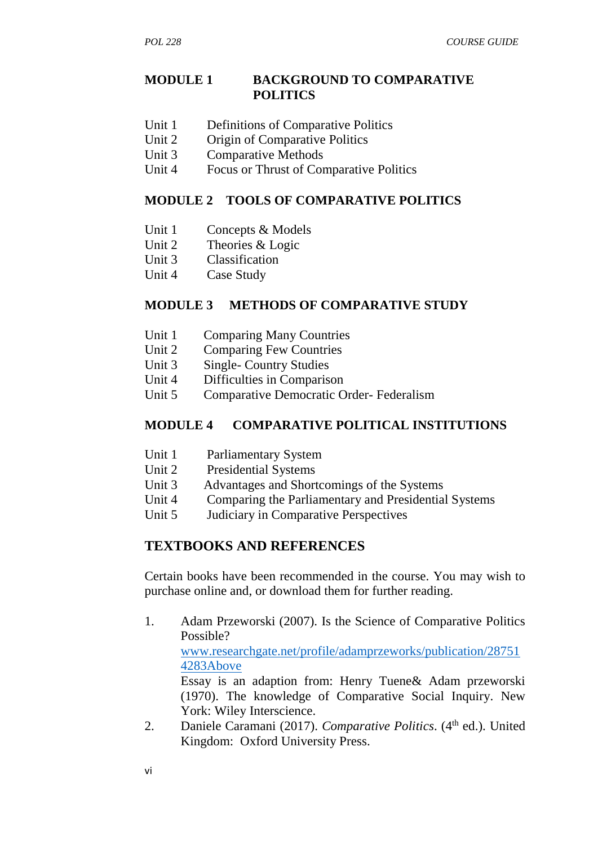#### **MODULE 1 BACKGROUND TO COMPARATIVE POLITICS**

- Unit 1 Definitions of Comparative Politics
- Unit 2 Origin of Comparative Politics
- Unit 3 Comparative Methods
- Unit 4 Focus or Thrust of Comparative Politics

#### **MODULE 2 TOOLS OF COMPARATIVE POLITICS**

- Unit 1 Concepts & Models
- Unit 2 Theories & Logic
- Unit 3 Classification
- Unit 4 Case Study

#### **MODULE 3 METHODS OF COMPARATIVE STUDY**

- Unit 1 Comparing Many Countries
- Unit 2 Comparing Few Countries
- Unit 3 Single- Country Studies
- Unit 4 Difficulties in Comparison
- Unit 5 Comparative Democratic Order- Federalism

#### **MODULE 4 COMPARATIVE POLITICAL INSTITUTIONS**

- Unit 1 Parliamentary System<br>
Unit 2 Presidential Systems
- Presidential Systems
- Unit 3 Advantages and Shortcomings of the Systems
- Unit 4 Comparing the Parliamentary and Presidential Systems
- Unit 5 Judiciary in Comparative Perspectives

## **TEXTBOOKS AND REFERENCES**

Certain books have been recommended in the course. You may wish to purchase online and, or download them for further reading.

- 1. Adam Przeworski (2007). Is the Science of Comparative Politics Possible? www.researchgate.net/profile/adamprzeworks/publication/28751 4283Above Essay is an adaption from: Henry Tuene& Adam przeworski (1970). The knowledge of Comparative Social Inquiry. New York: Wiley Interscience.
- 2. Daniele Caramani (2017). *Comparative Politics*. (4<sup>th</sup> ed.). United Kingdom: Oxford University Press.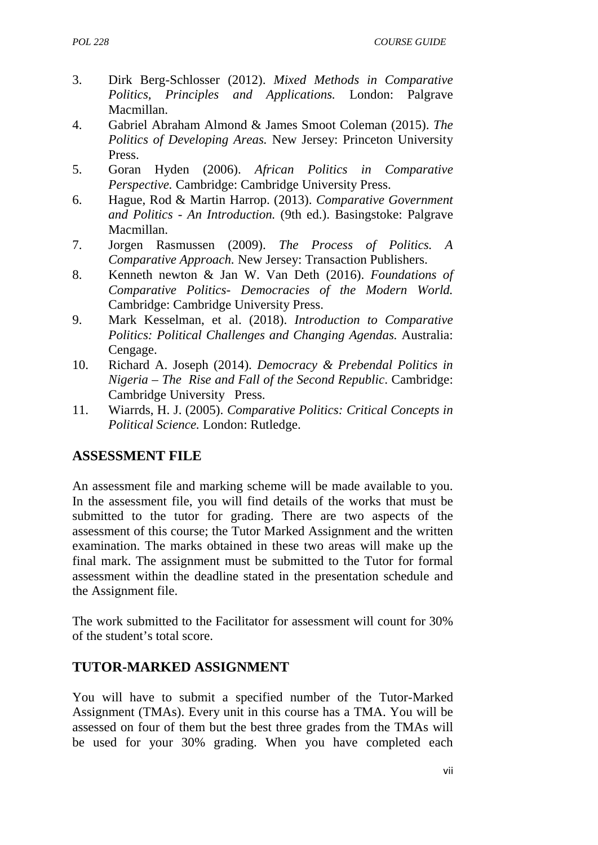*POL 228 COURSE GUIDE*

- 3. Dirk Berg-Schlosser (2012). *Mixed Methods in Comparative Politics, Principles and Applications.* London: Palgrave Macmillan.
- 4. Gabriel Abraham Almond & James Smoot Coleman (2015). *The Politics of Developing Areas.* New Jersey: Princeton University Press.
- 5. Goran Hyden (2006). *African Politics in Comparative Perspective.* Cambridge: Cambridge University Press.
- 6. Hague, Rod & Martin Harrop. (2013). *Comparative Government and Politics - An Introduction.* (9th ed.). Basingstoke: Palgrave Macmillan.
- 7. Jorgen Rasmussen (2009). *The Process of Politics. A Comparative Approach.* New Jersey: Transaction Publishers.
- 8. Kenneth newton & Jan W. Van Deth (2016). *Foundations of Comparative Politics- Democracies of the Modern World.* Cambridge: Cambridge University Press.
- 9. Mark Kesselman, et al. (2018). *Introduction to Comparative Politics: Political Challenges and Changing Agendas.* Australia: Cengage.
- 10. Richard A. Joseph (2014). *Democracy & Prebendal Politics in Nigeria – The Rise and Fall of the Second Republic*. Cambridge: Cambridge University Press.
- 11. Wiarrds, H. J. (2005). *Comparative Politics: Critical Concepts in Political Science.* London: Rutledge.

## **ASSESSMENT FILE**

An assessment file and marking scheme will be made available to you. In the assessment file, you will find details of the works that must be submitted to the tutor for grading. There are two aspects of the assessment of this course; the Tutor Marked Assignment and the written examination. The marks obtained in these two areas will make up the final mark. The assignment must be submitted to the Tutor for formal assessment within the deadline stated in the presentation schedule and the Assignment file.

The work submitted to the Facilitator for assessment will count for 30% of the student's total score.

# **TUTOR-MARKED ASSIGNMENT**

You will have to submit a specified number of the Tutor-Marked Assignment (TMAs). Every unit in this course has a TMA. You will be assessed on four of them but the best three grades from the TMAs will be used for your 30% grading. When you have completed each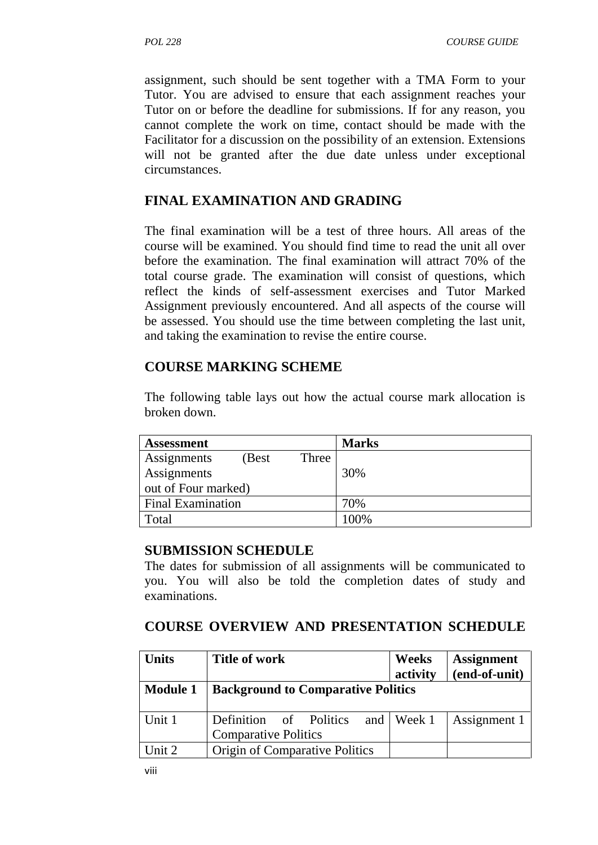assignment, such should be sent together with a TMA Form to your Tutor. You are advised to ensure that each assignment reaches your Tutor on or before the deadline for submissions. If for any reason, you cannot complete the work on time, contact should be made with the Facilitator for a discussion on the possibility of an extension. Extensions will not be granted after the due date unless under exceptional circumstances.

## **FINAL EXAMINATION AND GRADING**

The final examination will be a test of three hours. All areas of the course will be examined. You should find time to read the unit all over before the examination. The final examination will attract 70% of the total course grade. The examination will consist of questions, which reflect the kinds of self-assessment exercises and Tutor Marked Assignment previously encountered. And all aspects of the course will be assessed. You should use the time between completing the last unit, and taking the examination to revise the entire course.

## **COURSE MARKING SCHEME**

The following table lays out how the actual course mark allocation is broken down.

| <b>Assessment</b>        | <b>Marks</b> |
|--------------------------|--------------|
| Assignments<br>(Best)    | Three        |
| Assignments              | 30%          |
| out of Four marked)      |              |
| <b>Final Examination</b> | 70%          |
| Total                    | 100%         |

#### **SUBMISSION SCHEDULE**

The dates for submission of all assignments will be communicated to you. You will also be told the completion dates of study and examinations.

#### **COURSE OVERVIEW AND PRESENTATION SCHEDULE**

| <b>Units</b>    | Title of work                                         | Weeks<br>activity               | <b>Assignment</b><br>(end-of-unit) |
|-----------------|-------------------------------------------------------|---------------------------------|------------------------------------|
| <b>Module 1</b> | <b>Background to Comparative Politics</b>             |                                 |                                    |
| Unit 1          | Definition of Politics<br><b>Comparative Politics</b> | and $\sqrt{\phantom{a}}$ Week 1 | Assignment 1                       |
| Unit 2          | <b>Origin of Comparative Politics</b>                 |                                 |                                    |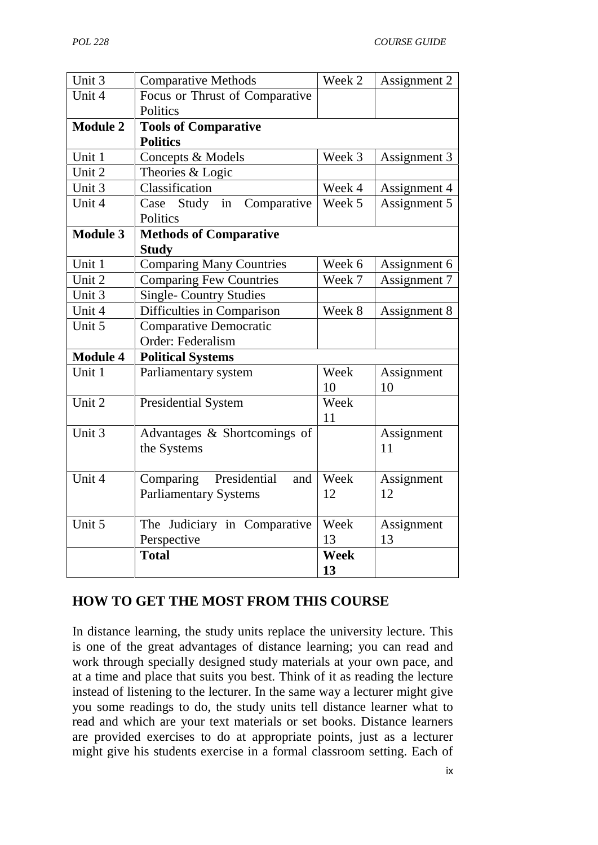| Unit 3          | <b>Comparative Methods</b>       | Week 2      | Assignment 2 |
|-----------------|----------------------------------|-------------|--------------|
| Unit 4          | Focus or Thrust of Comparative   |             |              |
|                 | Politics                         |             |              |
| <b>Module 2</b> | <b>Tools of Comparative</b>      |             |              |
|                 | <b>Politics</b>                  |             |              |
| Unit 1          | Concepts & Models                | Week 3      | Assignment 3 |
| Unit 2          | Theories & Logic                 |             |              |
| Unit 3          | Classification                   | Week 4      | Assignment 4 |
| Unit 4          | Case Study<br>in<br>Comparative  | Week 5      | Assignment 5 |
|                 | Politics                         |             |              |
| <b>Module 3</b> | <b>Methods of Comparative</b>    |             |              |
|                 | <b>Study</b>                     |             |              |
| Unit 1          | <b>Comparing Many Countries</b>  | Week 6      | Assignment 6 |
| Unit 2          | <b>Comparing Few Countries</b>   | Week 7      | Assignment 7 |
| Unit 3          | <b>Single- Country Studies</b>   |             |              |
| Unit 4          | Difficulties in Comparison       | Week 8      | Assignment 8 |
| Unit 5          | <b>Comparative Democratic</b>    |             |              |
|                 | Order: Federalism                |             |              |
| <b>Module 4</b> | <b>Political Systems</b>         |             |              |
| Unit 1          | Parliamentary system             | Week        | Assignment   |
|                 |                                  | 10          | 10           |
| Unit 2          | <b>Presidential System</b>       | Week        |              |
|                 |                                  | 11          |              |
| Unit 3          | Advantages & Shortcomings of     |             | Assignment   |
|                 | the Systems                      |             | 11           |
|                 |                                  |             |              |
| Unit 4          | Presidential<br>Comparing<br>and | Week        | Assignment   |
|                 | <b>Parliamentary Systems</b>     | 12          | 12           |
|                 |                                  |             |              |
| Unit 5          | The Judiciary in Comparative     | Week        | Assignment   |
|                 | Perspective                      | 13          | 13           |
|                 | <b>Total</b>                     | <b>Week</b> |              |
|                 |                                  | 13          |              |

# **HOW TO GET THE MOST FROM THIS COURSE**

In distance learning, the study units replace the university lecture. This is one of the great advantages of distance learning; you can read and work through specially designed study materials at your own pace, and at a time and place that suits you best. Think of it as reading the lecture instead of listening to the lecturer. In the same way a lecturer might give you some readings to do, the study units tell distance learner what to read and which are your text materials or set books. Distance learners are provided exercises to do at appropriate points, just as a lecturer might give his students exercise in a formal classroom setting. Each of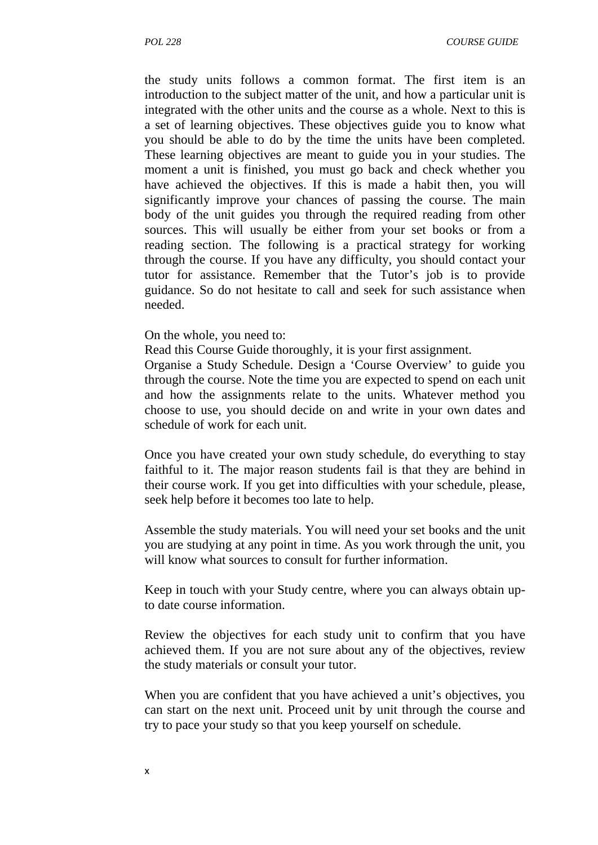the study units follows a common format. The first item is an introduction to the subject matter of the unit, and how a particular unit is integrated with the other units and the course as a whole. Next to this is a set of learning objectives. These objectives guide you to know what you should be able to do by the time the units have been completed. These learning objectives are meant to guide you in your studies. The moment a unit is finished, you must go back and check whether you have achieved the objectives. If this is made a habit then, you will significantly improve your chances of passing the course. The main body of the unit guides you through the required reading from other sources. This will usually be either from your set books or from a reading section. The following is a practical strategy for working through the course. If you have any difficulty, you should contact your tutor for assistance. Remember that the Tutor's job is to provide guidance. So do not hesitate to call and seek for such assistance when needed.

On the whole, you need to:

Read this Course Guide thoroughly, it is your first assignment.

Organise a Study Schedule. Design a 'Course Overview' to guide you through the course. Note the time you are expected to spend on each unit and how the assignments relate to the units. Whatever method you choose to use, you should decide on and write in your own dates and schedule of work for each unit.

Once you have created your own study schedule, do everything to stay faithful to it. The major reason students fail is that they are behind in their course work. If you get into difficulties with your schedule, please, seek help before it becomes too late to help.

Assemble the study materials. You will need your set books and the unit you are studying at any point in time. As you work through the unit, you will know what sources to consult for further information.

Keep in touch with your Study centre, where you can always obtain upto date course information.

Review the objectives for each study unit to confirm that you have achieved them. If you are not sure about any of the objectives, review the study materials or consult your tutor.

When you are confident that you have achieved a unit's objectives, you can start on the next unit. Proceed unit by unit through the course and try to pace your study so that you keep yourself on schedule.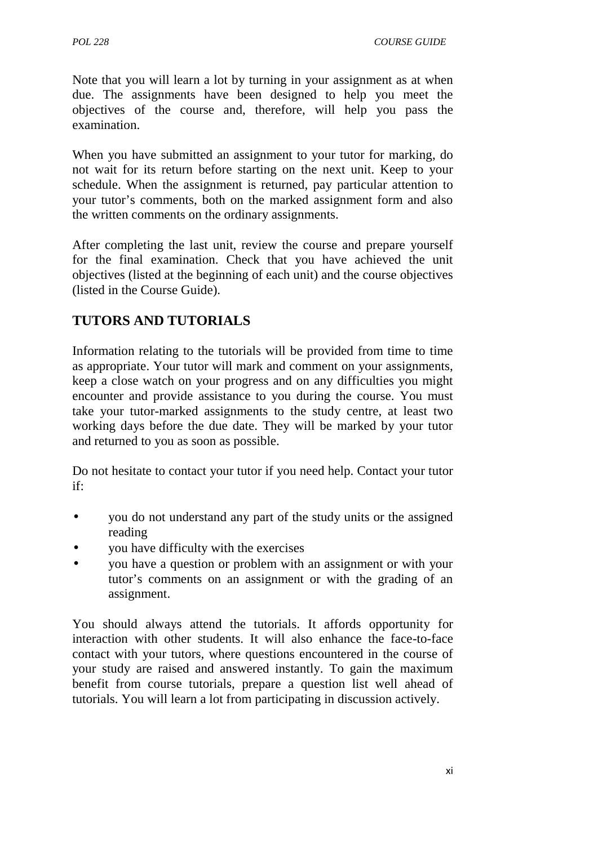Note that you will learn a lot by turning in your assignment as at when due. The assignments have been designed to help you meet the objectives of the course and, therefore, will help you pass the examination.

When you have submitted an assignment to your tutor for marking, do not wait for its return before starting on the next unit. Keep to your schedule. When the assignment is returned, pay particular attention to your tutor's comments, both on the marked assignment form and also the written comments on the ordinary assignments.

After completing the last unit, review the course and prepare yourself for the final examination. Check that you have achieved the unit objectives (listed at the beginning of each unit) and the course objectives (listed in the Course Guide).

# **TUTORS AND TUTORIALS**

Information relating to the tutorials will be provided from time to time as appropriate. Your tutor will mark and comment on your assignments, keep a close watch on your progress and on any difficulties you might encounter and provide assistance to you during the course. You must take your tutor-marked assignments to the study centre, at least two working days before the due date. They will be marked by your tutor and returned to you as soon as possible.

Do not hesitate to contact your tutor if you need help. Contact your tutor if:

- you do not understand any part of the study units or the assigned reading
- you have difficulty with the exercises
- you have a question or problem with an assignment or with your tutor's comments on an assignment or with the grading of an assignment.

You should always attend the tutorials. It affords opportunity for interaction with other students. It will also enhance the face-to-face contact with your tutors, where questions encountered in the course of your study are raised and answered instantly. To gain the maximum benefit from course tutorials, prepare a question list well ahead of tutorials. You will learn a lot from participating in discussion actively.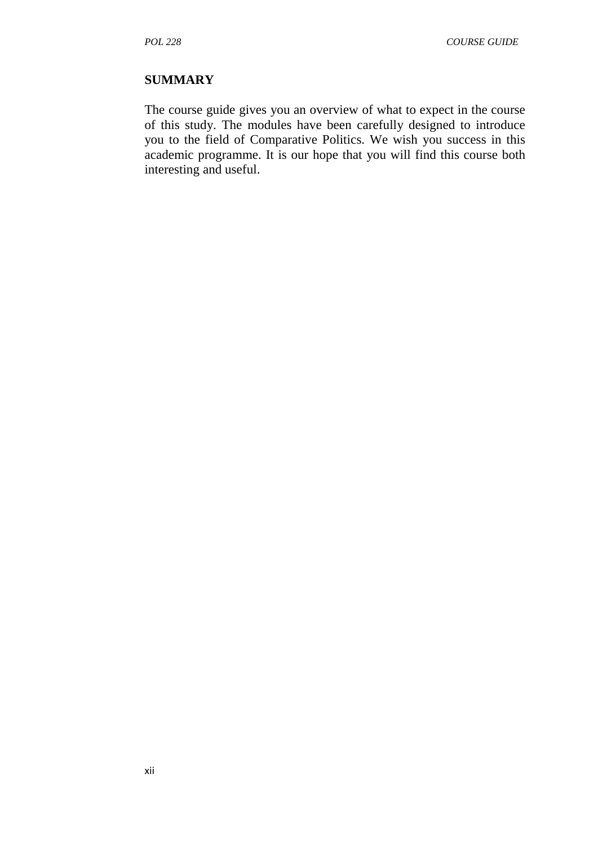#### **SUMMARY**

The course guide gives you an overview of what to expect in the course of this study. The modules have been carefully designed to introduce you to the field of Comparative Politics. We wish you success in this academic programme. It is our hope that you will find this course both interesting and useful.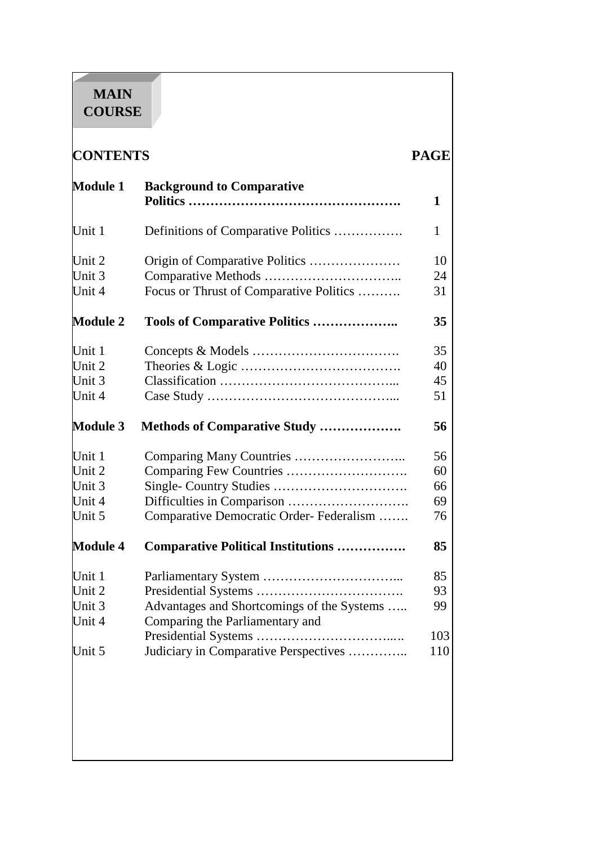# **MAIN COURSE**

<u> 1999 - 1999 - 1999 - 1999 - 1999 - 1999 - 1999 - 1999 - 1999 - 1999 - 1999 - 1999 - 1999 - 1999 - 1999 - 199</u>

| <b>CONTENTS</b>                                |                                            | <b>PAGE</b> |  |
|------------------------------------------------|--------------------------------------------|-------------|--|
| <b>Module 1</b>                                | <b>Background to Comparative</b>           | 1           |  |
| Unit 1                                         | Definitions of Comparative Politics        | 1           |  |
| Unit 2                                         |                                            | 10          |  |
| Unit 3                                         |                                            | 24          |  |
| Unit 4                                         | Focus or Thrust of Comparative Politics    | 31          |  |
| <b>Module 2</b>                                | <b>Tools of Comparative Politics </b>      | 35          |  |
| Unit 1                                         |                                            | 35          |  |
| Unit 2                                         |                                            | 40          |  |
| Unit $3$                                       |                                            | 45          |  |
| Unit 4                                         |                                            | 51          |  |
| <b>Module 3</b>                                | Methods of Comparative Study               | 56          |  |
| Unit 1                                         |                                            | 56          |  |
| Unit 2                                         |                                            | 60          |  |
| Unit 3                                         |                                            | 66          |  |
| Unit 4                                         |                                            | 69          |  |
| Unit 5                                         | Comparative Democratic Order-Federalism    | 76          |  |
| <b>Module 4</b>                                | <b>Comparative Political Institutions </b> | 85          |  |
|                                                |                                            |             |  |
|                                                |                                            | 85          |  |
|                                                |                                            | 93          |  |
|                                                | Advantages and Shortcomings of the Systems | 99          |  |
|                                                | Comparing the Parliamentary and            |             |  |
| Unit 1<br>Unit 2<br>Unit 3<br>Unit 4<br>Unit 5 | Judiciary in Comparative Perspectives      | 103<br>110  |  |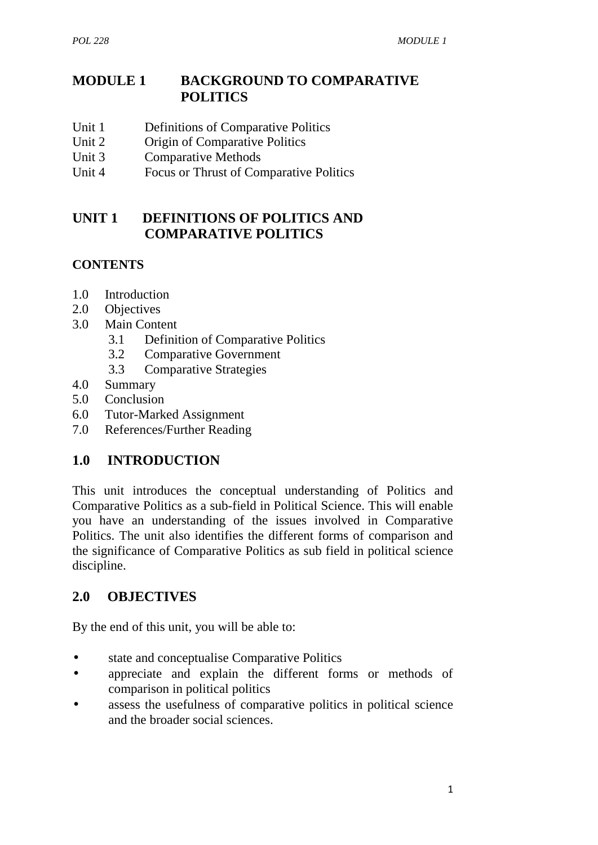# **MODULE 1 BACKGROUND TO COMPARATIVE POLITICS**

- Unit 1 Definitions of Comparative Politics
- Unit 2 Origin of Comparative Politics
- Unit 3 Comparative Methods
- Unit 4 Focus or Thrust of Comparative Politics

# **UNIT 1 DEFINITIONS OF POLITICS AND COMPARATIVE POLITICS**

# **CONTENTS**

- 1.0 Introduction
- 2.0 Objectives
- 3.0 Main Content
	- 3.1 Definition of Comparative Politics
	- 3.2 Comparative Government
	- 3.3 Comparative Strategies
- 4.0 Summary
- 5.0 Conclusion
- 6.0 Tutor-Marked Assignment
- 7.0 References/Further Reading

# **1.0 INTRODUCTION**

This unit introduces the conceptual understanding of Politics and Comparative Politics as a sub-field in Political Science. This will enable you have an understanding of the issues involved in Comparative Politics. The unit also identifies the different forms of comparison and the significance of Comparative Politics as sub field in political science discipline.

# **2.0 OBJECTIVES**

By the end of this unit, you will be able to:

- state and conceptualise Comparative Politics
- appreciate and explain the different forms or methods of comparison in political politics
- assess the usefulness of comparative politics in political science and the broader social sciences.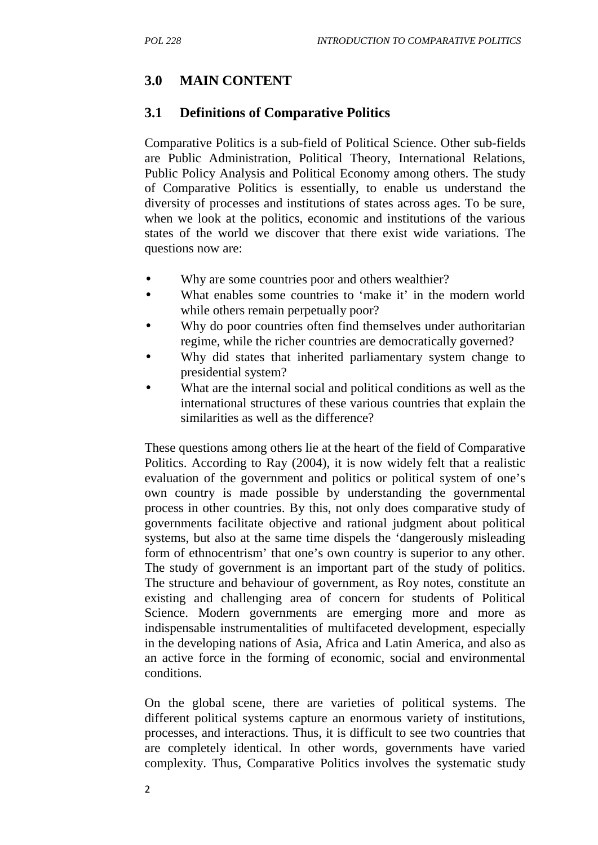# **3.0 MAIN CONTENT**

## **3.1 Definitions of Comparative Politics**

Comparative Politics is a sub-field of Political Science. Other sub-fields are Public Administration, Political Theory, International Relations, Public Policy Analysis and Political Economy among others. The study of Comparative Politics is essentially, to enable us understand the diversity of processes and institutions of states across ages. To be sure, when we look at the politics, economic and institutions of the various states of the world we discover that there exist wide variations. The questions now are:

- Why are some countries poor and others wealthier?
- What enables some countries to 'make it' in the modern world while others remain perpetually poor?
- Why do poor countries often find themselves under authoritarian regime, while the richer countries are democratically governed?
- Why did states that inherited parliamentary system change to presidential system?
- What are the internal social and political conditions as well as the international structures of these various countries that explain the similarities as well as the difference?

These questions among others lie at the heart of the field of Comparative Politics. According to Ray (2004), it is now widely felt that a realistic evaluation of the government and politics or political system of one's own country is made possible by understanding the governmental process in other countries. By this, not only does comparative study of governments facilitate objective and rational judgment about political systems, but also at the same time dispels the 'dangerously misleading form of ethnocentrism' that one's own country is superior to any other. The study of government is an important part of the study of politics. The structure and behaviour of government, as Roy notes, constitute an existing and challenging area of concern for students of Political Science. Modern governments are emerging more and more as indispensable instrumentalities of multifaceted development, especially in the developing nations of Asia, Africa and Latin America, and also as an active force in the forming of economic, social and environmental conditions.

On the global scene, there are varieties of political systems. The different political systems capture an enormous variety of institutions, processes, and interactions. Thus, it is difficult to see two countries that are completely identical. In other words, governments have varied complexity. Thus, Comparative Politics involves the systematic study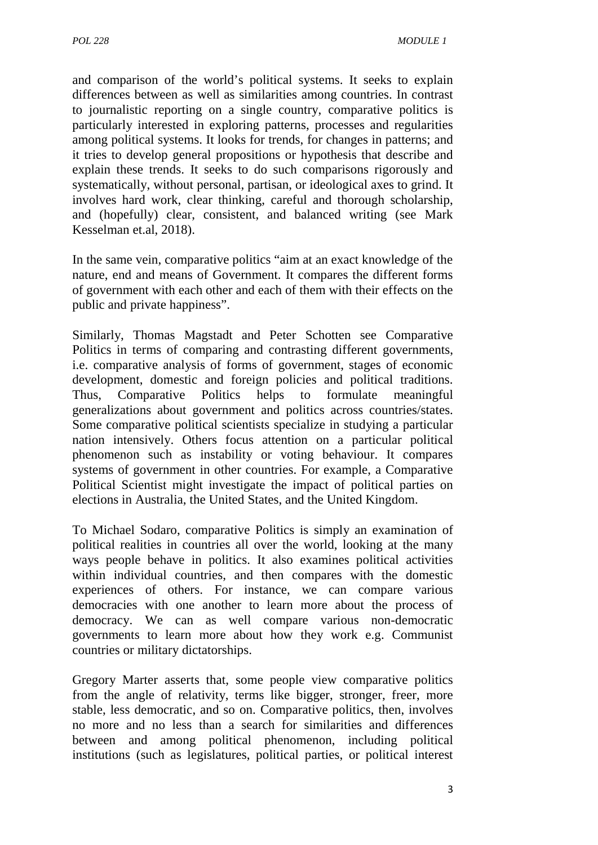and comparison of the world's political systems. It seeks to explain differences between as well as similarities among countries. In contrast to journalistic reporting on a single country, comparative politics is particularly interested in exploring patterns, processes and regularities among political systems. It looks for trends, for changes in patterns; and it tries to develop general propositions or hypothesis that describe and explain these trends. It seeks to do such comparisons rigorously and systematically, without personal, partisan, or ideological axes to grind. It involves hard work, clear thinking, careful and thorough scholarship, and (hopefully) clear, consistent, and balanced writing (see Mark Kesselman et.al, 2018).

In the same vein, comparative politics "aim at an exact knowledge of the nature, end and means of Government. It compares the different forms of government with each other and each of them with their effects on the public and private happiness".

Similarly, Thomas Magstadt and Peter Schotten see Comparative Politics in terms of comparing and contrasting different governments, i.e. comparative analysis of forms of government, stages of economic development, domestic and foreign policies and political traditions. Thus, Comparative Politics helps to formulate meaningful generalizations about government and politics across countries/states. Some comparative political scientists specialize in studying a particular nation intensively. Others focus attention on a particular political phenomenon such as instability or voting behaviour. It compares systems of government in other countries. For example, a Comparative Political Scientist might investigate the impact of political parties on elections in Australia, the United States, and the United Kingdom.

To Michael Sodaro, comparative Politics is simply an examination of political realities in countries all over the world, looking at the many ways people behave in politics. It also examines political activities within individual countries, and then compares with the domestic experiences of others. For instance, we can compare various democracies with one another to learn more about the process of democracy. We can as well compare various non-democratic governments to learn more about how they work e.g. Communist countries or military dictatorships.

Gregory Marter asserts that, some people view comparative politics from the angle of relativity, terms like bigger, stronger, freer, more stable, less democratic, and so on. Comparative politics, then, involves no more and no less than a search for similarities and differences between and among political phenomenon, including political institutions (such as legislatures, political parties, or political interest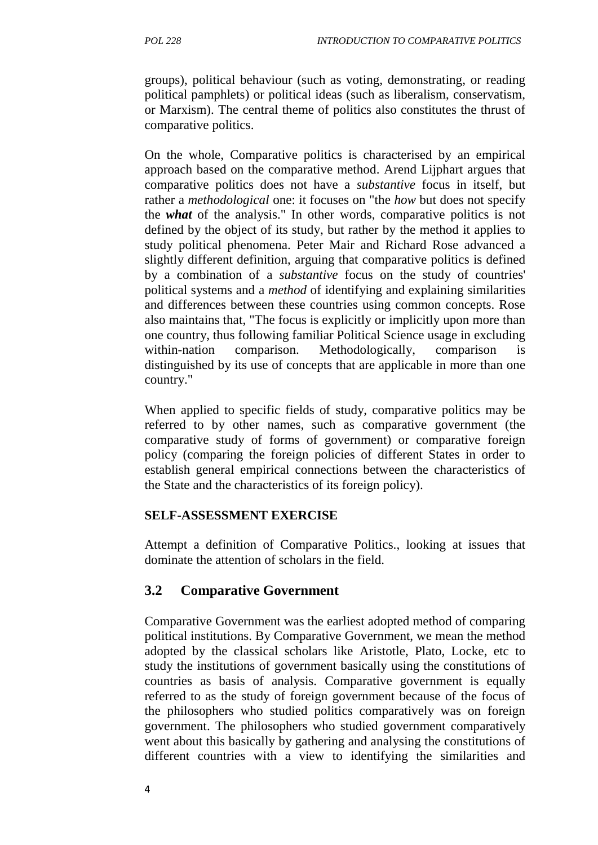groups), political behaviour (such as voting, demonstrating, or reading political pamphlets) or political ideas (such as liberalism, conservatism, or Marxism). The central theme of politics also constitutes the thrust of comparative politics.

On the whole, Comparative politics is characterised by an empirical approach based on the comparative method. Arend Lijphart argues that comparative politics does not have a *substantive* focus in itself, but rather a *methodological* one: it focuses on "the *how* but does not specify the *what* of the analysis." In other words, comparative politics is not defined by the object of its study, but rather by the method it applies to study political phenomena. Peter Mair and Richard Rose advanced a slightly different definition, arguing that comparative politics is defined by a combination of a *substantive* focus on the study of countries' political systems and a *method* of identifying and explaining similarities and differences between these countries using common concepts. Rose also maintains that, "The focus is explicitly or implicitly upon more than one country, thus following familiar Political Science usage in excluding within-nation comparison. Methodologically, comparison is distinguished by its use of concepts that are applicable in more than one country."

When applied to specific fields of study, comparative politics may be referred to by other names, such as comparative government (the comparative study of forms of government) or comparative foreign policy (comparing the foreign policies of different States in order to establish general empirical connections between the characteristics of the State and the characteristics of its foreign policy).

## **SELF-ASSESSMENT EXERCISE**

Attempt a definition of Comparative Politics., looking at issues that dominate the attention of scholars in the field.

# **3.2 Comparative Government**

Comparative Government was the earliest adopted method of comparing political institutions. By Comparative Government, we mean the method adopted by the classical scholars like Aristotle, Plato, Locke, etc to study the institutions of government basically using the constitutions of countries as basis of analysis. Comparative government is equally referred to as the study of foreign government because of the focus of the philosophers who studied politics comparatively was on foreign government. The philosophers who studied government comparatively went about this basically by gathering and analysing the constitutions of different countries with a view to identifying the similarities and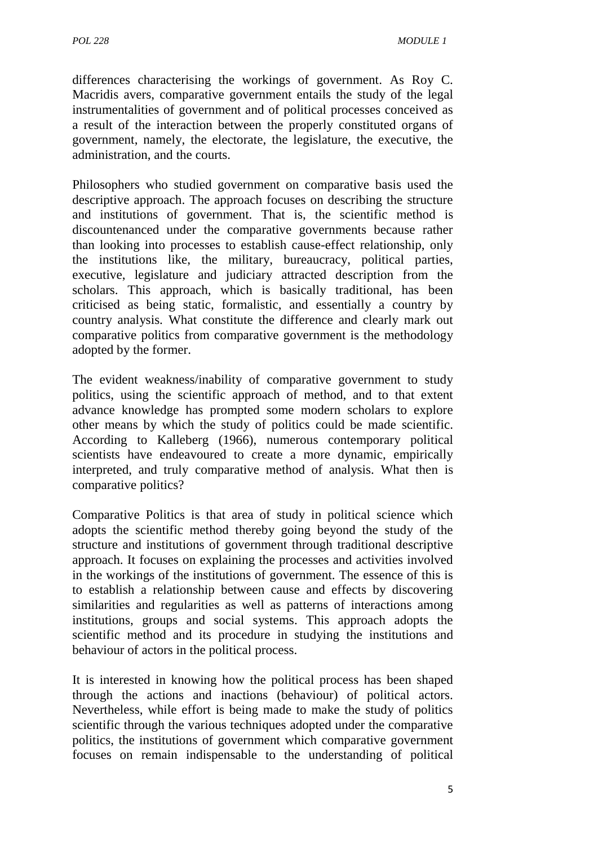differences characterising the workings of government. As Roy C. Macridis avers, comparative government entails the study of the legal instrumentalities of government and of political processes conceived as a result of the interaction between the properly constituted organs of government, namely, the electorate, the legislature, the executive, the administration, and the courts.

Philosophers who studied government on comparative basis used the descriptive approach. The approach focuses on describing the structure and institutions of government. That is, the scientific method is discountenanced under the comparative governments because rather than looking into processes to establish cause-effect relationship, only the institutions like, the military, bureaucracy, political parties, executive, legislature and judiciary attracted description from the scholars. This approach, which is basically traditional, has been criticised as being static, formalistic, and essentially a country by country analysis. What constitute the difference and clearly mark out comparative politics from comparative government is the methodology adopted by the former.

The evident weakness/inability of comparative government to study politics, using the scientific approach of method, and to that extent advance knowledge has prompted some modern scholars to explore other means by which the study of politics could be made scientific. According to Kalleberg (1966), numerous contemporary political scientists have endeavoured to create a more dynamic, empirically interpreted, and truly comparative method of analysis. What then is comparative politics?

Comparative Politics is that area of study in political science which adopts the scientific method thereby going beyond the study of the structure and institutions of government through traditional descriptive approach. It focuses on explaining the processes and activities involved in the workings of the institutions of government. The essence of this is to establish a relationship between cause and effects by discovering similarities and regularities as well as patterns of interactions among institutions, groups and social systems. This approach adopts the scientific method and its procedure in studying the institutions and behaviour of actors in the political process.

It is interested in knowing how the political process has been shaped through the actions and inactions (behaviour) of political actors. Nevertheless, while effort is being made to make the study of politics scientific through the various techniques adopted under the comparative politics, the institutions of government which comparative government focuses on remain indispensable to the understanding of political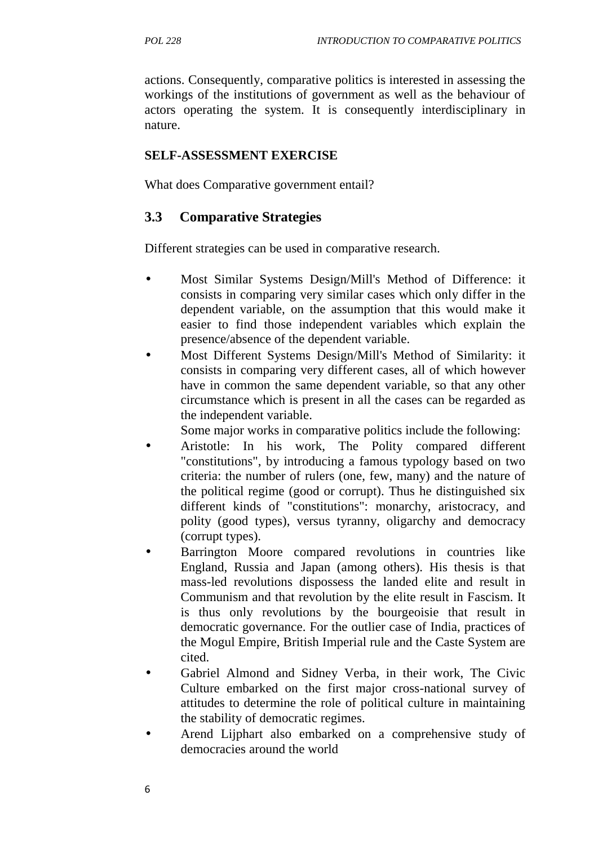actions. Consequently, comparative politics is interested in assessing the workings of the institutions of government as well as the behaviour of actors operating the system. It is consequently interdisciplinary in nature.

## **SELF-ASSESSMENT EXERCISE**

What does Comparative government entail?

## **3.3 Comparative Strategies**

Different strategies can be used in comparative research.

- Most Similar Systems Design/Mill's Method of Difference: it consists in comparing very similar cases which only differ in the dependent variable, on the assumption that this would make it easier to find those independent variables which explain the presence/absence of the dependent variable.
- Most Different Systems Design/Mill's Method of Similarity: it consists in comparing very different cases, all of which however have in common the same dependent variable, so that any other circumstance which is present in all the cases can be regarded as the independent variable.

Some major works in comparative politics include the following:

- Aristotle: In his work, The Polity compared different "constitutions", by introducing a famous typology based on two criteria: the number of rulers (one, few, many) and the nature of the political regime (good or corrupt). Thus he distinguished six different kinds of "constitutions": monarchy, aristocracy, and polity (good types), versus tyranny, oligarchy and democracy (corrupt types).
- Barrington Moore compared revolutions in countries like England, Russia and Japan (among others). His thesis is that mass-led revolutions dispossess the landed elite and result in Communism and that revolution by the elite result in Fascism. It is thus only revolutions by the bourgeoisie that result in democratic governance. For the outlier case of India, practices of the Mogul Empire, British Imperial rule and the Caste System are cited.
- Gabriel Almond and Sidney Verba, in their work, The Civic Culture embarked on the first major cross-national survey of attitudes to determine the role of political culture in maintaining the stability of democratic regimes.
- Arend Lijphart also embarked on a comprehensive study of democracies around the world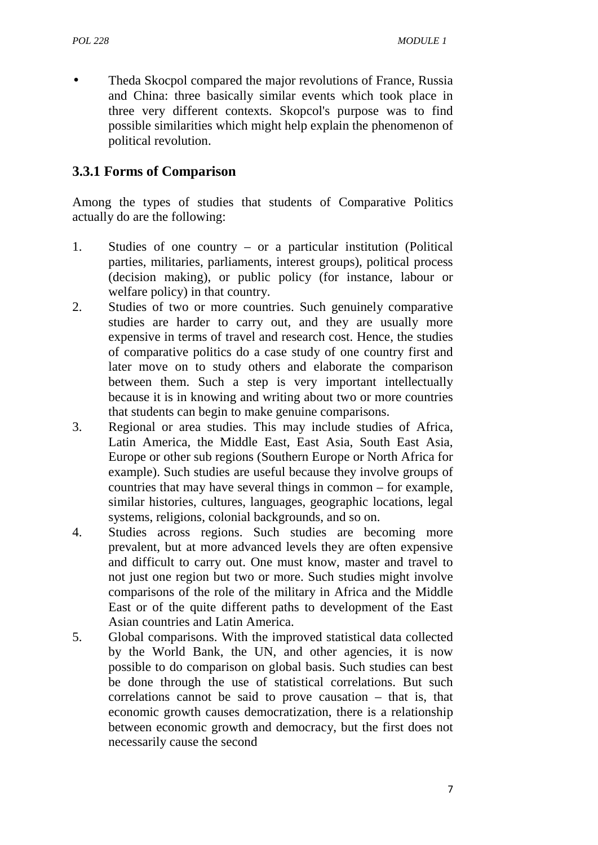Theda Skocpol compared the major revolutions of France, Russia and China: three basically similar events which took place in three very different contexts. Skopcol's purpose was to find possible similarities which might help explain the phenomenon of political revolution.

## **3.3.1 Forms of Comparison**

Among the types of studies that students of Comparative Politics actually do are the following:

- 1. Studies of one country or a particular institution (Political parties, militaries, parliaments, interest groups), political process (decision making), or public policy (for instance, labour or welfare policy) in that country.
- 2. Studies of two or more countries. Such genuinely comparative studies are harder to carry out, and they are usually more expensive in terms of travel and research cost. Hence, the studies of comparative politics do a case study of one country first and later move on to study others and elaborate the comparison between them. Such a step is very important intellectually because it is in knowing and writing about two or more countries that students can begin to make genuine comparisons.
- 3. Regional or area studies. This may include studies of Africa, Latin America, the Middle East, East Asia, South East Asia, Europe or other sub regions (Southern Europe or North Africa for example). Such studies are useful because they involve groups of countries that may have several things in common – for example, similar histories, cultures, languages, geographic locations, legal systems, religions, colonial backgrounds, and so on.
- 4. Studies across regions. Such studies are becoming more prevalent, but at more advanced levels they are often expensive and difficult to carry out. One must know, master and travel to not just one region but two or more. Such studies might involve comparisons of the role of the military in Africa and the Middle East or of the quite different paths to development of the East Asian countries and Latin America.
- 5. Global comparisons. With the improved statistical data collected by the World Bank, the UN, and other agencies, it is now possible to do comparison on global basis. Such studies can best be done through the use of statistical correlations. But such correlations cannot be said to prove causation – that is, that economic growth causes democratization, there is a relationship between economic growth and democracy, but the first does not necessarily cause the second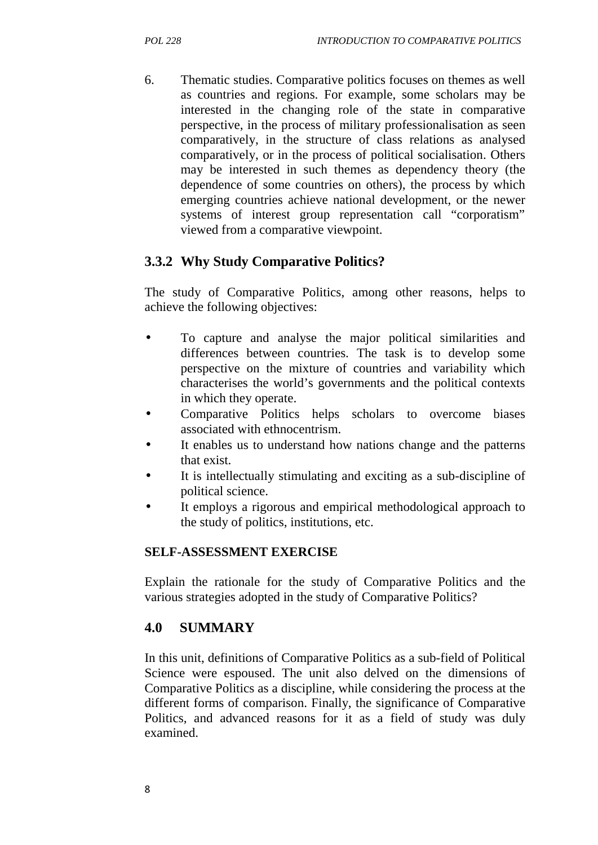6. Thematic studies. Comparative politics focuses on themes as well as countries and regions. For example, some scholars may be interested in the changing role of the state in comparative perspective, in the process of military professionalisation as seen comparatively, in the structure of class relations as analysed comparatively, or in the process of political socialisation. Others may be interested in such themes as dependency theory (the dependence of some countries on others), the process by which emerging countries achieve national development, or the newer systems of interest group representation call "corporatism" viewed from a comparative viewpoint.

## **3.3.2 Why Study Comparative Politics?**

The study of Comparative Politics, among other reasons, helps to achieve the following objectives:

- To capture and analyse the major political similarities and differences between countries. The task is to develop some perspective on the mixture of countries and variability which characterises the world's governments and the political contexts in which they operate.
- Comparative Politics helps scholars to overcome biases associated with ethnocentrism.
- It enables us to understand how nations change and the patterns that exist.
- It is intellectually stimulating and exciting as a sub-discipline of political science.
- It employs a rigorous and empirical methodological approach to the study of politics, institutions, etc.

#### **SELF-ASSESSMENT EXERCISE**

Explain the rationale for the study of Comparative Politics and the various strategies adopted in the study of Comparative Politics?

## **4.0 SUMMARY**

In this unit, definitions of Comparative Politics as a sub-field of Political Science were espoused. The unit also delved on the dimensions of Comparative Politics as a discipline, while considering the process at the different forms of comparison. Finally, the significance of Comparative Politics, and advanced reasons for it as a field of study was duly examined.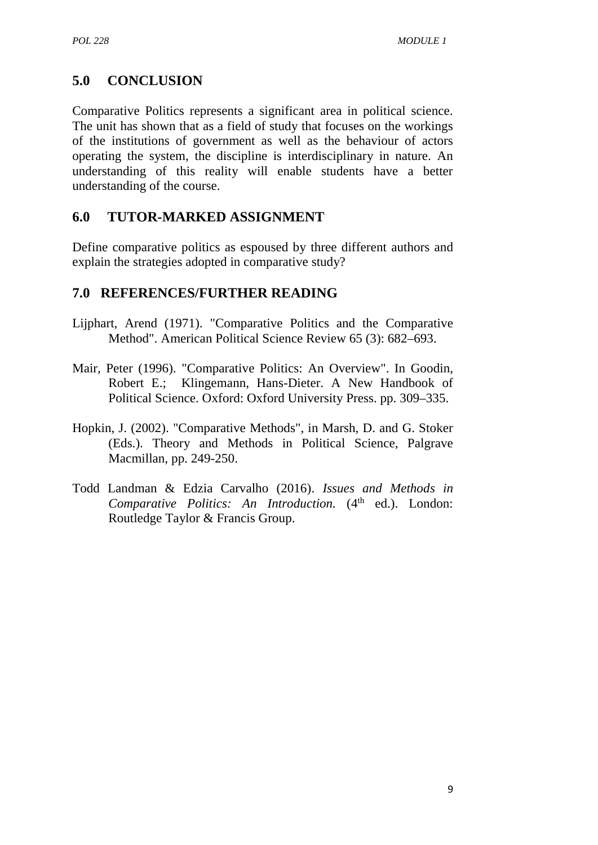# **5.0 CONCLUSION**

Comparative Politics represents a significant area in political science. The unit has shown that as a field of study that focuses on the workings of the institutions of government as well as the behaviour of actors operating the system, the discipline is interdisciplinary in nature. An understanding of this reality will enable students have a better understanding of the course.

## **6.0 TUTOR-MARKED ASSIGNMENT**

Define comparative politics as espoused by three different authors and explain the strategies adopted in comparative study?

## **7.0 REFERENCES/FURTHER READING**

- Lijphart, Arend (1971). "Comparative Politics and the Comparative Method". American Political Science Review 65 (3): 682–693.
- Mair, Peter (1996). "Comparative Politics: An Overview". In Goodin, Robert E.; Klingemann, Hans-Dieter. A New Handbook of Political Science. Oxford: Oxford University Press. pp. 309–335.
- Hopkin, J. (2002). "Comparative Methods", in Marsh, D. and G. Stoker (Eds.). Theory and Methods in Political Science, Palgrave Macmillan, pp. 249-250.
- Todd Landman & Edzia Carvalho (2016). *Issues and Methods in* Comparative Politics: An Introduction. (4<sup>th</sup> ed.). London: Routledge Taylor & Francis Group.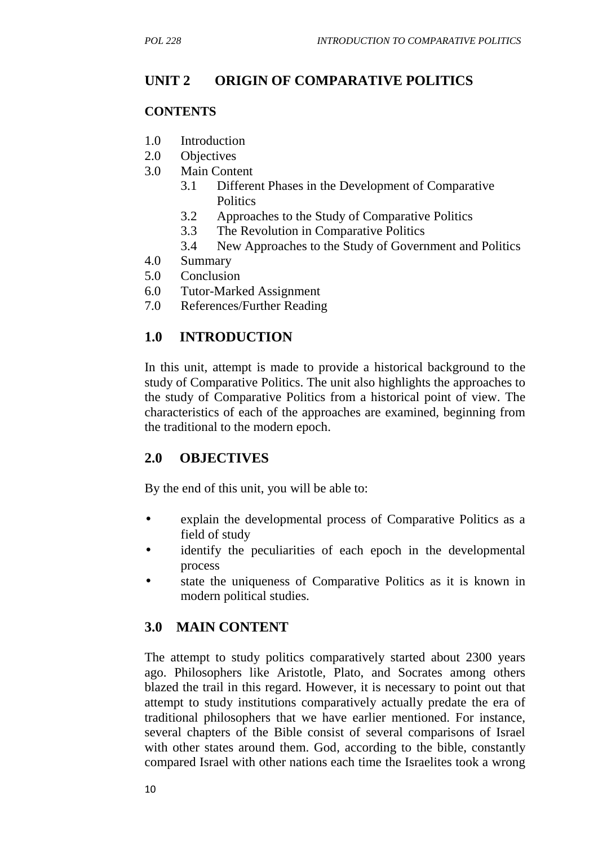# **UNIT 2 ORIGIN OF COMPARATIVE POLITICS**

#### **CONTENTS**

- 1.0 Introduction
- 2.0 Objectives
- 3.0 Main Content
	- 3.1 Different Phases in the Development of Comparative **Politics**
	- 3.2 Approaches to the Study of Comparative Politics
	- 3.3 The Revolution in Comparative Politics
	- 3.4 New Approaches to the Study of Government and Politics
- 4.0 Summary
- 5.0 Conclusion
- 6.0 Tutor-Marked Assignment
- 7.0 References/Further Reading

## **1.0 INTRODUCTION**

In this unit, attempt is made to provide a historical background to the study of Comparative Politics. The unit also highlights the approaches to the study of Comparative Politics from a historical point of view. The characteristics of each of the approaches are examined, beginning from the traditional to the modern epoch.

## **2.0 OBJECTIVES**

By the end of this unit, you will be able to:

- explain the developmental process of Comparative Politics as a field of study
- identify the peculiarities of each epoch in the developmental process
- state the uniqueness of Comparative Politics as it is known in modern political studies.

## **3.0 MAIN CONTENT**

The attempt to study politics comparatively started about 2300 years ago. Philosophers like Aristotle, Plato, and Socrates among others blazed the trail in this regard. However, it is necessary to point out that attempt to study institutions comparatively actually predate the era of traditional philosophers that we have earlier mentioned. For instance, several chapters of the Bible consist of several comparisons of Israel with other states around them. God, according to the bible, constantly compared Israel with other nations each time the Israelites took a wrong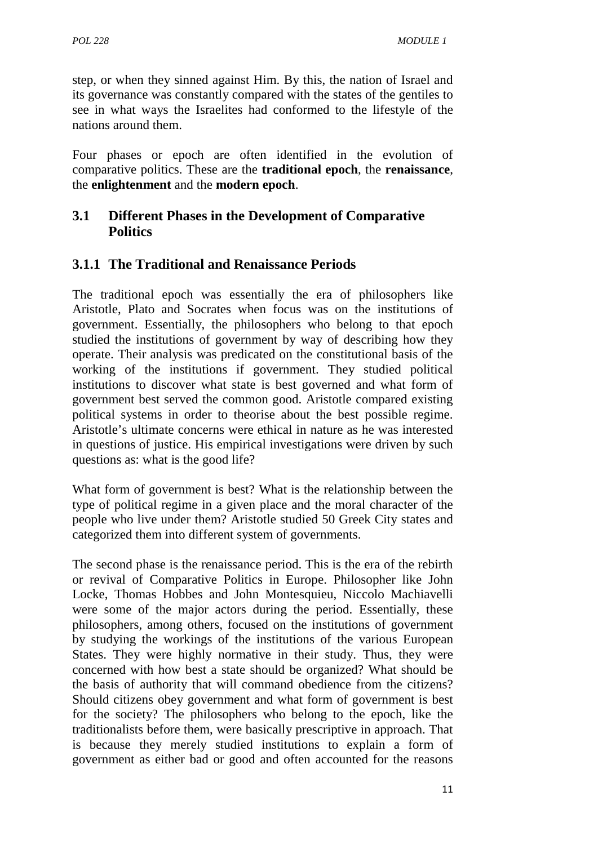step, or when they sinned against Him. By this, the nation of Israel and its governance was constantly compared with the states of the gentiles to see in what ways the Israelites had conformed to the lifestyle of the nations around them.

Four phases or epoch are often identified in the evolution of comparative politics. These are the **traditional epoch**, the **renaissance**, the **enlightenment** and the **modern epoch**.

## **3.1 Different Phases in the Development of Comparative Politics**

## **3.1.1 The Traditional and Renaissance Periods**

The traditional epoch was essentially the era of philosophers like Aristotle, Plato and Socrates when focus was on the institutions of government. Essentially, the philosophers who belong to that epoch studied the institutions of government by way of describing how they operate. Their analysis was predicated on the constitutional basis of the working of the institutions if government. They studied political institutions to discover what state is best governed and what form of government best served the common good. Aristotle compared existing political systems in order to theorise about the best possible regime. Aristotle's ultimate concerns were ethical in nature as he was interested in questions of justice. His empirical investigations were driven by such questions as: what is the good life?

What form of government is best? What is the relationship between the type of political regime in a given place and the moral character of the people who live under them? Aristotle studied 50 Greek City states and categorized them into different system of governments.

The second phase is the renaissance period. This is the era of the rebirth or revival of Comparative Politics in Europe. Philosopher like John Locke, Thomas Hobbes and John Montesquieu, Niccolo Machiavelli were some of the major actors during the period. Essentially, these philosophers, among others, focused on the institutions of government by studying the workings of the institutions of the various European States. They were highly normative in their study. Thus, they were concerned with how best a state should be organized? What should be the basis of authority that will command obedience from the citizens? Should citizens obey government and what form of government is best for the society? The philosophers who belong to the epoch, like the traditionalists before them, were basically prescriptive in approach. That is because they merely studied institutions to explain a form of government as either bad or good and often accounted for the reasons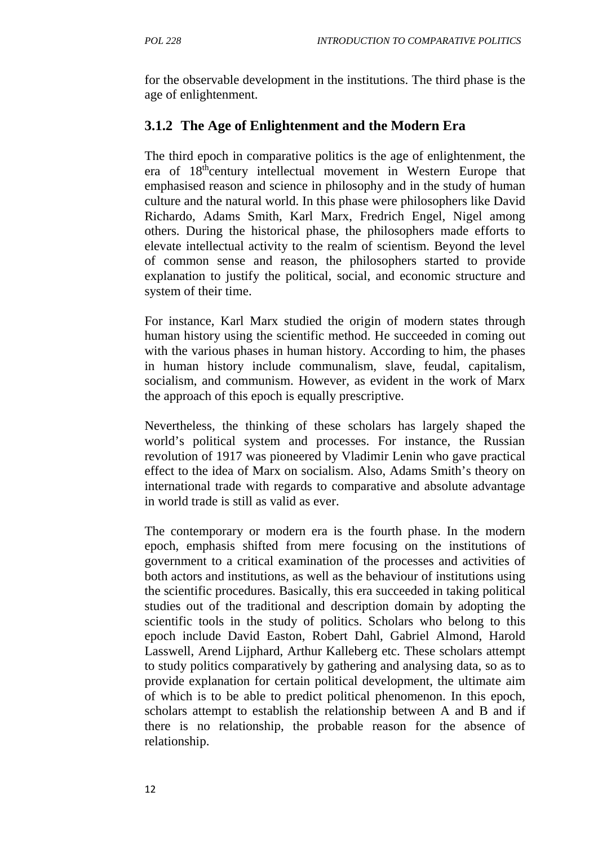for the observable development in the institutions. The third phase is the age of enlightenment.

# **3.1.2 The Age of Enlightenment and the Modern Era**

The third epoch in comparative politics is the age of enlightenment, the era of 18<sup>th</sup>century intellectual movement in Western Europe that emphasised reason and science in philosophy and in the study of human culture and the natural world. In this phase were philosophers like David Richardo, Adams Smith, Karl Marx, Fredrich Engel, Nigel among others. During the historical phase, the philosophers made efforts to elevate intellectual activity to the realm of scientism. Beyond the level of common sense and reason, the philosophers started to provide explanation to justify the political, social, and economic structure and system of their time.

For instance, Karl Marx studied the origin of modern states through human history using the scientific method. He succeeded in coming out with the various phases in human history. According to him, the phases in human history include communalism, slave, feudal, capitalism, socialism, and communism. However, as evident in the work of Marx the approach of this epoch is equally prescriptive.

Nevertheless, the thinking of these scholars has largely shaped the world's political system and processes. For instance, the Russian revolution of 1917 was pioneered by Vladimir Lenin who gave practical effect to the idea of Marx on socialism. Also, Adams Smith's theory on international trade with regards to comparative and absolute advantage in world trade is still as valid as ever.

The contemporary or modern era is the fourth phase. In the modern epoch, emphasis shifted from mere focusing on the institutions of government to a critical examination of the processes and activities of both actors and institutions, as well as the behaviour of institutions using the scientific procedures. Basically, this era succeeded in taking political studies out of the traditional and description domain by adopting the scientific tools in the study of politics. Scholars who belong to this epoch include David Easton, Robert Dahl, Gabriel Almond, Harold Lasswell, Arend Lijphard, Arthur Kalleberg etc. These scholars attempt to study politics comparatively by gathering and analysing data, so as to provide explanation for certain political development, the ultimate aim of which is to be able to predict political phenomenon. In this epoch, scholars attempt to establish the relationship between A and B and if there is no relationship, the probable reason for the absence of relationship.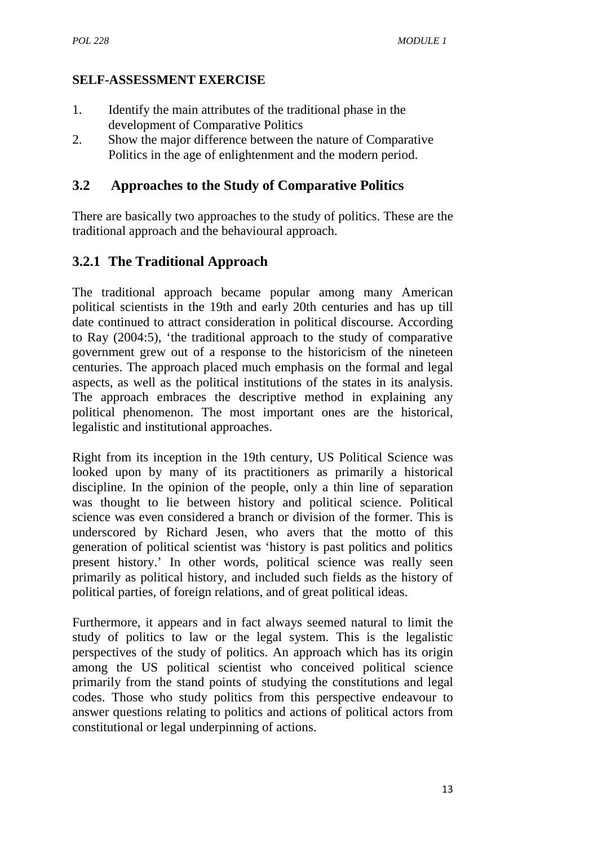## **SELF-ASSESSMENT EXERCISE**

- 1. Identify the main attributes of the traditional phase in the development of Comparative Politics
- 2. Show the major difference between the nature of Comparative Politics in the age of enlightenment and the modern period.

## **3.2 Approaches to the Study of Comparative Politics**

There are basically two approaches to the study of politics. These are the traditional approach and the behavioural approach.

# **3.2.1 The Traditional Approach**

The traditional approach became popular among many American political scientists in the 19th and early 20th centuries and has up till date continued to attract consideration in political discourse. According to Ray (2004:5), 'the traditional approach to the study of comparative government grew out of a response to the historicism of the nineteen centuries. The approach placed much emphasis on the formal and legal aspects, as well as the political institutions of the states in its analysis. The approach embraces the descriptive method in explaining any political phenomenon. The most important ones are the historical, legalistic and institutional approaches.

Right from its inception in the 19th century, US Political Science was looked upon by many of its practitioners as primarily a historical discipline. In the opinion of the people, only a thin line of separation was thought to lie between history and political science. Political science was even considered a branch or division of the former. This is underscored by Richard Jesen, who avers that the motto of this generation of political scientist was 'history is past politics and politics present history.' In other words, political science was really seen primarily as political history, and included such fields as the history of political parties, of foreign relations, and of great political ideas.

Furthermore, it appears and in fact always seemed natural to limit the study of politics to law or the legal system. This is the legalistic perspectives of the study of politics. An approach which has its origin among the US political scientist who conceived political science primarily from the stand points of studying the constitutions and legal codes. Those who study politics from this perspective endeavour to answer questions relating to politics and actions of political actors from constitutional or legal underpinning of actions.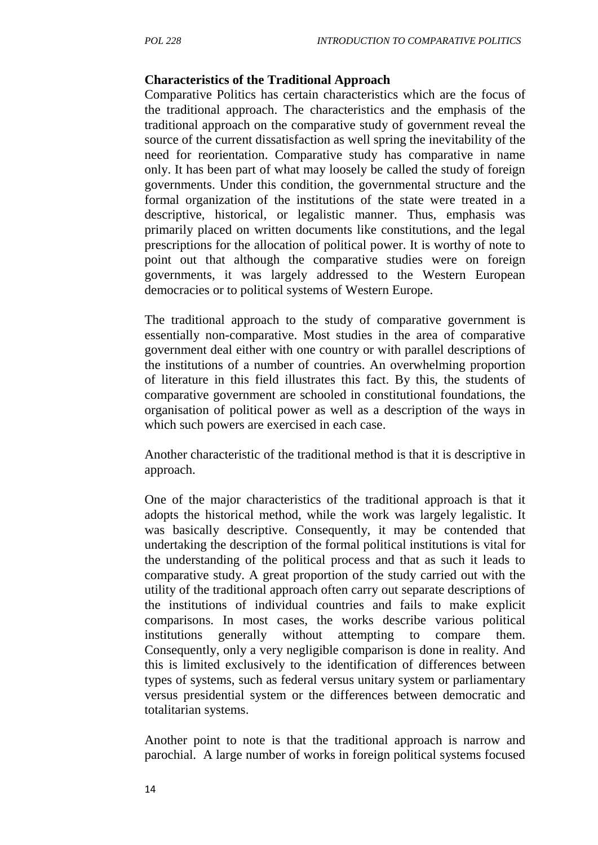#### **Characteristics of the Traditional Approach**

Comparative Politics has certain characteristics which are the focus of the traditional approach. The characteristics and the emphasis of the traditional approach on the comparative study of government reveal the source of the current dissatisfaction as well spring the inevitability of the need for reorientation. Comparative study has comparative in name only. It has been part of what may loosely be called the study of foreign governments. Under this condition, the governmental structure and the formal organization of the institutions of the state were treated in a descriptive, historical, or legalistic manner. Thus, emphasis was primarily placed on written documents like constitutions, and the legal prescriptions for the allocation of political power. It is worthy of note to point out that although the comparative studies were on foreign governments, it was largely addressed to the Western European democracies or to political systems of Western Europe.

The traditional approach to the study of comparative government is essentially non-comparative. Most studies in the area of comparative government deal either with one country or with parallel descriptions of the institutions of a number of countries. An overwhelming proportion of literature in this field illustrates this fact. By this, the students of comparative government are schooled in constitutional foundations, the organisation of political power as well as a description of the ways in which such powers are exercised in each case.

Another characteristic of the traditional method is that it is descriptive in approach.

One of the major characteristics of the traditional approach is that it adopts the historical method, while the work was largely legalistic. It was basically descriptive. Consequently, it may be contended that undertaking the description of the formal political institutions is vital for the understanding of the political process and that as such it leads to comparative study. A great proportion of the study carried out with the utility of the traditional approach often carry out separate descriptions of the institutions of individual countries and fails to make explicit comparisons. In most cases, the works describe various political institutions generally without attempting to compare them. Consequently, only a very negligible comparison is done in reality. And this is limited exclusively to the identification of differences between types of systems, such as federal versus unitary system or parliamentary versus presidential system or the differences between democratic and totalitarian systems.

Another point to note is that the traditional approach is narrow and parochial. A large number of works in foreign political systems focused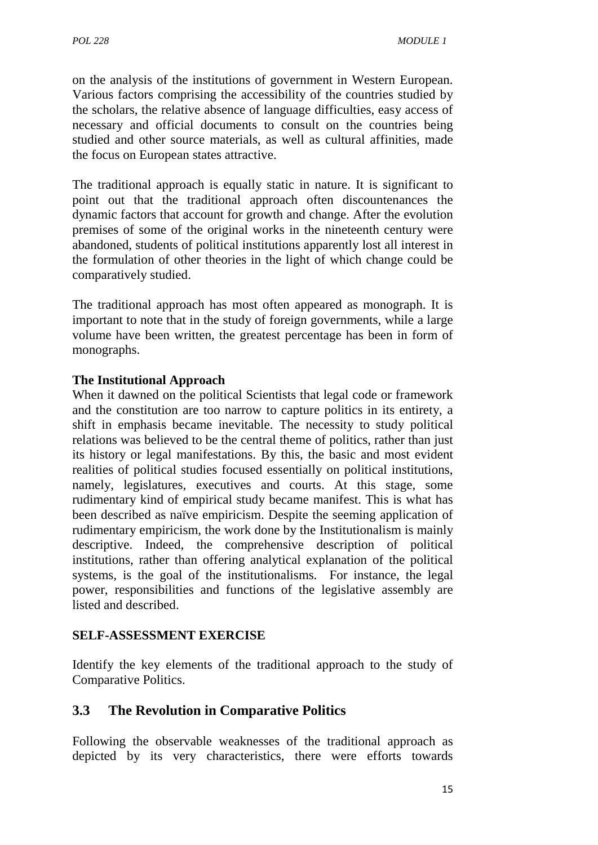on the analysis of the institutions of government in Western European. Various factors comprising the accessibility of the countries studied by the scholars, the relative absence of language difficulties, easy access of necessary and official documents to consult on the countries being studied and other source materials, as well as cultural affinities, made the focus on European states attractive.

The traditional approach is equally static in nature. It is significant to point out that the traditional approach often discountenances the dynamic factors that account for growth and change. After the evolution premises of some of the original works in the nineteenth century were abandoned, students of political institutions apparently lost all interest in the formulation of other theories in the light of which change could be comparatively studied.

The traditional approach has most often appeared as monograph. It is important to note that in the study of foreign governments, while a large volume have been written, the greatest percentage has been in form of monographs.

## **The Institutional Approach**

When it dawned on the political Scientists that legal code or framework and the constitution are too narrow to capture politics in its entirety, a shift in emphasis became inevitable. The necessity to study political relations was believed to be the central theme of politics, rather than just its history or legal manifestations. By this, the basic and most evident realities of political studies focused essentially on political institutions, namely, legislatures, executives and courts. At this stage, some rudimentary kind of empirical study became manifest. This is what has been described as naïve empiricism. Despite the seeming application of rudimentary empiricism, the work done by the Institutionalism is mainly descriptive. Indeed, the comprehensive description of political institutions, rather than offering analytical explanation of the political systems, is the goal of the institutionalisms. For instance, the legal power, responsibilities and functions of the legislative assembly are listed and described.

#### **SELF-ASSESSMENT EXERCISE**

Identify the key elements of the traditional approach to the study of Comparative Politics.

## **3.3 The Revolution in Comparative Politics**

Following the observable weaknesses of the traditional approach as depicted by its very characteristics, there were efforts towards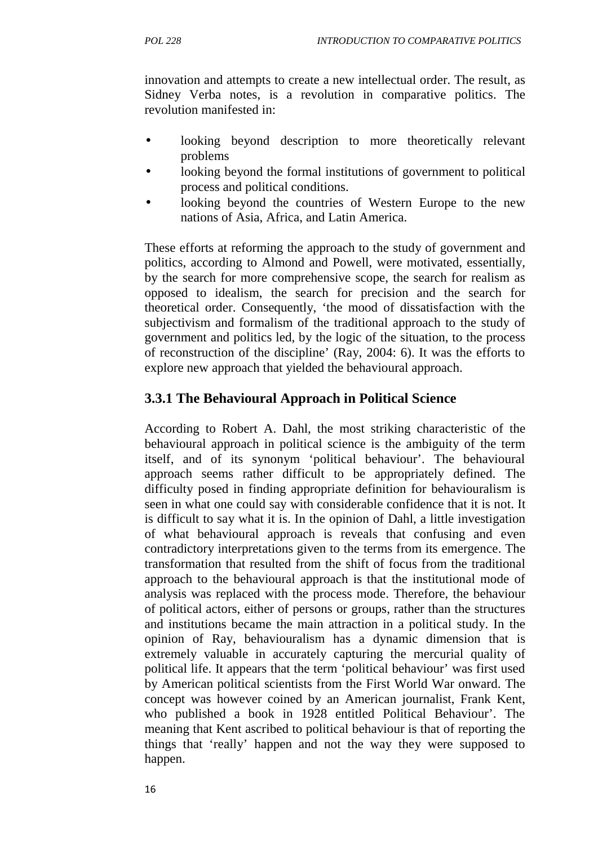innovation and attempts to create a new intellectual order. The result, as Sidney Verba notes, is a revolution in comparative politics. The revolution manifested in:

- looking beyond description to more theoretically relevant problems
- looking beyond the formal institutions of government to political process and political conditions.
- looking beyond the countries of Western Europe to the new nations of Asia, Africa, and Latin America.

These efforts at reforming the approach to the study of government and politics, according to Almond and Powell, were motivated, essentially, by the search for more comprehensive scope, the search for realism as opposed to idealism, the search for precision and the search for theoretical order. Consequently, 'the mood of dissatisfaction with the subjectivism and formalism of the traditional approach to the study of government and politics led, by the logic of the situation, to the process of reconstruction of the discipline' (Ray, 2004: 6). It was the efforts to explore new approach that yielded the behavioural approach.

# **3.3.1 The Behavioural Approach in Political Science**

According to Robert A. Dahl, the most striking characteristic of the behavioural approach in political science is the ambiguity of the term itself, and of its synonym 'political behaviour'. The behavioural approach seems rather difficult to be appropriately defined. The difficulty posed in finding appropriate definition for behaviouralism is seen in what one could say with considerable confidence that it is not. It is difficult to say what it is. In the opinion of Dahl, a little investigation of what behavioural approach is reveals that confusing and even contradictory interpretations given to the terms from its emergence. The transformation that resulted from the shift of focus from the traditional approach to the behavioural approach is that the institutional mode of analysis was replaced with the process mode. Therefore, the behaviour of political actors, either of persons or groups, rather than the structures and institutions became the main attraction in a political study. In the opinion of Ray, behaviouralism has a dynamic dimension that is extremely valuable in accurately capturing the mercurial quality of political life. It appears that the term 'political behaviour' was first used by American political scientists from the First World War onward. The concept was however coined by an American journalist, Frank Kent, who published a book in 1928 entitled Political Behaviour'. The meaning that Kent ascribed to political behaviour is that of reporting the things that 'really' happen and not the way they were supposed to happen.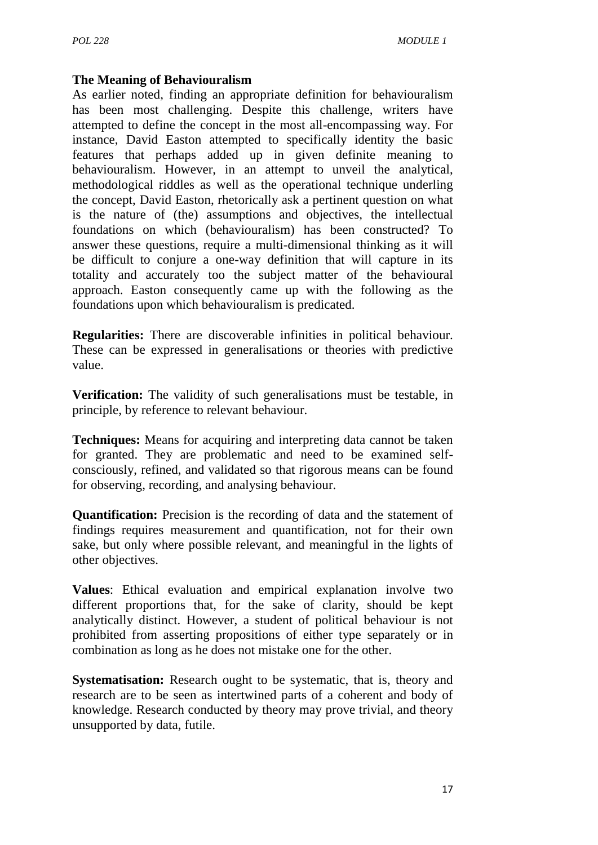#### **The Meaning of Behaviouralism**

As earlier noted, finding an appropriate definition for behaviouralism has been most challenging. Despite this challenge, writers have attempted to define the concept in the most all-encompassing way. For instance, David Easton attempted to specifically identity the basic features that perhaps added up in given definite meaning to behaviouralism. However, in an attempt to unveil the analytical, methodological riddles as well as the operational technique underling the concept, David Easton, rhetorically ask a pertinent question on what is the nature of (the) assumptions and objectives, the intellectual foundations on which (behaviouralism) has been constructed? To answer these questions, require a multi-dimensional thinking as it will be difficult to conjure a one-way definition that will capture in its totality and accurately too the subject matter of the behavioural approach. Easton consequently came up with the following as the foundations upon which behaviouralism is predicated.

**Regularities:** There are discoverable infinities in political behaviour. These can be expressed in generalisations or theories with predictive value.

**Verification:** The validity of such generalisations must be testable, in principle, by reference to relevant behaviour.

**Techniques:** Means for acquiring and interpreting data cannot be taken for granted. They are problematic and need to be examined self consciously, refined, and validated so that rigorous means can be found for observing, recording, and analysing behaviour.

**Quantification:** Precision is the recording of data and the statement of findings requires measurement and quantification, not for their own sake, but only where possible relevant, and meaningful in the lights of other objectives.

**Values**: Ethical evaluation and empirical explanation involve two different proportions that, for the sake of clarity, should be kept analytically distinct. However, a student of political behaviour is not prohibited from asserting propositions of either type separately or in combination as long as he does not mistake one for the other.

**Systematisation:** Research ought to be systematic, that is, theory and research are to be seen as intertwined parts of a coherent and body of knowledge. Research conducted by theory may prove trivial, and theory unsupported by data, futile.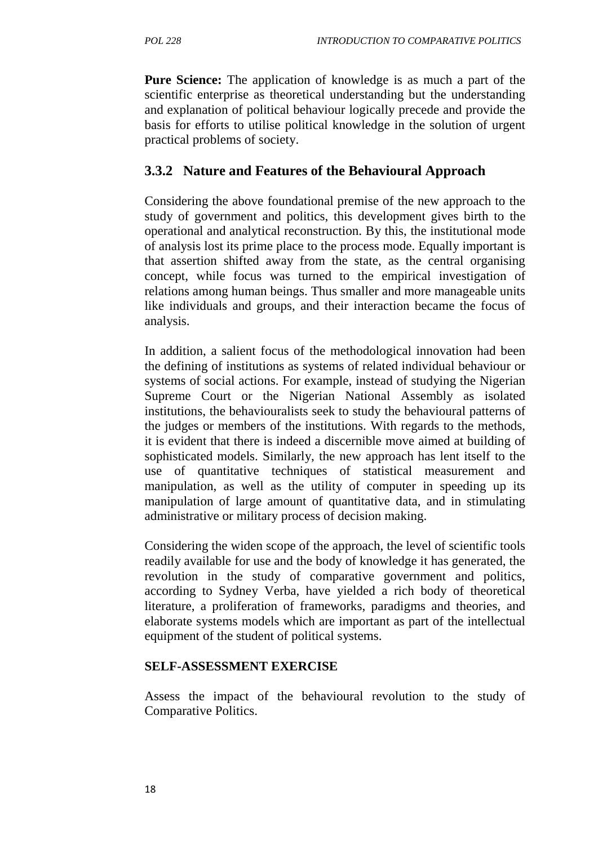**Pure Science:** The application of knowledge is as much a part of the scientific enterprise as theoretical understanding but the understanding and explanation of political behaviour logically precede and provide the basis for efforts to utilise political knowledge in the solution of urgent practical problems of society.

## **3.3.2 Nature and Features of the Behavioural Approach**

Considering the above foundational premise of the new approach to the study of government and politics, this development gives birth to the operational and analytical reconstruction. By this, the institutional mode of analysis lost its prime place to the process mode. Equally important is that assertion shifted away from the state, as the central organising concept, while focus was turned to the empirical investigation of relations among human beings. Thus smaller and more manageable units like individuals and groups, and their interaction became the focus of analysis.

In addition, a salient focus of the methodological innovation had been the defining of institutions as systems of related individual behaviour or systems of social actions. For example, instead of studying the Nigerian Supreme Court or the Nigerian National Assembly as isolated institutions, the behaviouralists seek to study the behavioural patterns of the judges or members of the institutions. With regards to the methods, it is evident that there is indeed a discernible move aimed at building of sophisticated models. Similarly, the new approach has lent itself to the use of quantitative techniques of statistical measurement and manipulation, as well as the utility of computer in speeding up its manipulation of large amount of quantitative data, and in stimulating administrative or military process of decision making.

Considering the widen scope of the approach, the level of scientific tools readily available for use and the body of knowledge it has generated, the revolution in the study of comparative government and politics, according to Sydney Verba, have yielded a rich body of theoretical literature, a proliferation of frameworks, paradigms and theories, and elaborate systems models which are important as part of the intellectual equipment of the student of political systems.

#### **SELF-ASSESSMENT EXERCISE**

Assess the impact of the behavioural revolution to the study of Comparative Politics.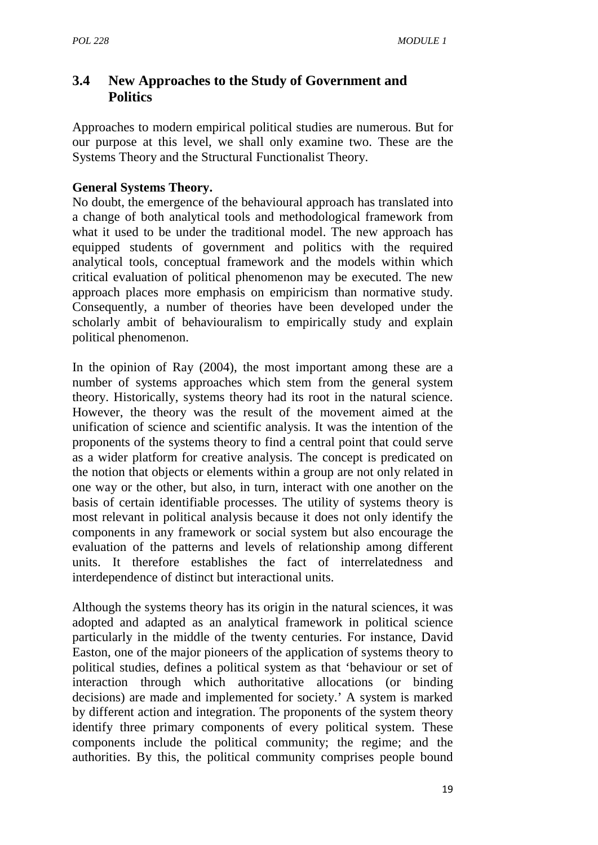## **3.4 New Approaches to the Study of Government and Politics**

Approaches to modern empirical political studies are numerous. But for our purpose at this level, we shall only examine two. These are the Systems Theory and the Structural Functionalist Theory.

## **General Systems Theory.**

No doubt, the emergence of the behavioural approach has translated into a change of both analytical tools and methodological framework from what it used to be under the traditional model. The new approach has equipped students of government and politics with the required analytical tools, conceptual framework and the models within which critical evaluation of political phenomenon may be executed. The new approach places more emphasis on empiricism than normative study. Consequently, a number of theories have been developed under the scholarly ambit of behaviouralism to empirically study and explain political phenomenon.

In the opinion of Ray (2004), the most important among these are a number of systems approaches which stem from the general system theory. Historically, systems theory had its root in the natural science. However, the theory was the result of the movement aimed at the unification of science and scientific analysis. It was the intention of the proponents of the systems theory to find a central point that could serve as a wider platform for creative analysis. The concept is predicated on the notion that objects or elements within a group are not only related in one way or the other, but also, in turn, interact with one another on the basis of certain identifiable processes. The utility of systems theory is most relevant in political analysis because it does not only identify the components in any framework or social system but also encourage the evaluation of the patterns and levels of relationship among different units. It therefore establishes the fact of interrelatedness and interdependence of distinct but interactional units.

Although the systems theory has its origin in the natural sciences, it was adopted and adapted as an analytical framework in political science particularly in the middle of the twenty centuries. For instance, David Easton, one of the major pioneers of the application of systems theory to political studies, defines a political system as that 'behaviour or set of interaction through which authoritative allocations (or binding decisions) are made and implemented for society.' A system is marked by different action and integration. The proponents of the system theory identify three primary components of every political system. These components include the political community; the regime; and the authorities. By this, the political community comprises people bound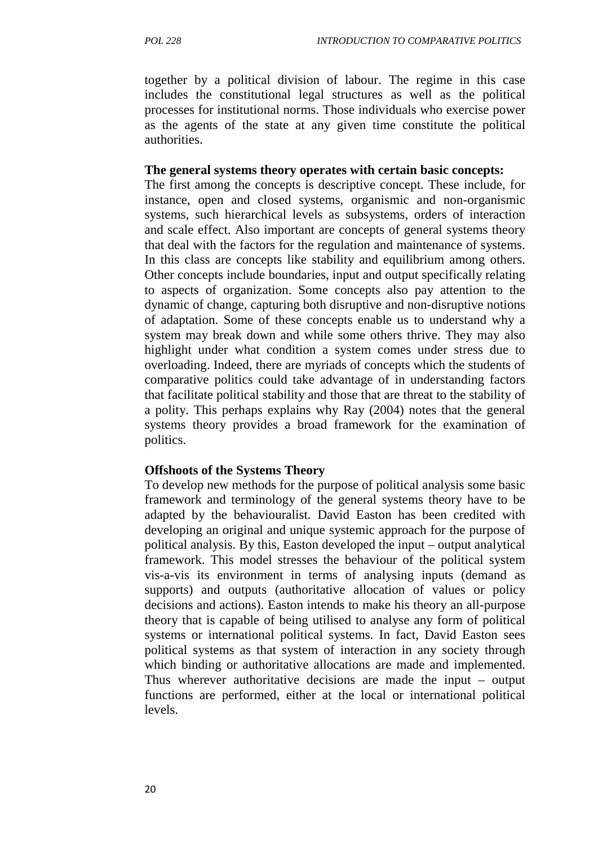together by a political division of labour. The regime in this case includes the constitutional legal structures as well as the political processes for institutional norms. Those individuals who exercise power as the agents of the state at any given time constitute the political authorities.

#### **The general systems theory operates with certain basic concepts:**

The first among the concepts is descriptive concept. These include, for instance, open and closed systems, organismic and non-organismic systems, such hierarchical levels as subsystems, orders of interaction and scale effect. Also important are concepts of general systems theory that deal with the factors for the regulation and maintenance of systems. In this class are concepts like stability and equilibrium among others. Other concepts include boundaries, input and output specifically relating to aspects of organization. Some concepts also pay attention to the dynamic of change, capturing both disruptive and non-disruptive notions of adaptation. Some of these concepts enable us to understand why a system may break down and while some others thrive. They may also highlight under what condition a system comes under stress due to overloading. Indeed, there are myriads of concepts which the students of comparative politics could take advantage of in understanding factors that facilitate political stability and those that are threat to the stability of a polity. This perhaps explains why Ray (2004) notes that the general systems theory provides a broad framework for the examination of politics.

#### **Offshoots of the Systems Theory**

To develop new methods for the purpose of political analysis some basic framework and terminology of the general systems theory have to be adapted by the behaviouralist. David Easton has been credited with developing an original and unique systemic approach for the purpose of political analysis. By this, Easton developed the input – output analytical framework. This model stresses the behaviour of the political system vis-a-vis its environment in terms of analysing inputs (demand as supports) and outputs (authoritative allocation of values or policy decisions and actions). Easton intends to make his theory an all-purpose theory that is capable of being utilised to analyse any form of political systems or international political systems. In fact, David Easton sees political systems as that system of interaction in any society through which binding or authoritative allocations are made and implemented. Thus wherever authoritative decisions are made the input – output functions are performed, either at the local or international political levels.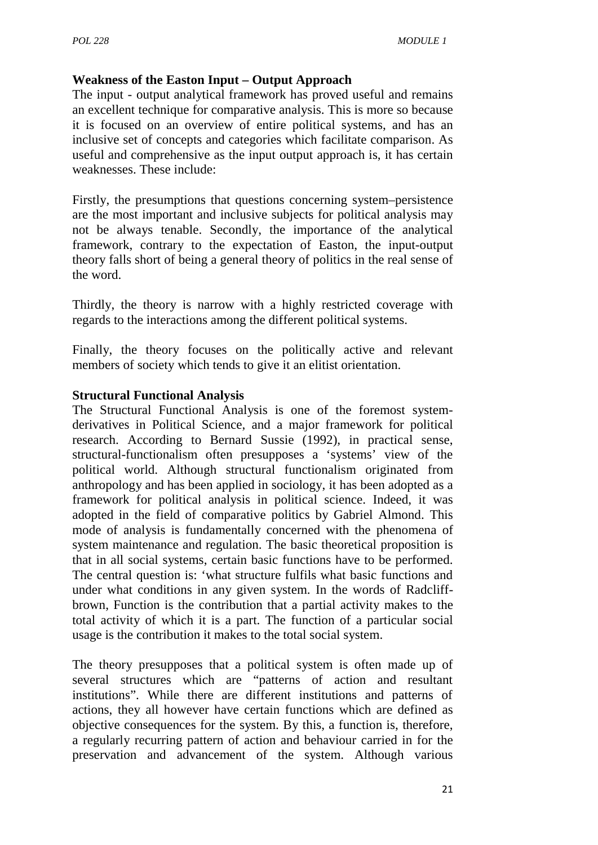#### **Weakness of the Easton Input – Output Approach**

The input - output analytical framework has proved useful and remains an excellent technique for comparative analysis. This is more so because it is focused on an overview of entire political systems, and has an inclusive set of concepts and categories which facilitate comparison. As useful and comprehensive as the input output approach is, it has certain weaknesses. These include:

Firstly, the presumptions that questions concerning system–persistence are the most important and inclusive subjects for political analysis may not be always tenable. Secondly, the importance of the analytical framework, contrary to the expectation of Easton, the input-output theory falls short of being a general theory of politics in the real sense of the word.

Thirdly, the theory is narrow with a highly restricted coverage with regards to the interactions among the different political systems.

Finally, the theory focuses on the politically active and relevant members of society which tends to give it an elitist orientation.

#### **Structural Functional Analysis**

The Structural Functional Analysis is one of the foremost system derivatives in Political Science, and a major framework for political research. According to Bernard Sussie (1992), in practical sense, structural-functionalism often presupposes a 'systems' view of the political world. Although structural functionalism originated from anthropology and has been applied in sociology, it has been adopted as a framework for political analysis in political science. Indeed, it was adopted in the field of comparative politics by Gabriel Almond. This mode of analysis is fundamentally concerned with the phenomena of system maintenance and regulation. The basic theoretical proposition is that in all social systems, certain basic functions have to be performed. The central question is: 'what structure fulfils what basic functions and under what conditions in any given system. In the words of Radcliff brown, Function is the contribution that a partial activity makes to the total activity of which it is a part. The function of a particular social usage is the contribution it makes to the total social system.

The theory presupposes that a political system is often made up of several structures which are "patterns of action and resultant institutions". While there are different institutions and patterns of actions, they all however have certain functions which are defined as objective consequences for the system. By this, a function is, therefore, a regularly recurring pattern of action and behaviour carried in for the preservation and advancement of the system. Although various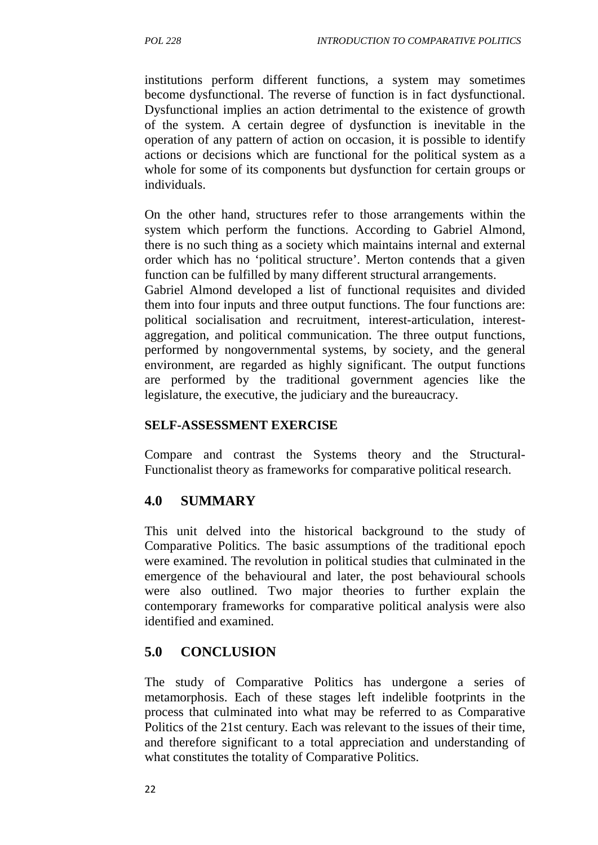institutions perform different functions, a system may sometimes become dysfunctional. The reverse of function is in fact dysfunctional. Dysfunctional implies an action detrimental to the existence of growth of the system. A certain degree of dysfunction is inevitable in the operation of any pattern of action on occasion, it is possible to identify actions or decisions which are functional for the political system as a whole for some of its components but dysfunction for certain groups or individuals.

On the other hand, structures refer to those arrangements within the system which perform the functions. According to Gabriel Almond, there is no such thing as a society which maintains internal and external order which has no 'political structure'. Merton contends that a given function can be fulfilled by many different structural arrangements.

Gabriel Almond developed a list of functional requisites and divided them into four inputs and three output functions. The four functions are: political socialisation and recruitment, interest-articulation, interest aggregation, and political communication. The three output functions, performed by nongovernmental systems, by society, and the general environment, are regarded as highly significant. The output functions are performed by the traditional government agencies like the legislature, the executive, the judiciary and the bureaucracy.

#### **SELF-ASSESSMENT EXERCISE**

Compare and contrast the Systems theory and the Structural- Functionalist theory as frameworks for comparative political research.

## **4.0 SUMMARY**

This unit delved into the historical background to the study of Comparative Politics. The basic assumptions of the traditional epoch were examined. The revolution in political studies that culminated in the emergence of the behavioural and later, the post behavioural schools were also outlined. Two major theories to further explain the contemporary frameworks for comparative political analysis were also identified and examined.

#### **5.0 CONCLUSION**

The study of Comparative Politics has undergone a series of metamorphosis. Each of these stages left indelible footprints in the process that culminated into what may be referred to as Comparative Politics of the 21st century. Each was relevant to the issues of their time, and therefore significant to a total appreciation and understanding of what constitutes the totality of Comparative Politics.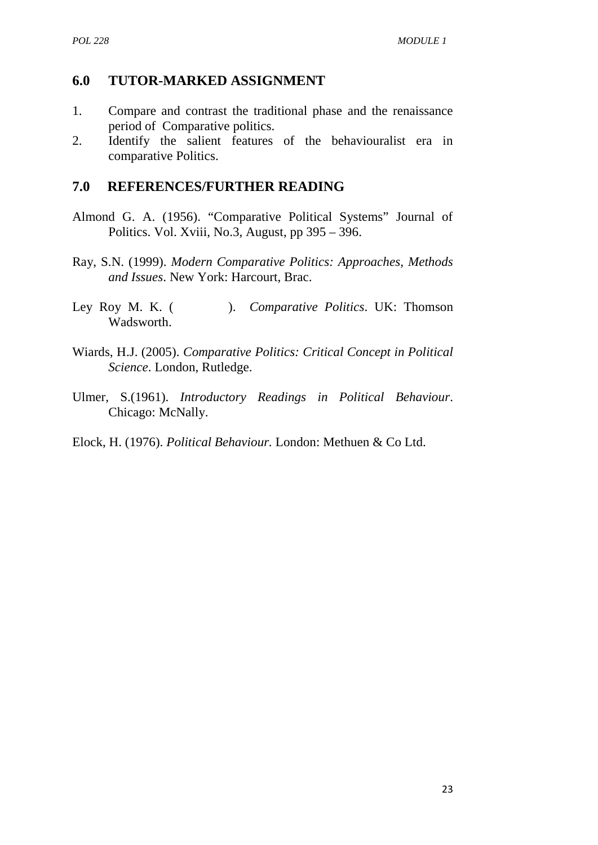#### **6.0 TUTOR-MARKED ASSIGNMENT**

- 1. Compare and contrast the traditional phase and the renaissance period of Comparative politics.
- 2. Identify the salient features of the behaviouralist era in comparative Politics.

## **7.0 REFERENCES/FURTHER READING**

- Almond G. A. (1956). "Comparative Political Systems" Journal of Politics. Vol. Xviii, No.3, August, pp 395 – 396.
- Ray, S.N. (1999). *Modern Comparative Politics: Approaches, Methods and Issues*. New York: Harcourt, Brac.
- Ley Roy M. K. ( ). *Comparative Politics*. UK: Thomson Wadsworth.
- Wiards, H.J. (2005). *Comparative Politics: Critical Concept in Political Science*. London, Rutledge.
- Ulmer, S.(1961). *Introductory Readings in Political Behaviour*. Chicago: McNally.
- Elock, H. (1976). *Political Behaviour.* London: Methuen & Co Ltd.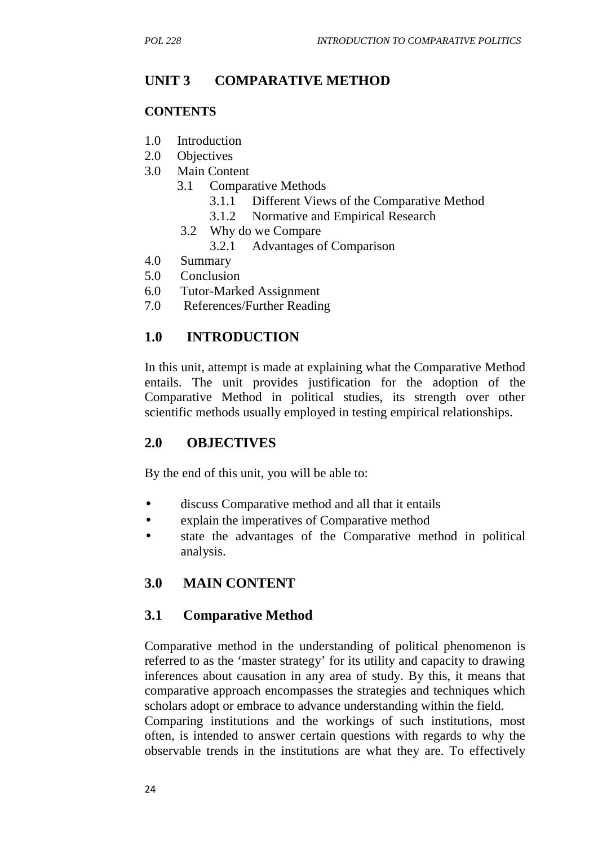# **UNIT 3 COMPARATIVE METHOD**

#### **CONTENTS**

- 1.0 Introduction
- 2.0 Objectives
- 3.0 Main Content
	- 3.1 Comparative Methods
		- 3.1.1 Different Views of the Comparative Method
		- 3.1.2 Normative and Empirical Research
		- 3.2 Why do we Compare
			- 3.2.1 Advantages of Comparison
- 4.0 Summary
- 5.0 Conclusion
- 6.0 Tutor-Marked Assignment
- 7.0 References/Further Reading

# **1.0 INTRODUCTION**

In this unit, attempt is made at explaining what the Comparative Method entails. The unit provides justification for the adoption of the Comparative Method in political studies, its strength over other scientific methods usually employed in testing empirical relationships.

## **2.0 OBJECTIVES**

By the end of this unit, you will be able to:

- discuss Comparative method and all that it entails
- explain the imperatives of Comparative method
- state the advantages of the Comparative method in political analysis.

# **3.0 MAIN CONTENT**

## **3.1 Comparative Method**

Comparative method in the understanding of political phenomenon is referred to as the 'master strategy' for its utility and capacity to drawing inferences about causation in any area of study. By this, it means that comparative approach encompasses the strategies and techniques which scholars adopt or embrace to advance understanding within the field.

Comparing institutions and the workings of such institutions, most often, is intended to answer certain questions with regards to why the observable trends in the institutions are what they are. To effectively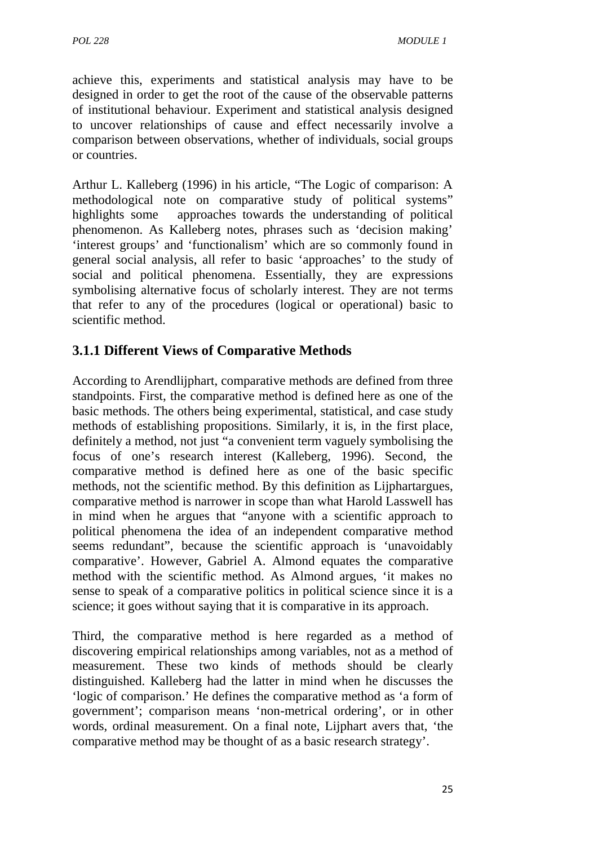achieve this, experiments and statistical analysis may have to be designed in order to get the root of the cause of the observable patterns of institutional behaviour. Experiment and statistical analysis designed to uncover relationships of cause and effect necessarily involve a comparison between observations, whether of individuals, social groups or countries.

Arthur L. Kalleberg (1996) in his article, "The Logic of comparison: A methodological note on comparative study of political systems" highlights some approaches towards the understanding of political phenomenon. As Kalleberg notes, phrases such as 'decision making' 'interest groups' and 'functionalism' which are so commonly found in general social analysis, all refer to basic 'approaches' to the study of social and political phenomena. Essentially, they are expressions symbolising alternative focus of scholarly interest. They are not terms that refer to any of the procedures (logical or operational) basic to scientific method.

# **3.1.1 Different Views of Comparative Methods**

According to Arendlijphart, comparative methods are defined from three standpoints. First, the comparative method is defined here as one of the basic methods. The others being experimental, statistical, and case study methods of establishing propositions. Similarly, it is, in the first place, definitely a method, not just "a convenient term vaguely symbolising the focus of one's research interest (Kalleberg, 1996). Second, the comparative method is defined here as one of the basic specific methods, not the scientific method. By this definition as Lijphartargues, comparative method is narrower in scope than what Harold Lasswell has in mind when he argues that "anyone with a scientific approach to political phenomena the idea of an independent comparative method seems redundant", because the scientific approach is 'unavoidably comparative'. However, Gabriel A. Almond equates the comparative method with the scientific method. As Almond argues, 'it makes no sense to speak of a comparative politics in political science since it is a science; it goes without saying that it is comparative in its approach.

Third, the comparative method is here regarded as a method of discovering empirical relationships among variables, not as a method of measurement. These two kinds of methods should be clearly distinguished. Kalleberg had the latter in mind when he discusses the 'logic of comparison.' He defines the comparative method as 'a form of government'; comparison means 'non-metrical ordering', or in other words, ordinal measurement. On a final note, Lijphart avers that, 'the comparative method may be thought of as a basic research strategy'.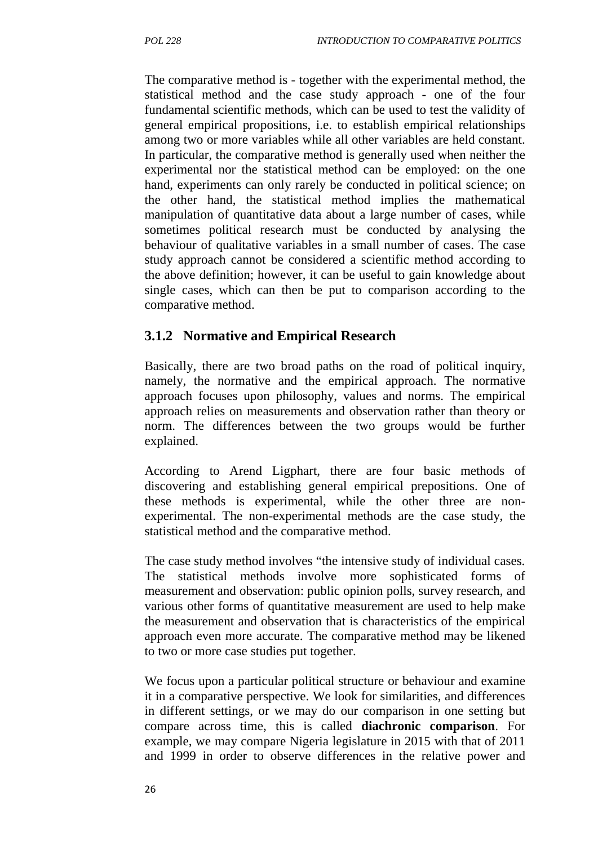The comparative method is - together with the experimental method, the statistical method and the case study approach - one of the four fundamental scientific methods, which can be used to test the validity of general empirical propositions, i.e. to establish empirical relationships among two or more variables while all other variables are held constant. In particular, the comparative method is generally used when neither the experimental nor the statistical method can be employed: on the one hand, experiments can only rarely be conducted in political science; on the other hand, the statistical method implies the mathematical manipulation of quantitative data about a large number of cases, while sometimes political research must be conducted by analysing the behaviour of qualitative variables in a small number of cases. The case study approach cannot be considered a scientific method according to the above definition; however, it can be useful to gain knowledge about single cases, which can then be put to comparison according to the comparative method.

#### **3.1.2 Normative and Empirical Research**

Basically, there are two broad paths on the road of political inquiry, namely, the normative and the empirical approach. The normative approach focuses upon philosophy, values and norms. The empirical approach relies on measurements and observation rather than theory or norm. The differences between the two groups would be further explained.

According to Arend Ligphart, there are four basic methods of discovering and establishing general empirical prepositions. One of these methods is experimental, while the other three are non experimental. The non-experimental methods are the case study, the statistical method and the comparative method.

The case study method involves "the intensive study of individual cases. The statistical methods involve more sophisticated forms of measurement and observation: public opinion polls, survey research, and various other forms of quantitative measurement are used to help make the measurement and observation that is characteristics of the empirical approach even more accurate. The comparative method may be likened to two or more case studies put together.

We focus upon a particular political structure or behaviour and examine it in a comparative perspective. We look for similarities, and differences in different settings, or we may do our comparison in one setting but compare across time, this is called **diachronic comparison**. For example, we may compare Nigeria legislature in 2015 with that of 2011 and 1999 in order to observe differences in the relative power and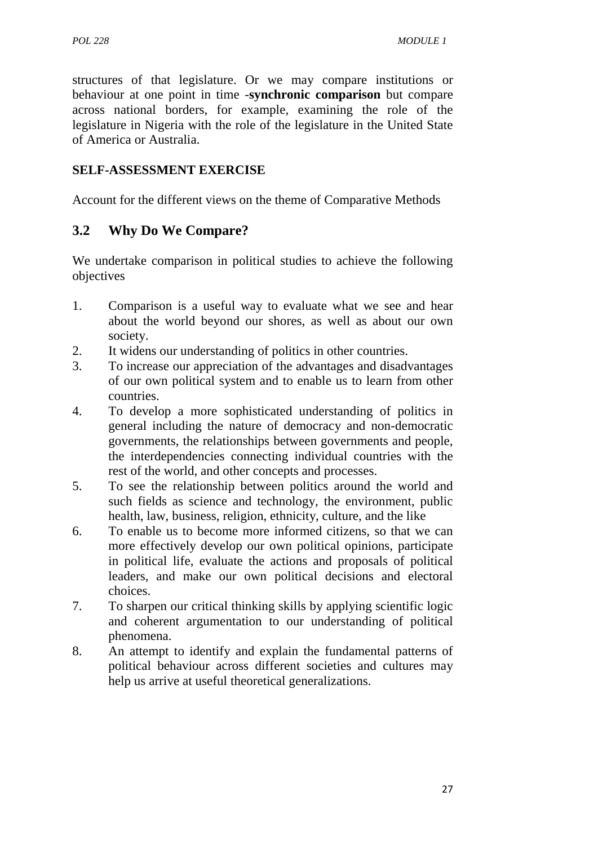structures of that legislature. Or we may compare institutions or behaviour at one point in time -**synchronic comparison** but compare across national borders, for example, examining the role of the legislature in Nigeria with the role of the legislature in the United State of America or Australia.

#### **SELF-ASSESSMENT EXERCISE**

Account for the different views on the theme of Comparative Methods

## **3.2 Why Do We Compare?**

We undertake comparison in political studies to achieve the following objectives

- 1. Comparison is a useful way to evaluate what we see and hear about the world beyond our shores, as well as about our own society.
- 2. It widens our understanding of politics in other countries.
- 3. To increase our appreciation of the advantages and disadvantages of our own political system and to enable us to learn from other countries.
- 4. To develop a more sophisticated understanding of politics in general including the nature of democracy and non-democratic governments, the relationships between governments and people, the interdependencies connecting individual countries with the rest of the world, and other concepts and processes.
- 5. To see the relationship between politics around the world and such fields as science and technology, the environment, public health, law, business, religion, ethnicity, culture, and the like
- 6. To enable us to become more informed citizens, so that we can more effectively develop our own political opinions, participate in political life, evaluate the actions and proposals of political leaders, and make our own political decisions and electoral choices.
- 7. To sharpen our critical thinking skills by applying scientific logic and coherent argumentation to our understanding of political phenomena.
- 8. An attempt to identify and explain the fundamental patterns of political behaviour across different societies and cultures may help us arrive at useful theoretical generalizations.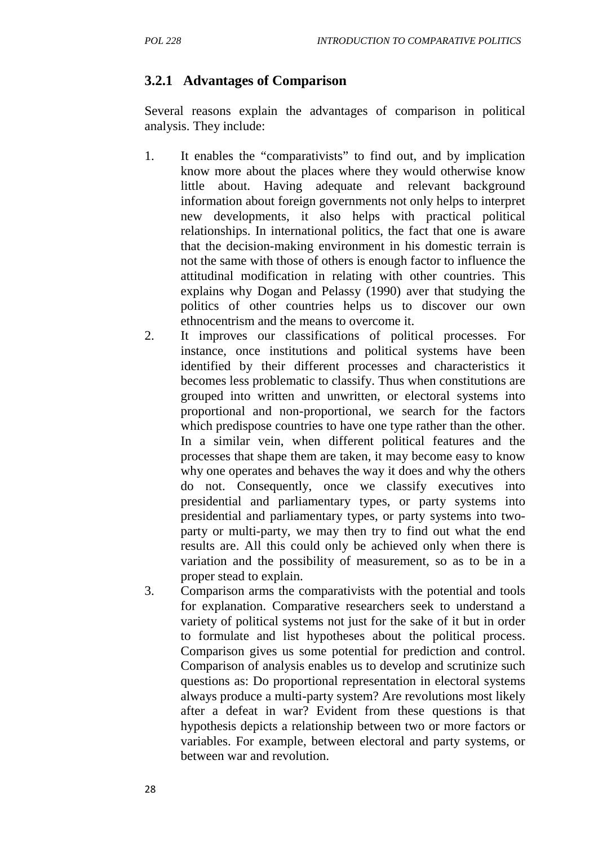# **3.2.1 Advantages of Comparison**

Several reasons explain the advantages of comparison in political analysis. They include:

- 1. It enables the "comparativists" to find out, and by implication know more about the places where they would otherwise know little about. Having adequate and relevant background information about foreign governments not only helps to interpret new developments, it also helps with practical political relationships. In international politics, the fact that one is aware that the decision-making environment in his domestic terrain is not the same with those of others is enough factor to influence the attitudinal modification in relating with other countries. This explains why Dogan and Pelassy (1990) aver that studying the politics of other countries helps us to discover our own ethnocentrism and the means to overcome it.
- 2. It improves our classifications of political processes. For instance, once institutions and political systems have been identified by their different processes and characteristics it becomes less problematic to classify. Thus when constitutions are grouped into written and unwritten, or electoral systems into proportional and non-proportional, we search for the factors which predispose countries to have one type rather than the other. In a similar vein, when different political features and the processes that shape them are taken, it may become easy to know why one operates and behaves the way it does and why the others do not. Consequently, once we classify executives into presidential and parliamentary types, or party systems into presidential and parliamentary types, or party systems into two party or multi-party, we may then try to find out what the end results are. All this could only be achieved only when there is variation and the possibility of measurement, so as to be in a proper stead to explain.
- 3. Comparison arms the comparativists with the potential and tools for explanation. Comparative researchers seek to understand a variety of political systems not just for the sake of it but in order to formulate and list hypotheses about the political process. Comparison gives us some potential for prediction and control. Comparison of analysis enables us to develop and scrutinize such questions as: Do proportional representation in electoral systems always produce a multi-party system? Are revolutions most likely after a defeat in war? Evident from these questions is that hypothesis depicts a relationship between two or more factors or variables. For example, between electoral and party systems, or between war and revolution.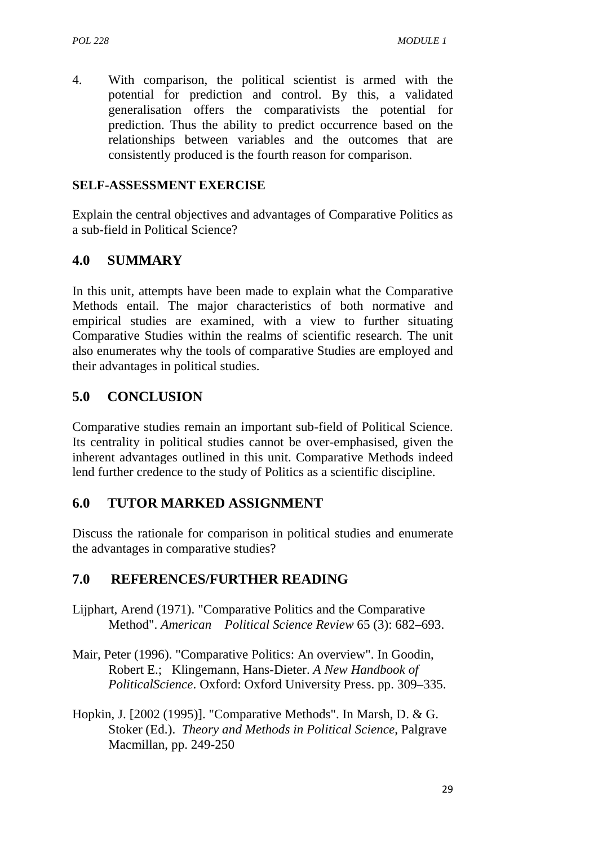4. With comparison, the political scientist is armed with the potential for prediction and control. By this, a validated generalisation offers the comparativists the potential for prediction. Thus the ability to predict occurrence based on the relationships between variables and the outcomes that are consistently produced is the fourth reason for comparison.

#### **SELF-ASSESSMENT EXERCISE**

Explain the central objectives and advantages of Comparative Politics as a sub-field in Political Science?

## **4.0 SUMMARY**

In this unit, attempts have been made to explain what the Comparative Methods entail. The major characteristics of both normative and empirical studies are examined, with a view to further situating Comparative Studies within the realms of scientific research. The unit also enumerates why the tools of comparative Studies are employed and their advantages in political studies.

# **5.0 CONCLUSION**

Comparative studies remain an important sub-field of Political Science. Its centrality in political studies cannot be over-emphasised, given the inherent advantages outlined in this unit. Comparative Methods indeed lend further credence to the study of Politics as a scientific discipline.

## **6.0 TUTOR MARKED ASSIGNMENT**

Discuss the rationale for comparison in political studies and enumerate the advantages in comparative studies?

## **7.0 REFERENCES/FURTHER READING**

- Lijphart, Arend (1971). "Comparative Politics and the Comparative Method". *American Political Science Review* 65 (3): 682–693.
- Mair, Peter (1996). "Comparative Politics: An overview". In Goodin, Robert E.; Klingemann, Hans-Dieter. *A New Handbook of PoliticalScience*. Oxford: Oxford University Press. pp. 309–335.
- Hopkin, J. [2002 (1995)]. "Comparative Methods". In Marsh, D. & G. Stoker (Ed.). *Theory and Methods in Political Science*, Palgrave Macmillan, pp. 249-250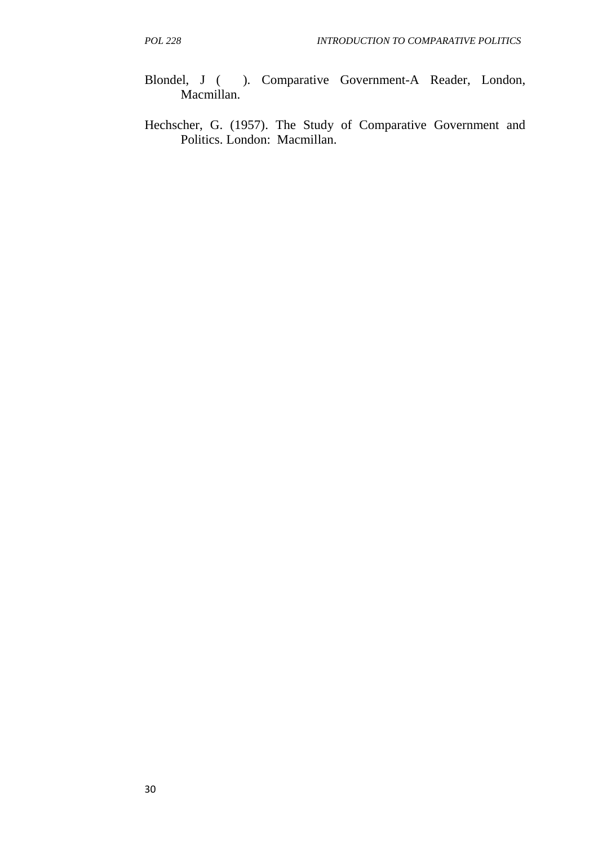- Blondel, J ( ). Comparative Government-A Reader, London, Macmillan.
- Hechscher, G. (1957). The Study of Comparative Government and Politics. London: Macmillan.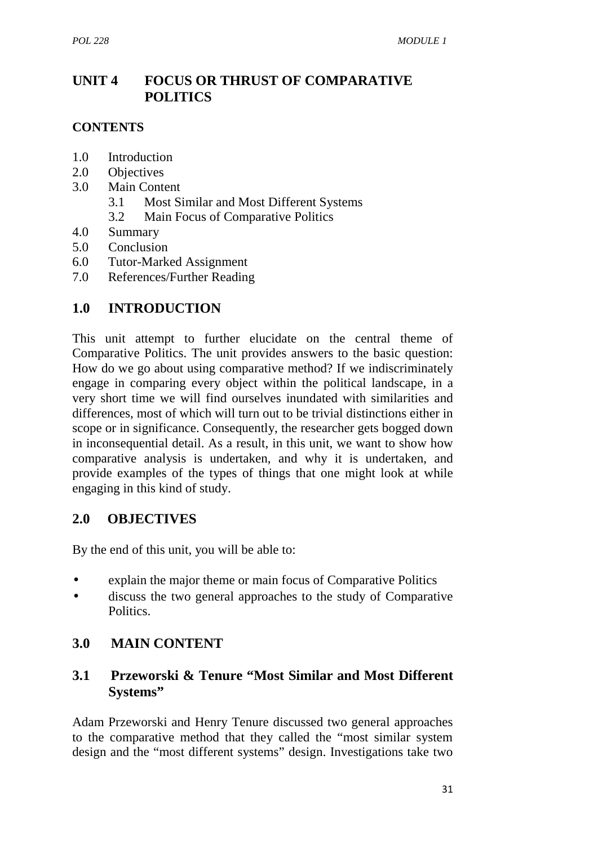# **UNIT 4 FOCUS OR THRUST OF COMPARATIVE POLITICS**

#### **CONTENTS**

- 1.0 Introduction
- 2.0 Objectives
- 3.0 Main Content
	- 3.1 Most Similar and Most Different Systems
	- 3.2 Main Focus of Comparative Politics
- 4.0 Summary
- 5.0 Conclusion
- 6.0 Tutor-Marked Assignment
- 7.0 References/Further Reading

# **1.0 INTRODUCTION**

This unit attempt to further elucidate on the central theme of Comparative Politics. The unit provides answers to the basic question: How do we go about using comparative method? If we indiscriminately engage in comparing every object within the political landscape, in a very short time we will find ourselves inundated with similarities and differences, most of which will turn out to be trivial distinctions either in scope or in significance. Consequently, the researcher gets bogged down in inconsequential detail. As a result, in this unit, we want to show how comparative analysis is undertaken, and why it is undertaken, and provide examples of the types of things that one might look at while engaging in this kind of study.

## **2.0 OBJECTIVES**

By the end of this unit, you will be able to:

- explain the major theme or main focus of Comparative Politics
- discuss the two general approaches to the study of Comparative Politics.

# **3.0 MAIN CONTENT**

## **3.1 Przeworski & Tenure "Most Similar and Most Different Systems"**

Adam Przeworski and Henry Tenure discussed two general approaches to the comparative method that they called the "most similar system design and the "most different systems" design. Investigations take two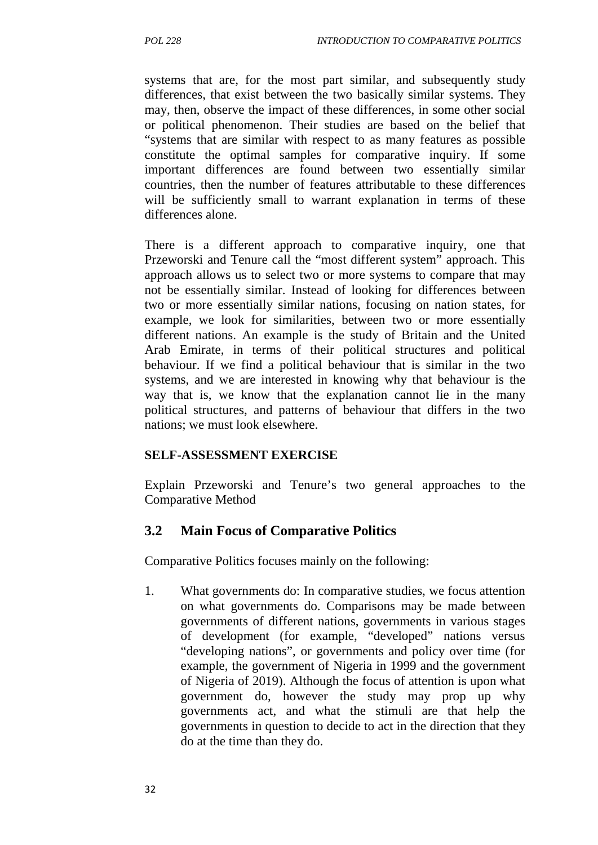systems that are, for the most part similar, and subsequently study differences, that exist between the two basically similar systems. They may, then, observe the impact of these differences, in some other social or political phenomenon. Their studies are based on the belief that "systems that are similar with respect to as many features as possible constitute the optimal samples for comparative inquiry. If some important differences are found between two essentially similar countries, then the number of features attributable to these differences will be sufficiently small to warrant explanation in terms of these differences alone.

There is a different approach to comparative inquiry, one that Przeworski and Tenure call the "most different system" approach. This approach allows us to select two or more systems to compare that may not be essentially similar. Instead of looking for differences between two or more essentially similar nations, focusing on nation states, for example, we look for similarities, between two or more essentially different nations. An example is the study of Britain and the United Arab Emirate, in terms of their political structures and political behaviour. If we find a political behaviour that is similar in the two systems, and we are interested in knowing why that behaviour is the way that is, we know that the explanation cannot lie in the many political structures, and patterns of behaviour that differs in the two nations; we must look elsewhere.

#### **SELF-ASSESSMENT EXERCISE**

Explain Przeworski and Tenure's two general approaches to the Comparative Method

#### **3.2 Main Focus of Comparative Politics**

Comparative Politics focuses mainly on the following:

1. What governments do: In comparative studies, we focus attention on what governments do. Comparisons may be made between governments of different nations, governments in various stages of development (for example, "developed" nations versus "developing nations", or governments and policy over time (for example, the government of Nigeria in 1999 and the government of Nigeria of 2019). Although the focus of attention is upon what government do, however the study may prop up why governments act, and what the stimuli are that help the governments in question to decide to act in the direction that they do at the time than they do.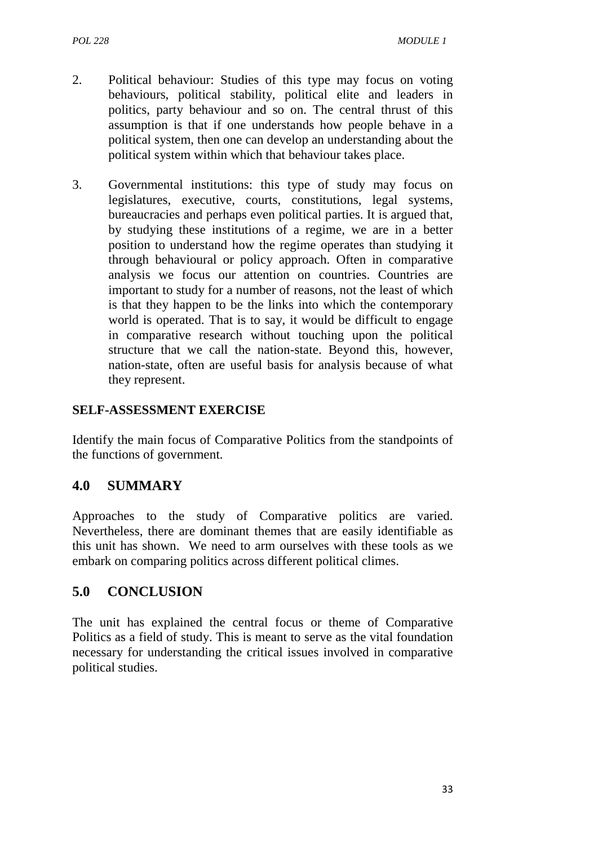- 2. Political behaviour: Studies of this type may focus on voting behaviours, political stability, political elite and leaders in politics, party behaviour and so on. The central thrust of this assumption is that if one understands how people behave in a political system, then one can develop an understanding about the political system within which that behaviour takes place.
- 3. Governmental institutions: this type of study may focus on legislatures, executive, courts, constitutions, legal systems, bureaucracies and perhaps even political parties. It is argued that, by studying these institutions of a regime, we are in a better position to understand how the regime operates than studying it through behavioural or policy approach. Often in comparative analysis we focus our attention on countries. Countries are important to study for a number of reasons, not the least of which is that they happen to be the links into which the contemporary world is operated. That is to say, it would be difficult to engage in comparative research without touching upon the political structure that we call the nation-state. Beyond this, however, nation-state, often are useful basis for analysis because of what they represent.

## **SELF-ASSESSMENT EXERCISE**

Identify the main focus of Comparative Politics from the standpoints of the functions of government.

# **4.0 SUMMARY**

Approaches to the study of Comparative politics are varied. Nevertheless, there are dominant themes that are easily identifiable as this unit has shown. We need to arm ourselves with these tools as we embark on comparing politics across different political climes.

# **5.0 CONCLUSION**

The unit has explained the central focus or theme of Comparative Politics as a field of study. This is meant to serve as the vital foundation necessary for understanding the critical issues involved in comparative political studies.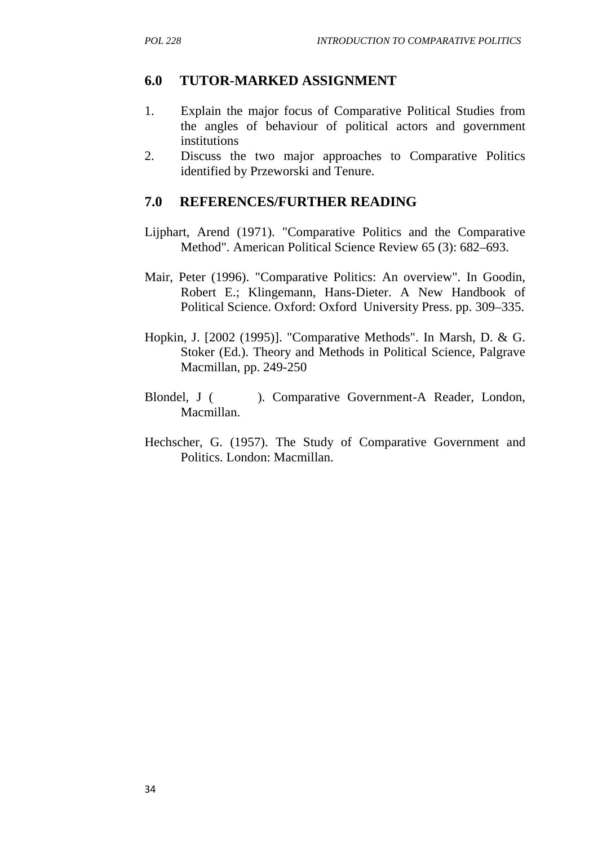# **6.0 TUTOR-MARKED ASSIGNMENT**

- 1. Explain the major focus of Comparative Political Studies from the angles of behaviour of political actors and government institutions
- 2. Discuss the two major approaches to Comparative Politics identified by Przeworski and Tenure.

## **7.0 REFERENCES/FURTHER READING**

- Lijphart, Arend (1971). "Comparative Politics and the Comparative Method". American Political Science Review 65 (3): 682–693.
- Mair, Peter (1996). "Comparative Politics: An overview". In Goodin, Robert E.; Klingemann, Hans-Dieter. A New Handbook of Political Science. Oxford: Oxford University Press. pp. 309–335.
- Hopkin, J. [2002 (1995)]. "Comparative Methods". In Marsh, D. & G. Stoker (Ed.). Theory and Methods in Political Science, Palgrave Macmillan, pp. 249-250
- Blondel, J ( ). Comparative Government-A Reader, London, Macmillan.
- Hechscher, G. (1957). The Study of Comparative Government and Politics. London: Macmillan.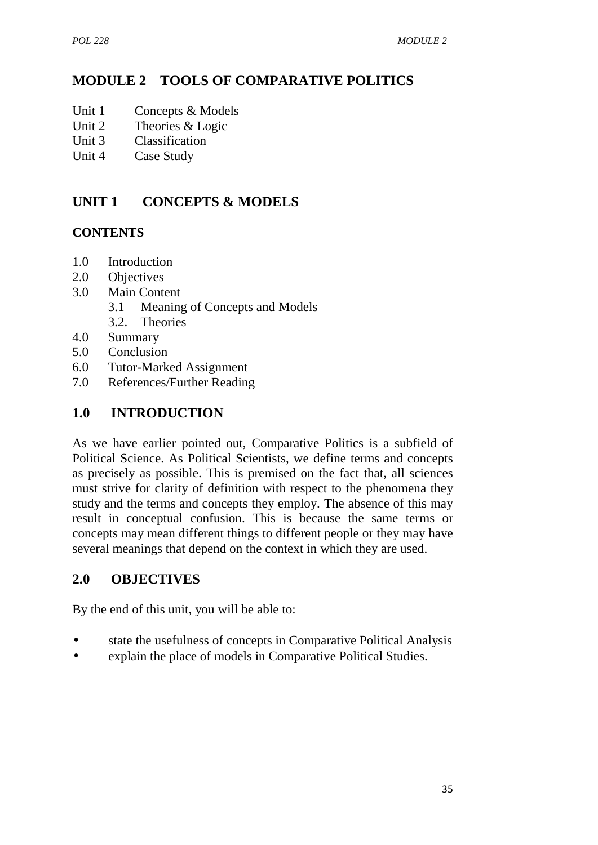# **MODULE 2 TOOLS OF COMPARATIVE POLITICS**

- Unit 1 Concepts & Models
- Unit 2 Theories & Logic
- Unit 3 Classification
- Unit 4 Case Study

# **UNIT 1 CONCEPTS & MODELS**

#### **CONTENTS**

- 1.0 Introduction
- 2.0 Objectives
- 3.0 Main Content
	- 3.1 Meaning of Concepts and Models
	- 3.2. Theories
- 4.0 Summary
- 5.0 Conclusion
- 6.0 Tutor-Marked Assignment
- 7.0 References/Further Reading

# **1.0 INTRODUCTION**

As we have earlier pointed out, Comparative Politics is a subfield of Political Science. As Political Scientists, we define terms and concepts as precisely as possible. This is premised on the fact that, all sciences must strive for clarity of definition with respect to the phenomena they study and the terms and concepts they employ. The absence of this may result in conceptual confusion. This is because the same terms or concepts may mean different things to different people or they may have several meanings that depend on the context in which they are used.

## **2.0 OBJECTIVES**

By the end of this unit, you will be able to:

- state the usefulness of concepts in Comparative Political Analysis
- explain the place of models in Comparative Political Studies.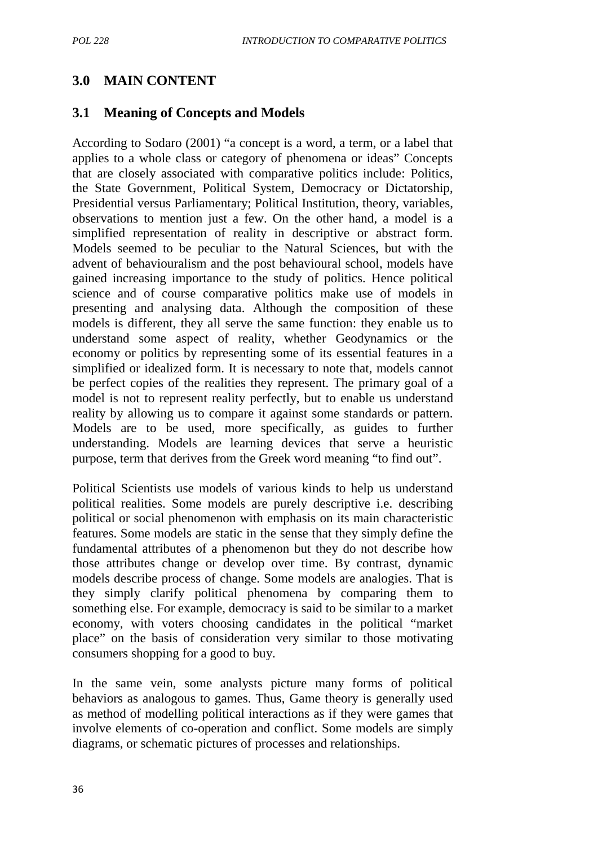# **3.0 MAIN CONTENT**

## **3.1 Meaning of Concepts and Models**

According to Sodaro (2001) "a concept is a word, a term, or a label that applies to a whole class or category of phenomena or ideas" Concepts that are closely associated with comparative politics include: Politics, the State Government, Political System, Democracy or Dictatorship, Presidential versus Parliamentary; Political Institution, theory, variables, observations to mention just a few. On the other hand, a model is a simplified representation of reality in descriptive or abstract form. Models seemed to be peculiar to the Natural Sciences, but with the advent of behaviouralism and the post behavioural school, models have gained increasing importance to the study of politics. Hence political science and of course comparative politics make use of models in presenting and analysing data. Although the composition of these models is different, they all serve the same function: they enable us to understand some aspect of reality, whether Geodynamics or the economy or politics by representing some of its essential features in a simplified or idealized form. It is necessary to note that, models cannot be perfect copies of the realities they represent. The primary goal of a model is not to represent reality perfectly, but to enable us understand reality by allowing us to compare it against some standards or pattern. Models are to be used, more specifically, as guides to further understanding. Models are learning devices that serve a heuristic purpose, term that derives from the Greek word meaning "to find out".

Political Scientists use models of various kinds to help us understand political realities. Some models are purely descriptive i.e. describing political or social phenomenon with emphasis on its main characteristic features. Some models are static in the sense that they simply define the fundamental attributes of a phenomenon but they do not describe how those attributes change or develop over time. By contrast, dynamic models describe process of change. Some models are analogies. That is they simply clarify political phenomena by comparing them to something else. For example, democracy is said to be similar to a market economy, with voters choosing candidates in the political "market place" on the basis of consideration very similar to those motivating consumers shopping for a good to buy.

In the same vein, some analysts picture many forms of political behaviors as analogous to games. Thus, Game theory is generally used as method of modelling political interactions as if they were games that involve elements of co-operation and conflict. Some models are simply diagrams, or schematic pictures of processes and relationships.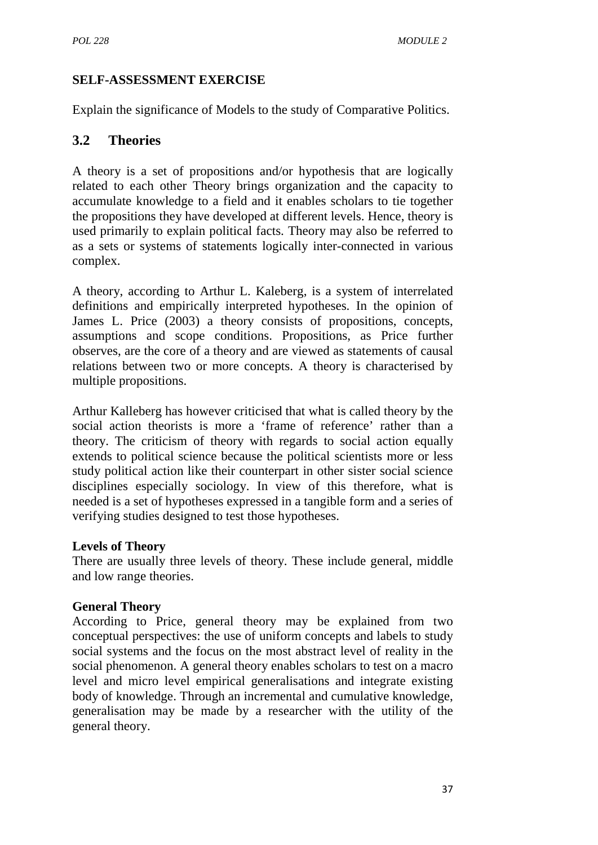## **SELF-ASSESSMENT EXERCISE**

Explain the significance of Models to the study of Comparative Politics.

## **3.2 Theories**

A theory is a set of propositions and/or hypothesis that are logically related to each other Theory brings organization and the capacity to accumulate knowledge to a field and it enables scholars to tie together the propositions they have developed at different levels. Hence, theory is used primarily to explain political facts. Theory may also be referred to as a sets or systems of statements logically inter-connected in various complex.

A theory, according to Arthur L. Kaleberg, is a system of interrelated definitions and empirically interpreted hypotheses. In the opinion of James L. Price (2003) a theory consists of propositions, concepts, assumptions and scope conditions. Propositions, as Price further observes, are the core of a theory and are viewed as statements of causal relations between two or more concepts. A theory is characterised by multiple propositions.

Arthur Kalleberg has however criticised that what is called theory by the social action theorists is more a 'frame of reference' rather than a theory. The criticism of theory with regards to social action equally extends to political science because the political scientists more or less study political action like their counterpart in other sister social science disciplines especially sociology. In view of this therefore, what is needed is a set of hypotheses expressed in a tangible form and a series of verifying studies designed to test those hypotheses.

#### **Levels of Theory**

There are usually three levels of theory. These include general, middle and low range theories.

#### **General Theory**

According to Price, general theory may be explained from two conceptual perspectives: the use of uniform concepts and labels to study social systems and the focus on the most abstract level of reality in the social phenomenon. A general theory enables scholars to test on a macro level and micro level empirical generalisations and integrate existing body of knowledge. Through an incremental and cumulative knowledge, generalisation may be made by a researcher with the utility of the general theory.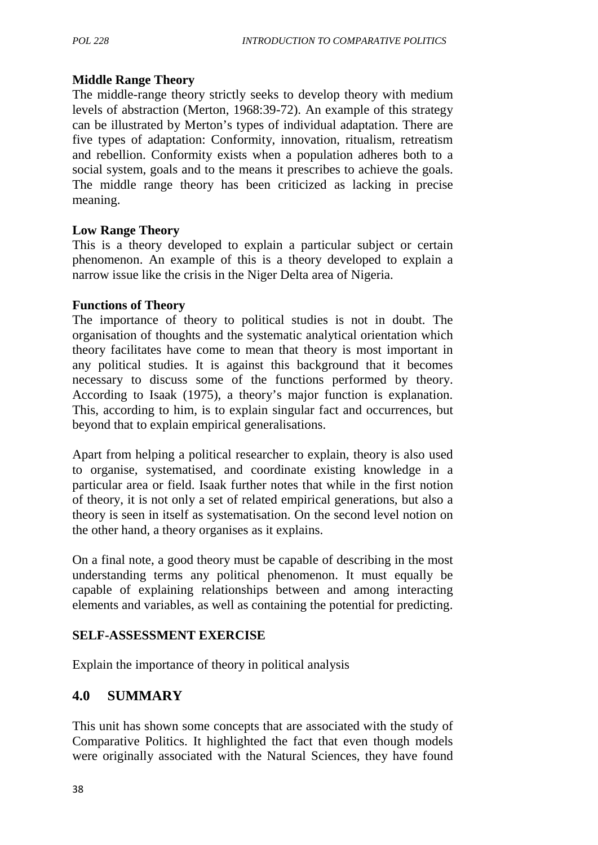#### **Middle Range Theory**

The middle-range theory strictly seeks to develop theory with medium levels of abstraction (Merton, 1968:39-72). An example of this strategy can be illustrated by Merton's types of individual adaptation. There are five types of adaptation: Conformity, innovation, ritualism, retreatism and rebellion. Conformity exists when a population adheres both to a social system, goals and to the means it prescribes to achieve the goals. The middle range theory has been criticized as lacking in precise meaning.

#### **Low Range Theory**

This is a theory developed to explain a particular subject or certain phenomenon. An example of this is a theory developed to explain a narrow issue like the crisis in the Niger Delta area of Nigeria.

#### **Functions of Theory**

The importance of theory to political studies is not in doubt. The organisation of thoughts and the systematic analytical orientation which theory facilitates have come to mean that theory is most important in any political studies. It is against this background that it becomes necessary to discuss some of the functions performed by theory. According to Isaak (1975), a theory's major function is explanation. This, according to him, is to explain singular fact and occurrences, but beyond that to explain empirical generalisations.

Apart from helping a political researcher to explain, theory is also used to organise, systematised, and coordinate existing knowledge in a particular area or field. Isaak further notes that while in the first notion of theory, it is not only a set of related empirical generations, but also a theory is seen in itself as systematisation. On the second level notion on the other hand, a theory organises as it explains.

On a final note, a good theory must be capable of describing in the most understanding terms any political phenomenon. It must equally be capable of explaining relationships between and among interacting elements and variables, as well as containing the potential for predicting.

## **SELF-ASSESSMENT EXERCISE**

Explain the importance of theory in political analysis

# **4.0 SUMMARY**

This unit has shown some concepts that are associated with the study of Comparative Politics. It highlighted the fact that even though models were originally associated with the Natural Sciences, they have found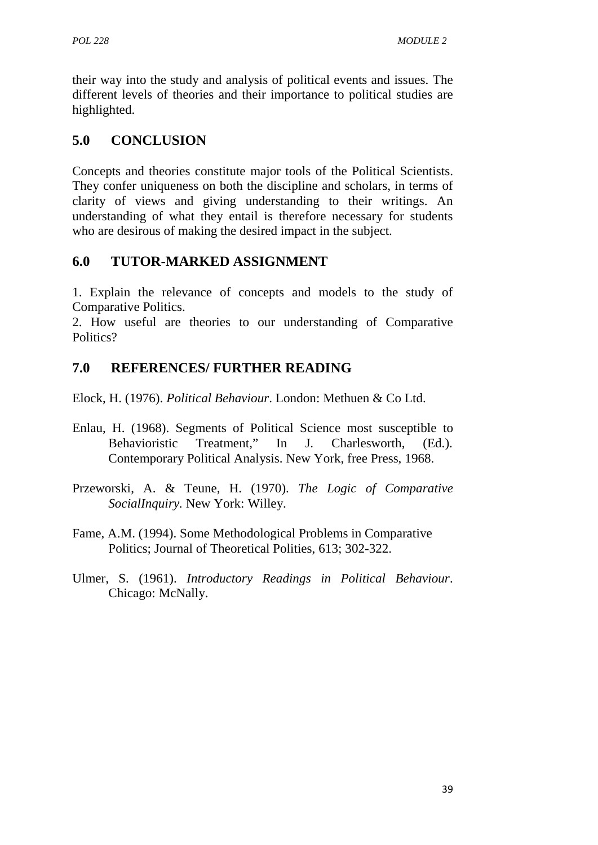their way into the study and analysis of political events and issues. The different levels of theories and their importance to political studies are highlighted.

# **5.0 CONCLUSION**

Concepts and theories constitute major tools of the Political Scientists. They confer uniqueness on both the discipline and scholars, in terms of clarity of views and giving understanding to their writings. An understanding of what they entail is therefore necessary for students who are desirous of making the desired impact in the subject.

# **6.0 TUTOR-MARKED ASSIGNMENT**

1. Explain the relevance of concepts and models to the study of Comparative Politics.

2. How useful are theories to our understanding of Comparative Politics?

# **7.0 REFERENCES/ FURTHER READING**

Elock, H. (1976). *Political Behaviour*. London: Methuen & Co Ltd.

- Enlau, H. (1968). Segments of Political Science most susceptible to Behavioristic Treatment," In J. Charlesworth, (Ed.). Contemporary Political Analysis. New York, free Press, 1968.
- Przeworski, A. & Teune, H. (1970). *The Logic of Comparative SocialInquiry.* New York: Willey.
- Fame, A.M. (1994). Some Methodological Problems in Comparative Politics; Journal of Theoretical Polities, 613; 302-322.
- Ulmer, S. (1961). *Introductory Readings in Political Behaviour*. Chicago: McNally.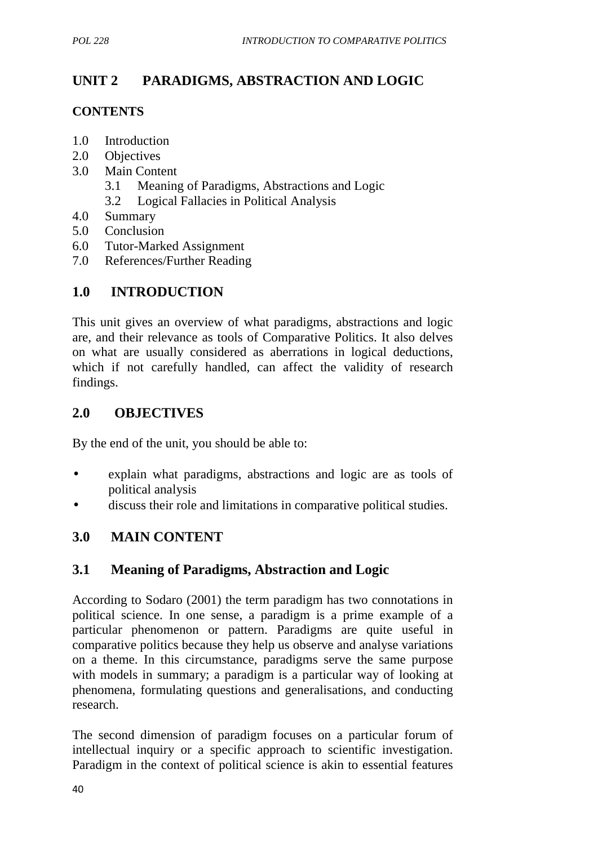# **UNIT 2 PARADIGMS, ABSTRACTION AND LOGIC**

#### **CONTENTS**

- 1.0 Introduction
- 2.0 Objectives
- 3.0 Main Content
	- 3.1 Meaning of Paradigms, Abstractions and Logic
	- 3.2 Logical Fallacies in Political Analysis
- 4.0 Summary
- 5.0 Conclusion
- 6.0 Tutor-Marked Assignment
- 7.0 References/Further Reading

# **1.0 INTRODUCTION**

This unit gives an overview of what paradigms, abstractions and logic are, and their relevance as tools of Comparative Politics. It also delves on what are usually considered as aberrations in logical deductions, which if not carefully handled, can affect the validity of research findings.

## **2.0 OBJECTIVES**

By the end of the unit, you should be able to:

- explain what paradigms, abstractions and logic are as tools of political analysis
- discuss their role and limitations in comparative political studies.

# **3.0 MAIN CONTENT**

## **3.1 Meaning of Paradigms, Abstraction and Logic**

According to Sodaro (2001) the term paradigm has two connotations in political science. In one sense, a paradigm is a prime example of a particular phenomenon or pattern. Paradigms are quite useful in comparative politics because they help us observe and analyse variations on a theme. In this circumstance, paradigms serve the same purpose with models in summary; a paradigm is a particular way of looking at phenomena, formulating questions and generalisations, and conducting research.

The second dimension of paradigm focuses on a particular forum of intellectual inquiry or a specific approach to scientific investigation. Paradigm in the context of political science is akin to essential features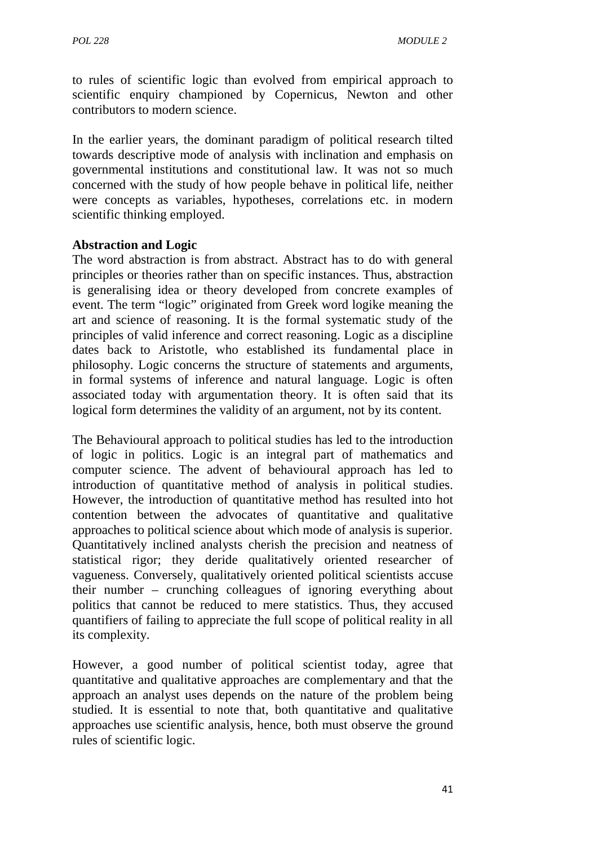to rules of scientific logic than evolved from empirical approach to scientific enquiry championed by Copernicus, Newton and other contributors to modern science.

In the earlier years, the dominant paradigm of political research tilted towards descriptive mode of analysis with inclination and emphasis on governmental institutions and constitutional law. It was not so much concerned with the study of how people behave in political life, neither were concepts as variables, hypotheses, correlations etc. in modern scientific thinking employed.

#### **Abstraction and Logic**

The word abstraction is from abstract. Abstract has to do with general principles or theories rather than on specific instances. Thus, abstraction is generalising idea or theory developed from concrete examples of event. The term "logic" originated from Greek word logike meaning the art and science of reasoning. It is the formal systematic study of the principles of valid inference and correct reasoning. Logic as a discipline dates back to Aristotle, who established its fundamental place in philosophy. Logic concerns the structure of statements and arguments, in formal systems of inference and natural language. Logic is often associated today with argumentation theory. It is often said that its logical form determines the validity of an argument, not by its content.

The Behavioural approach to political studies has led to the introduction of logic in politics. Logic is an integral part of mathematics and computer science. The advent of behavioural approach has led to introduction of quantitative method of analysis in political studies. However, the introduction of quantitative method has resulted into hot contention between the advocates of quantitative and qualitative approaches to political science about which mode of analysis is superior. Quantitatively inclined analysts cherish the precision and neatness of statistical rigor; they deride qualitatively oriented researcher of vagueness. Conversely, qualitatively oriented political scientists accuse their number – crunching colleagues of ignoring everything about politics that cannot be reduced to mere statistics. Thus, they accused quantifiers of failing to appreciate the full scope of political reality in all its complexity.

However, a good number of political scientist today, agree that quantitative and qualitative approaches are complementary and that the approach an analyst uses depends on the nature of the problem being studied. It is essential to note that, both quantitative and qualitative approaches use scientific analysis, hence, both must observe the ground rules of scientific logic.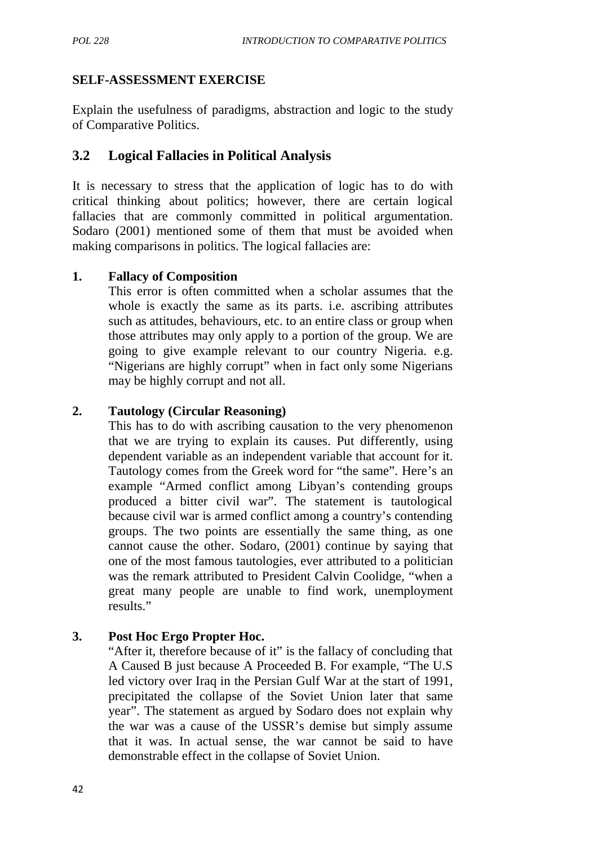## **SELF-ASSESSMENT EXERCISE**

Explain the usefulness of paradigms, abstraction and logic to the study of Comparative Politics.

## **3.2 Logical Fallacies in Political Analysis**

It is necessary to stress that the application of logic has to do with critical thinking about politics; however, there are certain logical fallacies that are commonly committed in political argumentation. Sodaro (2001) mentioned some of them that must be avoided when making comparisons in politics. The logical fallacies are:

#### **1. Fallacy of Composition**

This error is often committed when a scholar assumes that the whole is exactly the same as its parts. i.e. ascribing attributes such as attitudes, behaviours, etc. to an entire class or group when those attributes may only apply to a portion of the group. We are going to give example relevant to our country Nigeria. e.g. "Nigerians are highly corrupt" when in fact only some Nigerians may be highly corrupt and not all.

#### **2. Tautology (Circular Reasoning)**

This has to do with ascribing causation to the very phenomenon that we are trying to explain its causes. Put differently, using dependent variable as an independent variable that account for it. Tautology comes from the Greek word for "the same". Here's an example "Armed conflict among Libyan's contending groups produced a bitter civil war". The statement is tautological because civil war is armed conflict among a country's contending groups. The two points are essentially the same thing, as one cannot cause the other. Sodaro, (2001) continue by saying that one of the most famous tautologies, ever attributed to a politician was the remark attributed to President Calvin Coolidge, "when a great many people are unable to find work, unemployment results."

## **3. Post Hoc Ergo Propter Hoc.**

"After it, therefore because of it" is the fallacy of concluding that A Caused B just because A Proceeded B. For example, "The U.S led victory over Iraq in the Persian Gulf War at the start of 1991, precipitated the collapse of the Soviet Union later that same year". The statement as argued by Sodaro does not explain why the war was a cause of the USSR's demise but simply assume that it was. In actual sense, the war cannot be said to have demonstrable effect in the collapse of Soviet Union.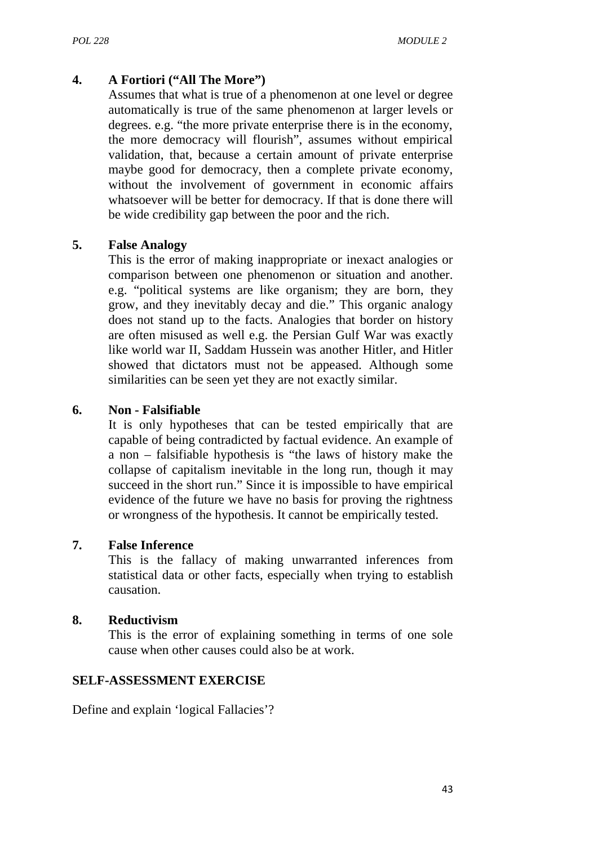#### **4. A Fortiori ("All The More")**

Assumes that what is true of a phenomenon at one level or degree automatically is true of the same phenomenon at larger levels or degrees. e.g. "the more private enterprise there is in the economy, the more democracy will flourish", assumes without empirical validation, that, because a certain amount of private enterprise maybe good for democracy, then a complete private economy, without the involvement of government in economic affairs whatsoever will be better for democracy. If that is done there will be wide credibility gap between the poor and the rich.

#### **5. False Analogy**

This is the error of making inappropriate or inexact analogies or comparison between one phenomenon or situation and another. e.g. "political systems are like organism; they are born, they grow, and they inevitably decay and die." This organic analogy does not stand up to the facts. Analogies that border on history are often misused as well e.g. the Persian Gulf War was exactly like world war II, Saddam Hussein was another Hitler, and Hitler showed that dictators must not be appeased. Although some similarities can be seen yet they are not exactly similar.

#### **6. Non - Falsifiable**

It is only hypotheses that can be tested empirically that are capable of being contradicted by factual evidence. An example of a non – falsifiable hypothesis is "the laws of history make the collapse of capitalism inevitable in the long run, though it may succeed in the short run." Since it is impossible to have empirical evidence of the future we have no basis for proving the rightness or wrongness of the hypothesis. It cannot be empirically tested.

#### **7. False Inference**

This is the fallacy of making unwarranted inferences from statistical data or other facts, especially when trying to establish causation.

#### **8. Reductivism**

This is the error of explaining something in terms of one sole cause when other causes could also be at work.

## **SELF-ASSESSMENT EXERCISE**

Define and explain 'logical Fallacies'?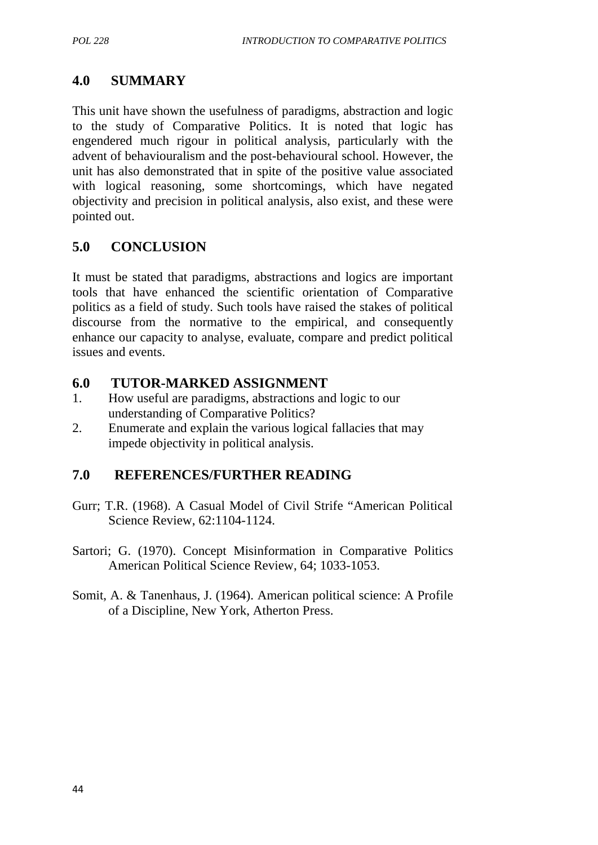# **4.0 SUMMARY**

This unit have shown the usefulness of paradigms, abstraction and logic to the study of Comparative Politics. It is noted that logic has engendered much rigour in political analysis, particularly with the advent of behaviouralism and the post-behavioural school. However, the unit has also demonstrated that in spite of the positive value associated with logical reasoning, some shortcomings, which have negated objectivity and precision in political analysis, also exist, and these were pointed out.

# **5.0 CONCLUSION**

It must be stated that paradigms, abstractions and logics are important tools that have enhanced the scientific orientation of Comparative politics as a field of study. Such tools have raised the stakes of political discourse from the normative to the empirical, and consequently enhance our capacity to analyse, evaluate, compare and predict political issues and events.

# **6.0 TUTOR-MARKED ASSIGNMENT**

- 1. How useful are paradigms, abstractions and logic to our understanding of Comparative Politics?
- 2. Enumerate and explain the various logical fallacies that may impede objectivity in political analysis.

# **7.0 REFERENCES/FURTHER READING**

- Gurr; T.R. (1968). A Casual Model of Civil Strife "American Political Science Review, 62:1104-1124.
- Sartori; G. (1970). Concept Misinformation in Comparative Politics American Political Science Review, 64; 1033-1053.
- Somit, A. & Tanenhaus, J. (1964). American political science: A Profile of a Discipline, New York, Atherton Press.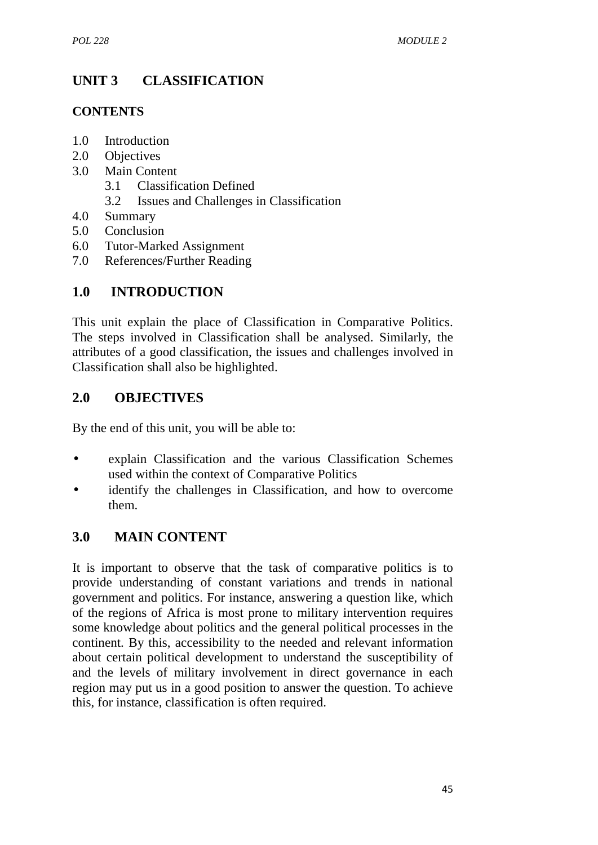# **UNIT 3 CLASSIFICATION**

#### **CONTENTS**

- 1.0 Introduction
- 2.0 Objectives
- 3.0 Main Content
	- 3.1 Classification Defined
	- 3.2 Issues and Challenges in Classification
- 4.0 Summary
- 5.0 Conclusion
- 6.0 Tutor-Marked Assignment
- 7.0 References/Further Reading

# **1.0 INTRODUCTION**

This unit explain the place of Classification in Comparative Politics. The steps involved in Classification shall be analysed. Similarly, the attributes of a good classification, the issues and challenges involved in Classification shall also be highlighted.

# **2.0 OBJECTIVES**

By the end of this unit, you will be able to:

- explain Classification and the various Classification Schemes used within the context of Comparative Politics
- identify the challenges in Classification, and how to overcome them.

# **3.0 MAIN CONTENT**

It is important to observe that the task of comparative politics is to provide understanding of constant variations and trends in national government and politics. For instance, answering a question like, which of the regions of Africa is most prone to military intervention requires some knowledge about politics and the general political processes in the continent. By this, accessibility to the needed and relevant information about certain political development to understand the susceptibility of and the levels of military involvement in direct governance in each region may put us in a good position to answer the question. To achieve this, for instance, classification is often required.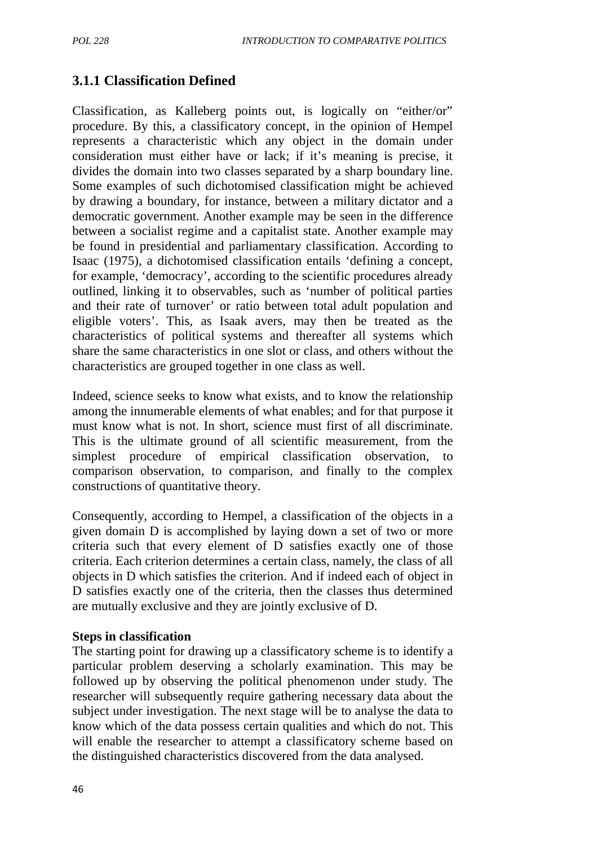# **3.1.1 Classification Defined**

Classification, as Kalleberg points out, is logically on "either/or" procedure. By this, a classificatory concept, in the opinion of Hempel represents a characteristic which any object in the domain under consideration must either have or lack; if it's meaning is precise, it divides the domain into two classes separated by a sharp boundary line. Some examples of such dichotomised classification might be achieved by drawing a boundary, for instance, between a military dictator and a democratic government. Another example may be seen in the difference between a socialist regime and a capitalist state. Another example may be found in presidential and parliamentary classification. According to Isaac (1975), a dichotomised classification entails 'defining a concept, for example, 'democracy', according to the scientific procedures already outlined, linking it to observables, such as 'number of political parties and their rate of turnover' or ratio between total adult population and eligible voters'. This, as Isaak avers, may then be treated as the characteristics of political systems and thereafter all systems which share the same characteristics in one slot or class, and others without the characteristics are grouped together in one class as well.

Indeed, science seeks to know what exists, and to know the relationship among the innumerable elements of what enables; and for that purpose it must know what is not. In short, science must first of all discriminate. This is the ultimate ground of all scientific measurement, from the simplest procedure of empirical classification observation, to comparison observation, to comparison, and finally to the complex constructions of quantitative theory.

Consequently, according to Hempel, a classification of the objects in a given domain D is accomplished by laying down a set of two or more criteria such that every element of D satisfies exactly one of those criteria. Each criterion determines a certain class, namely, the class of all objects in D which satisfies the criterion. And if indeed each of object in D satisfies exactly one of the criteria, then the classes thus determined are mutually exclusive and they are jointly exclusive of D.

#### **Steps in classification**

The starting point for drawing up a classificatory scheme is to identify a particular problem deserving a scholarly examination. This may be followed up by observing the political phenomenon under study. The researcher will subsequently require gathering necessary data about the subject under investigation. The next stage will be to analyse the data to know which of the data possess certain qualities and which do not. This will enable the researcher to attempt a classificatory scheme based on the distinguished characteristics discovered from the data analysed.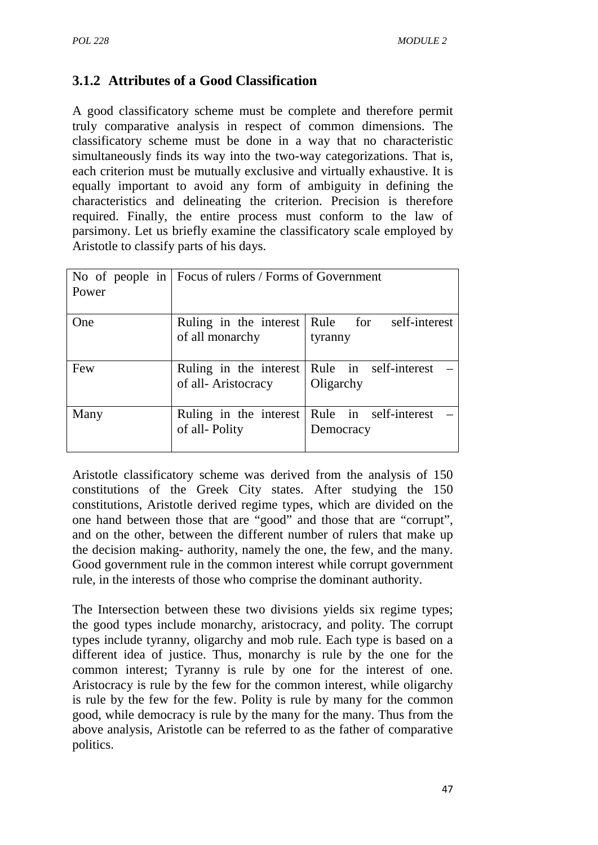# **3.1.2 Attributes of a Good Classification**

A good classificatory scheme must be complete and therefore permit truly comparative analysis in respect of common dimensions. The classificatory scheme must be done in a way that no characteristic simultaneously finds its way into the two-way categorizations. That is, each criterion must be mutually exclusive and virtually exhaustive. It is equally important to avoid any form of ambiguity in defining the characteristics and delineating the criterion. Precision is therefore required. Finally, the entire process must conform to the law of parsimony. Let us briefly examine the classificatory scale employed by Aristotle to classify parts of his days.

| Power | No of people in $\vert$ Focus of rulers / Forms of Government |                                                          |
|-------|---------------------------------------------------------------|----------------------------------------------------------|
| One   | of all monarchy                                               | Ruling in the interest Rule for self-interest<br>tyranny |
| Few   | Ruling in the interest<br>of all-Aristocracy                  | Rule in self-interest<br>Oligarchy                       |
| Many  | Ruling in the interest<br>of all-Polity                       | Rule in self-interest<br>Democracy                       |

Aristotle classificatory scheme was derived from the analysis of 150 constitutions of the Greek City states. After studying the 150 constitutions, Aristotle derived regime types, which are divided on the one hand between those that are "good" and those that are "corrupt", and on the other, between the different number of rulers that make up the decision making- authority, namely the one, the few, and the many. Good government rule in the common interest while corrupt government rule, in the interests of those who comprise the dominant authority.

The Intersection between these two divisions yields six regime types; the good types include monarchy, aristocracy, and polity. The corrupt types include tyranny, oligarchy and mob rule. Each type is based on a different idea of justice. Thus, monarchy is rule by the one for the common interest; Tyranny is rule by one for the interest of one. Aristocracy is rule by the few for the common interest, while oligarchy is rule by the few for the few. Polity is rule by many for the common good, while democracy is rule by the many for the many. Thus from the above analysis, Aristotle can be referred to as the father of comparative politics.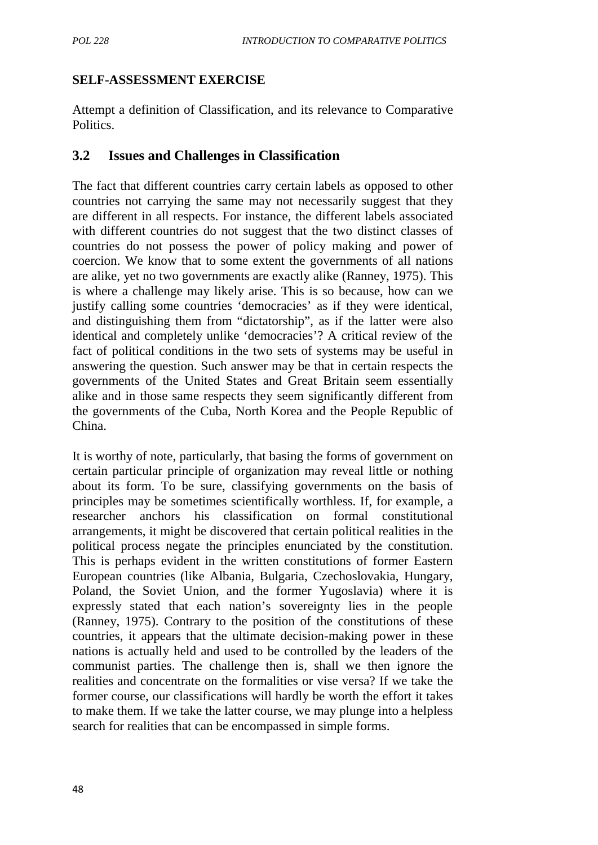## **SELF-ASSESSMENT EXERCISE**

Attempt a definition of Classification, and its relevance to Comparative Politics.

## **3.2 Issues and Challenges in Classification**

The fact that different countries carry certain labels as opposed to other countries not carrying the same may not necessarily suggest that they are different in all respects. For instance, the different labels associated with different countries do not suggest that the two distinct classes of countries do not possess the power of policy making and power of coercion. We know that to some extent the governments of all nations are alike, yet no two governments are exactly alike (Ranney, 1975). This is where a challenge may likely arise. This is so because, how can we justify calling some countries 'democracies' as if they were identical, and distinguishing them from "dictatorship", as if the latter were also identical and completely unlike 'democracies'? A critical review of the fact of political conditions in the two sets of systems may be useful in answering the question. Such answer may be that in certain respects the governments of the United States and Great Britain seem essentially alike and in those same respects they seem significantly different from the governments of the Cuba, North Korea and the People Republic of China.

It is worthy of note, particularly, that basing the forms of government on certain particular principle of organization may reveal little or nothing about its form. To be sure, classifying governments on the basis of principles may be sometimes scientifically worthless. If, for example, a researcher anchors his classification on formal constitutional arrangements, it might be discovered that certain political realities in the political process negate the principles enunciated by the constitution. This is perhaps evident in the written constitutions of former Eastern European countries (like Albania, Bulgaria, Czechoslovakia, Hungary, Poland, the Soviet Union, and the former Yugoslavia) where it is expressly stated that each nation's sovereignty lies in the people (Ranney, 1975). Contrary to the position of the constitutions of these countries, it appears that the ultimate decision-making power in these nations is actually held and used to be controlled by the leaders of the communist parties. The challenge then is, shall we then ignore the realities and concentrate on the formalities or vise versa? If we take the former course, our classifications will hardly be worth the effort it takes to make them. If we take the latter course, we may plunge into a helpless search for realities that can be encompassed in simple forms.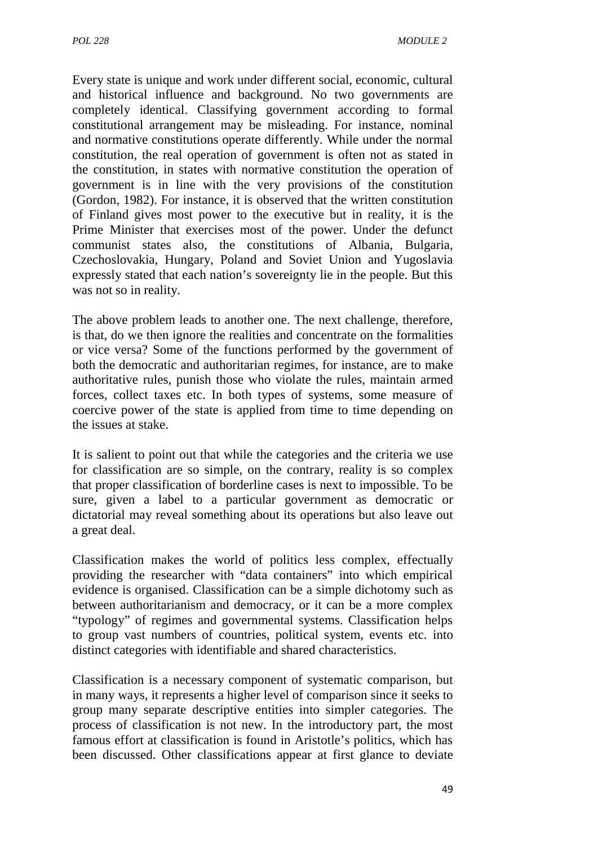Every state is unique and work under different social, economic, cultural and historical influence and background. No two governments are completely identical. Classifying government according to formal constitutional arrangement may be misleading. For instance, nominal and normative constitutions operate differently. While under the normal constitution, the real operation of government is often not as stated in the constitution, in states with normative constitution the operation of government is in line with the very provisions of the constitution (Gordon, 1982). For instance, it is observed that the written constitution of Finland gives most power to the executive but in reality, it is the Prime Minister that exercises most of the power. Under the defunct communist states also, the constitutions of Albania, Bulgaria, Czechoslovakia, Hungary, Poland and Soviet Union and Yugoslavia expressly stated that each nation's sovereignty lie in the people. But this was not so in reality.

The above problem leads to another one. The next challenge, therefore, is that, do we then ignore the realities and concentrate on the formalities or vice versa? Some of the functions performed by the government of both the democratic and authoritarian regimes, for instance, are to make authoritative rules, punish those who violate the rules, maintain armed forces, collect taxes etc. In both types of systems, some measure of coercive power of the state is applied from time to time depending on the issues at stake.

It is salient to point out that while the categories and the criteria we use for classification are so simple, on the contrary, reality is so complex that proper classification of borderline cases is next to impossible. To be sure, given a label to a particular government as democratic or dictatorial may reveal something about its operations but also leave out a great deal.

Classification makes the world of politics less complex, effectually providing the researcher with "data containers" into which empirical evidence is organised. Classification can be a simple dichotomy such as between authoritarianism and democracy, or it can be a more complex "typology" of regimes and governmental systems. Classification helps to group vast numbers of countries, political system, events etc. into distinct categories with identifiable and shared characteristics.

Classification is a necessary component of systematic comparison, but in many ways, it represents a higher level of comparison since it seeks to group many separate descriptive entities into simpler categories. The process of classification is not new. In the introductory part, the most famous effort at classification is found in Aristotle's politics, which has been discussed. Other classifications appear at first glance to deviate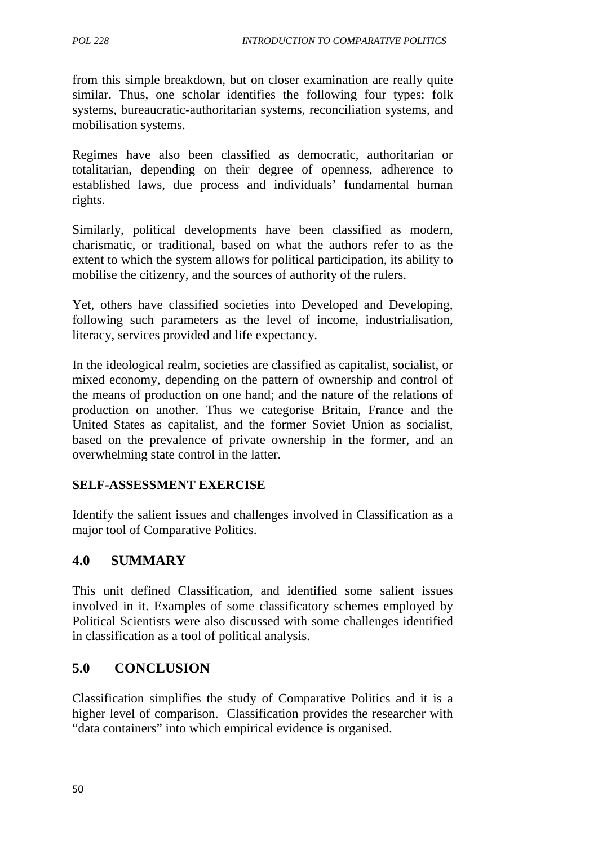from this simple breakdown, but on closer examination are really quite similar. Thus, one scholar identifies the following four types: folk systems, bureaucratic-authoritarian systems, reconciliation systems, and mobilisation systems.

Regimes have also been classified as democratic, authoritarian or totalitarian, depending on their degree of openness, adherence to established laws, due process and individuals' fundamental human rights.

Similarly, political developments have been classified as modern, charismatic, or traditional, based on what the authors refer to as the extent to which the system allows for political participation, its ability to mobilise the citizenry, and the sources of authority of the rulers.

Yet, others have classified societies into Developed and Developing, following such parameters as the level of income, industrialisation, literacy, services provided and life expectancy.

In the ideological realm, societies are classified as capitalist, socialist, or mixed economy, depending on the pattern of ownership and control of the means of production on one hand; and the nature of the relations of production on another. Thus we categorise Britain, France and the United States as capitalist, and the former Soviet Union as socialist, based on the prevalence of private ownership in the former, and an overwhelming state control in the latter.

## **SELF-ASSESSMENT EXERCISE**

Identify the salient issues and challenges involved in Classification as a major tool of Comparative Politics.

# **4.0 SUMMARY**

This unit defined Classification, and identified some salient issues involved in it. Examples of some classificatory schemes employed by Political Scientists were also discussed with some challenges identified in classification as a tool of political analysis.

## **5.0 CONCLUSION**

Classification simplifies the study of Comparative Politics and it is a higher level of comparison. Classification provides the researcher with "data containers" into which empirical evidence is organised.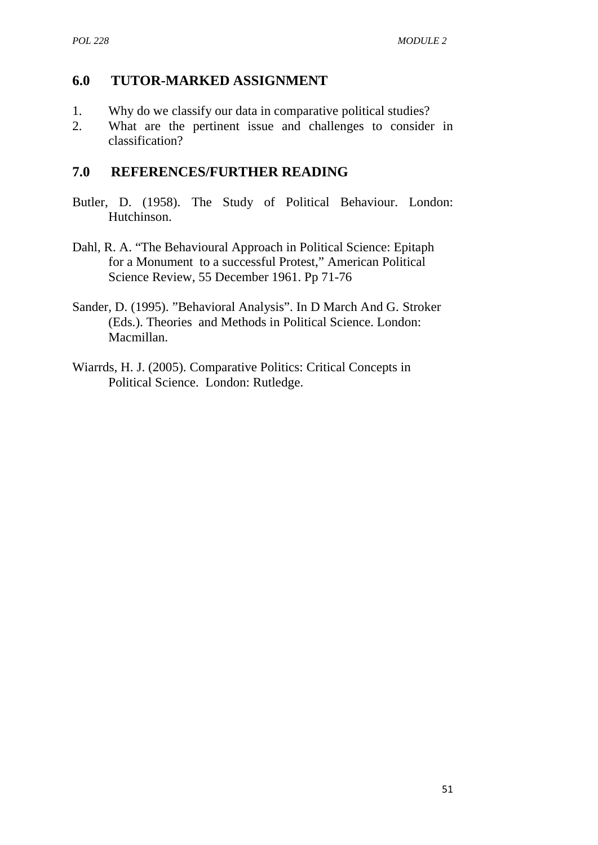# **6.0 TUTOR-MARKED ASSIGNMENT**

- 1. Why do we classify our data in comparative political studies?
- 2. What are the pertinent issue and challenges to consider in classification?

## **7.0 REFERENCES/FURTHER READING**

- Butler, D. (1958). The Study of Political Behaviour. London: Hutchinson.
- Dahl, R. A. "The Behavioural Approach in Political Science: Epitaph for a Monument to a successful Protest," American Political Science Review, 55 December 1961. Pp 71-76
- Sander, D. (1995). "Behavioral Analysis". In D March And G. Stroker (Eds.). Theories and Methods in Political Science. London: Macmillan.
- Wiarrds, H. J. (2005). Comparative Politics: Critical Concepts in Political Science. London: Rutledge.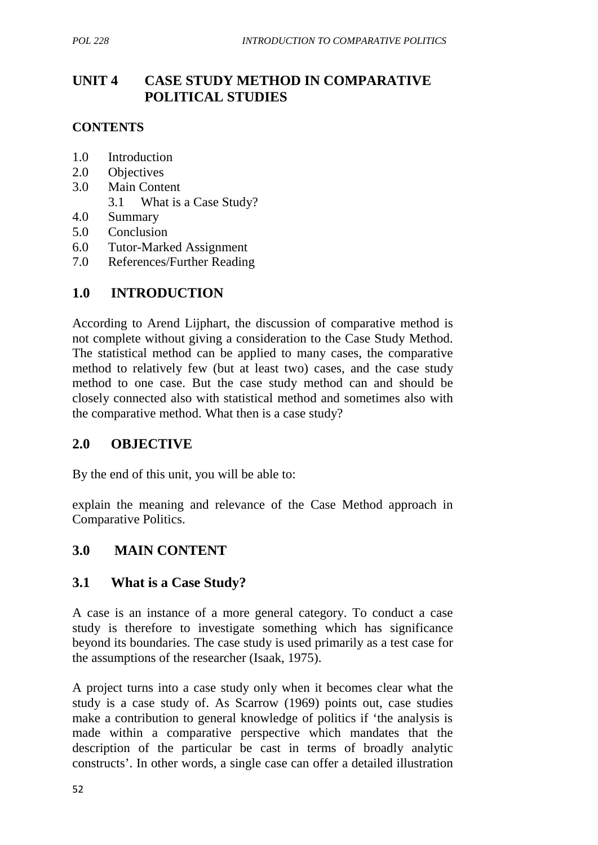# **UNIT 4 CASE STUDY METHOD IN COMPARATIVE POLITICAL STUDIES**

#### **CONTENTS**

- 1.0 Introduction
- 2.0 Objectives
- 3.0 Main Content
	- 3.1 What is a Case Study?
- 4.0 Summary
- 5.0 Conclusion
- 6.0 Tutor-Marked Assignment
- 7.0 References/Further Reading

## **1.0 INTRODUCTION**

According to Arend Lijphart, the discussion of comparative method is not complete without giving a consideration to the Case Study Method. The statistical method can be applied to many cases, the comparative method to relatively few (but at least two) cases, and the case study method to one case. But the case study method can and should be closely connected also with statistical method and sometimes also with the comparative method. What then is a case study?

## **2.0 OBJECTIVE**

By the end of this unit, you will be able to:

explain the meaning and relevance of the Case Method approach in Comparative Politics.

## **3.0 MAIN CONTENT**

#### **3.1 What is a Case Study?**

A case is an instance of a more general category. To conduct a case study is therefore to investigate something which has significance beyond its boundaries. The case study is used primarily as a test case for the assumptions of the researcher (Isaak, 1975).

A project turns into a case study only when it becomes clear what the study is a case study of. As Scarrow (1969) points out, case studies make a contribution to general knowledge of politics if 'the analysis is made within a comparative perspective which mandates that the description of the particular be cast in terms of broadly analytic constructs'. In other words, a single case can offer a detailed illustration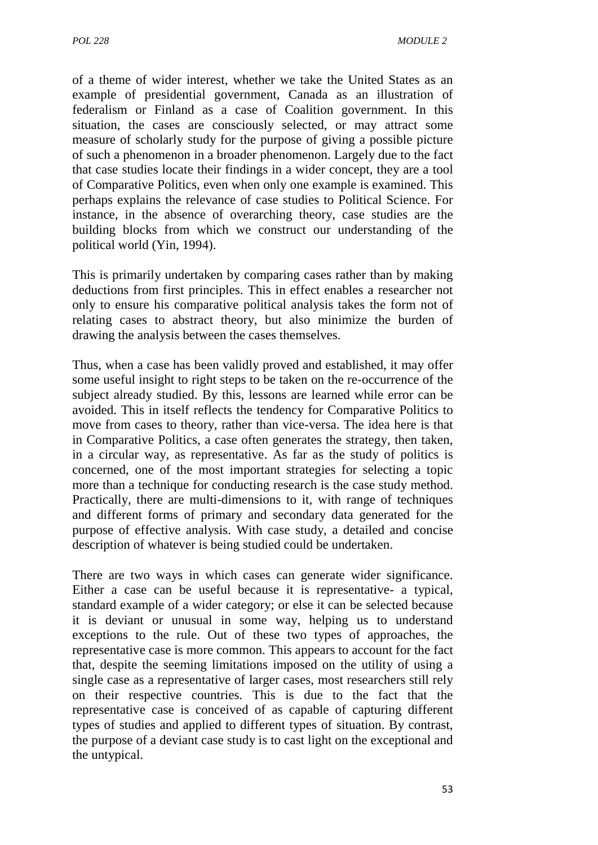of a theme of wider interest, whether we take the United States as an example of presidential government, Canada as an illustration of federalism or Finland as a case of Coalition government. In this situation, the cases are consciously selected, or may attract some measure of scholarly study for the purpose of giving a possible picture of such a phenomenon in a broader phenomenon. Largely due to the fact that case studies locate their findings in a wider concept, they are a tool of Comparative Politics, even when only one example is examined. This perhaps explains the relevance of case studies to Political Science. For instance, in the absence of overarching theory, case studies are the building blocks from which we construct our understanding of the political world (Yin, 1994).

This is primarily undertaken by comparing cases rather than by making deductions from first principles. This in effect enables a researcher not only to ensure his comparative political analysis takes the form not of relating cases to abstract theory, but also minimize the burden of drawing the analysis between the cases themselves.

Thus, when a case has been validly proved and established, it may offer some useful insight to right steps to be taken on the re-occurrence of the subject already studied. By this, lessons are learned while error can be avoided. This in itself reflects the tendency for Comparative Politics to move from cases to theory, rather than vice-versa. The idea here is that in Comparative Politics, a case often generates the strategy, then taken, in a circular way, as representative. As far as the study of politics is concerned, one of the most important strategies for selecting a topic more than a technique for conducting research is the case study method. Practically, there are multi-dimensions to it, with range of techniques and different forms of primary and secondary data generated for the purpose of effective analysis. With case study, a detailed and concise description of whatever is being studied could be undertaken.

There are two ways in which cases can generate wider significance. Either a case can be useful because it is representative- a typical, standard example of a wider category; or else it can be selected because it is deviant or unusual in some way, helping us to understand exceptions to the rule. Out of these two types of approaches, the representative case is more common. This appears to account for the fact that, despite the seeming limitations imposed on the utility of using a single case as a representative of larger cases, most researchers still rely on their respective countries. This is due to the fact that the representative case is conceived of as capable of capturing different types of studies and applied to different types of situation. By contrast, the purpose of a deviant case study is to cast light on the exceptional and the untypical.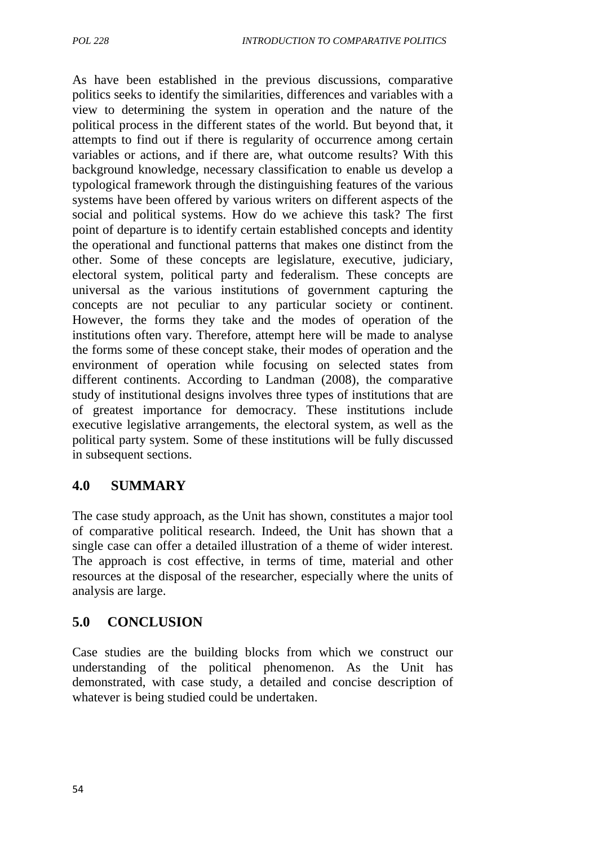As have been established in the previous discussions, comparative politics seeks to identify the similarities, differences and variables with a view to determining the system in operation and the nature of the political process in the different states of the world. But beyond that, it attempts to find out if there is regularity of occurrence among certain variables or actions, and if there are, what outcome results? With this background knowledge, necessary classification to enable us develop a typological framework through the distinguishing features of the various systems have been offered by various writers on different aspects of the social and political systems. How do we achieve this task? The first point of departure is to identify certain established concepts and identity the operational and functional patterns that makes one distinct from the other. Some of these concepts are legislature, executive, judiciary, electoral system, political party and federalism. These concepts are universal as the various institutions of government capturing the concepts are not peculiar to any particular society or continent. However, the forms they take and the modes of operation of the institutions often vary. Therefore, attempt here will be made to analyse the forms some of these concept stake, their modes of operation and the environment of operation while focusing on selected states from different continents. According to Landman (2008), the comparative study of institutional designs involves three types of institutions that are of greatest importance for democracy. These institutions include executive legislative arrangements, the electoral system, as well as the political party system. Some of these institutions will be fully discussed in subsequent sections.

## **4.0 SUMMARY**

The case study approach, as the Unit has shown, constitutes a major tool of comparative political research. Indeed, the Unit has shown that a single case can offer a detailed illustration of a theme of wider interest. The approach is cost effective, in terms of time, material and other resources at the disposal of the researcher, especially where the units of analysis are large.

# **5.0 CONCLUSION**

Case studies are the building blocks from which we construct our understanding of the political phenomenon. As the Unit has demonstrated, with case study, a detailed and concise description of whatever is being studied could be undertaken.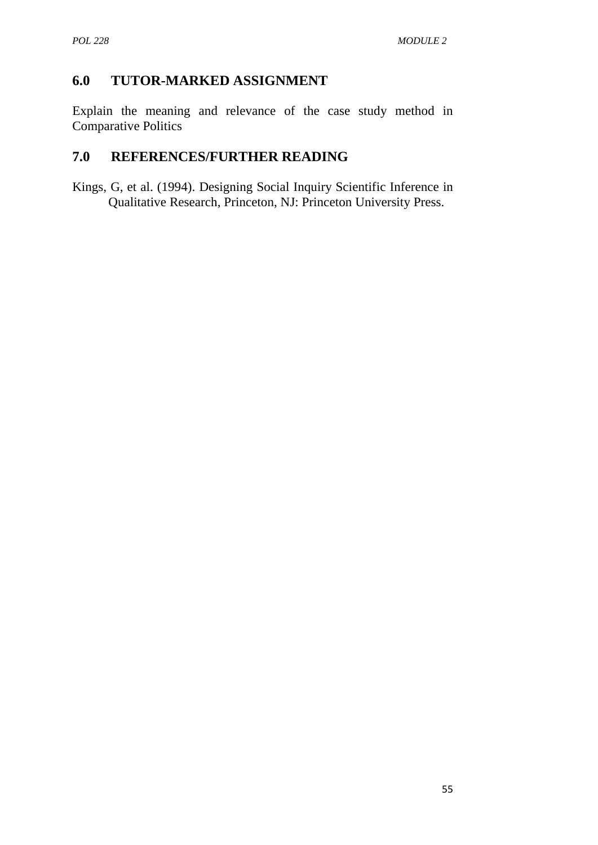# **6.0 TUTOR-MARKED ASSIGNMENT**

Explain the meaning and relevance of the case study method in Comparative Politics

# **7.0 REFERENCES/FURTHER READING**

Kings, G, et al. (1994). Designing Social Inquiry Scientific Inference in Qualitative Research, Princeton, NJ: Princeton University Press.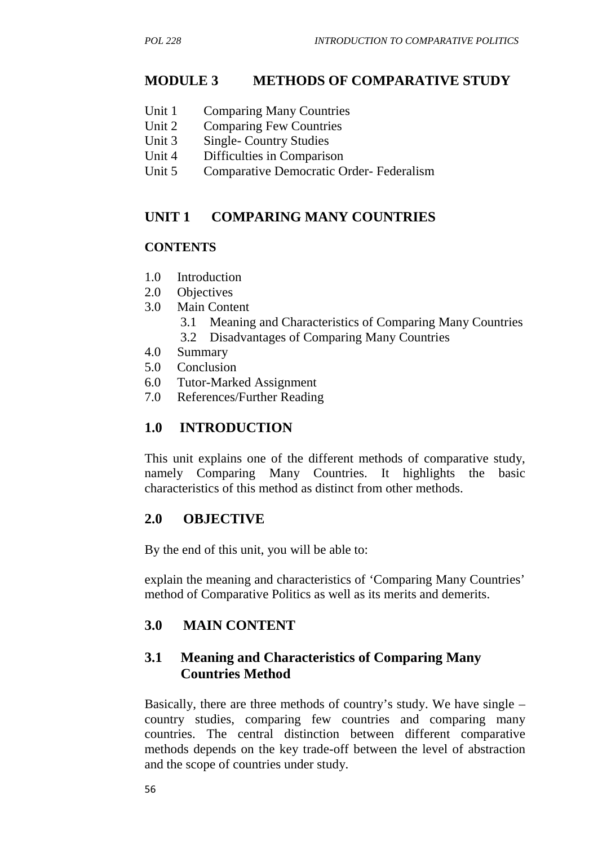## **MODULE 3 METHODS OF COMPARATIVE STUDY**

- Unit 1 Comparing Many Countries
- Unit 2 Comparing Few Countries
- Unit 3 Single- Country Studies
- Unit 4 Difficulties in Comparison
- Unit 5 Comparative Democratic Order- Federalism

#### **UNIT 1 COMPARING MANY COUNTRIES**

#### **CONTENTS**

- 1.0 Introduction
- 2.0 Objectives
- 3.0 Main Content
	- 3.1 Meaning and Characteristics of Comparing Many Countries
	- 3.2 Disadvantages of Comparing Many Countries
- 4.0 Summary
- 5.0 Conclusion
- 6.0 Tutor-Marked Assignment
- 7.0 References/Further Reading

## **1.0 INTRODUCTION**

This unit explains one of the different methods of comparative study, namely Comparing Many Countries. It highlights the basic characteristics of this method as distinct from other methods.

## **2.0 OBJECTIVE**

By the end of this unit, you will be able to:

explain the meaning and characteristics of 'Comparing Many Countries' method of Comparative Politics as well as its merits and demerits.

## **3.0 MAIN CONTENT**

## **3.1 Meaning and Characteristics of Comparing Many Countries Method**

Basically, there are three methods of country's study. We have single – country studies, comparing few countries and comparing many countries. The central distinction between different comparative methods depends on the key trade-off between the level of abstraction and the scope of countries under study.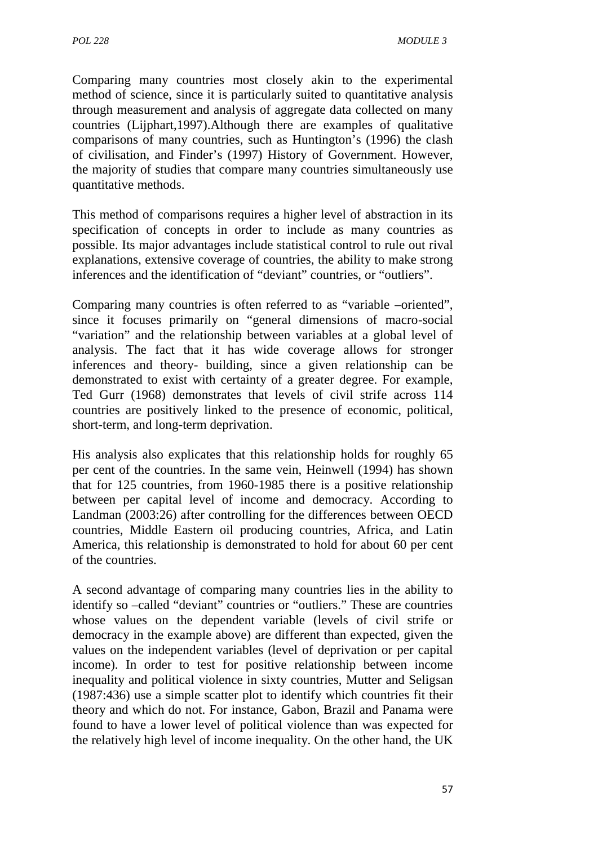Comparing many countries most closely akin to the experimental method of science, since it is particularly suited to quantitative analysis through measurement and analysis of aggregate data collected on many countries (Lijphart,1997).Although there are examples of qualitative comparisons of many countries, such as Huntington's (1996) the clash of civilisation, and Finder's (1997) History of Government. However, the majority of studies that compare many countries simultaneously use quantitative methods.

This method of comparisons requires a higher level of abstraction in its specification of concepts in order to include as many countries as possible. Its major advantages include statistical control to rule out rival explanations, extensive coverage of countries, the ability to make strong inferences and the identification of "deviant" countries, or "outliers".

Comparing many countries is often referred to as "variable –oriented", since it focuses primarily on "general dimensions of macro-social "variation" and the relationship between variables at a global level of analysis. The fact that it has wide coverage allows for stronger inferences and theory- building, since a given relationship can be demonstrated to exist with certainty of a greater degree. For example, Ted Gurr (1968) demonstrates that levels of civil strife across 114 countries are positively linked to the presence of economic, political, short-term, and long-term deprivation.

His analysis also explicates that this relationship holds for roughly 65 per cent of the countries. In the same vein, Heinwell (1994) has shown that for 125 countries, from 1960-1985 there is a positive relationship between per capital level of income and democracy. According to Landman (2003:26) after controlling for the differences between OECD countries, Middle Eastern oil producing countries, Africa, and Latin America, this relationship is demonstrated to hold for about 60 per cent of the countries.

A second advantage of comparing many countries lies in the ability to identify so –called "deviant" countries or "outliers." These are countries whose values on the dependent variable (levels of civil strife or democracy in the example above) are different than expected, given the values on the independent variables (level of deprivation or per capital income). In order to test for positive relationship between income inequality and political violence in sixty countries, Mutter and Seligsan (1987:436) use a simple scatter plot to identify which countries fit their theory and which do not. For instance, Gabon, Brazil and Panama were found to have a lower level of political violence than was expected for the relatively high level of income inequality. On the other hand, the UK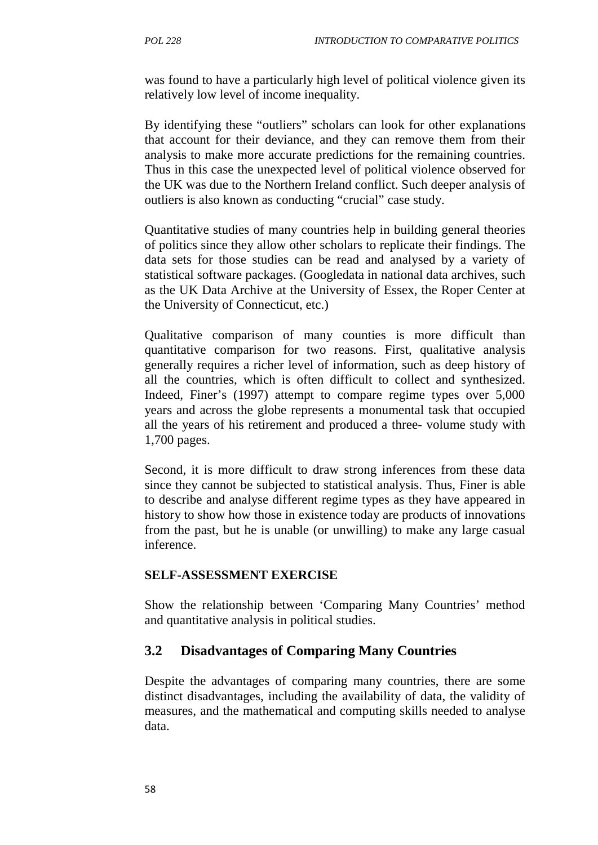was found to have a particularly high level of political violence given its relatively low level of income inequality.

By identifying these "outliers" scholars can look for other explanations that account for their deviance, and they can remove them from their analysis to make more accurate predictions for the remaining countries. Thus in this case the unexpected level of political violence observed for the UK was due to the Northern Ireland conflict. Such deeper analysis of outliers is also known as conducting "crucial" case study.

Quantitative studies of many countries help in building general theories of politics since they allow other scholars to replicate their findings. The data sets for those studies can be read and analysed by a variety of statistical software packages. (Googledata in national data archives, such as the UK Data Archive at the University of Essex, the Roper Center at the University of Connecticut, etc.)

Qualitative comparison of many counties is more difficult than quantitative comparison for two reasons. First, qualitative analysis generally requires a richer level of information, such as deep history of all the countries, which is often difficult to collect and synthesized. Indeed, Finer's (1997) attempt to compare regime types over 5,000 years and across the globe represents a monumental task that occupied all the years of his retirement and produced a three- volume study with 1,700 pages.

Second, it is more difficult to draw strong inferences from these data since they cannot be subjected to statistical analysis. Thus, Finer is able to describe and analyse different regime types as they have appeared in history to show how those in existence today are products of innovations from the past, but he is unable (or unwilling) to make any large casual inference.

#### **SELF-ASSESSMENT EXERCISE**

Show the relationship between 'Comparing Many Countries' method and quantitative analysis in political studies.

#### **3.2 Disadvantages of Comparing Many Countries**

Despite the advantages of comparing many countries, there are some distinct disadvantages, including the availability of data, the validity of measures, and the mathematical and computing skills needed to analyse data.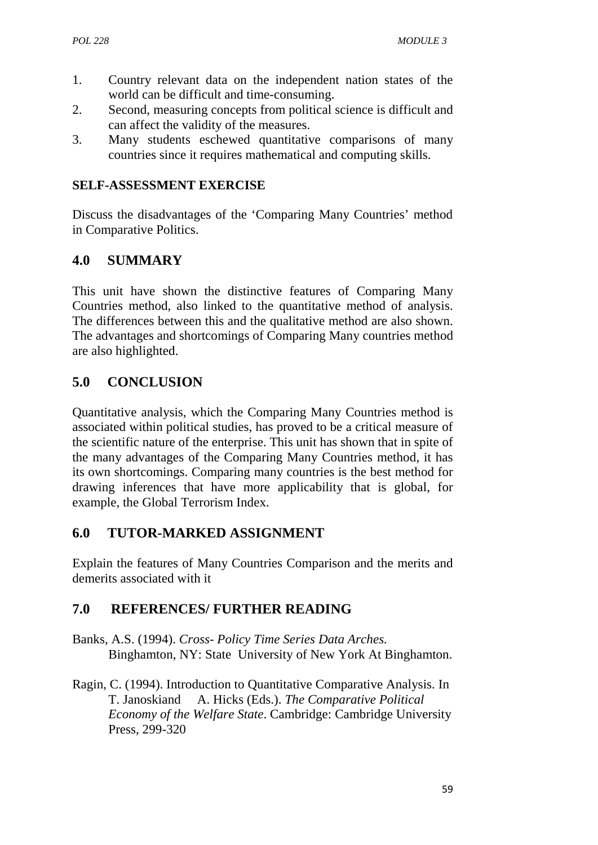- 1. Country relevant data on the independent nation states of the world can be difficult and time-consuming.
- 2. Second, measuring concepts from political science is difficult and can affect the validity of the measures.
- 3. Many students eschewed quantitative comparisons of many countries since it requires mathematical and computing skills.

#### **SELF-ASSESSMENT EXERCISE**

Discuss the disadvantages of the 'Comparing Many Countries' method in Comparative Politics.

# **4.0 SUMMARY**

This unit have shown the distinctive features of Comparing Many Countries method, also linked to the quantitative method of analysis. The differences between this and the qualitative method are also shown. The advantages and shortcomings of Comparing Many countries method are also highlighted.

# **5.0 CONCLUSION**

Quantitative analysis, which the Comparing Many Countries method is associated within political studies, has proved to be a critical measure of the scientific nature of the enterprise. This unit has shown that in spite of the many advantages of the Comparing Many Countries method, it has its own shortcomings. Comparing many countries is the best method for drawing inferences that have more applicability that is global, for example, the Global Terrorism Index.

## **6.0 TUTOR-MARKED ASSIGNMENT**

Explain the features of Many Countries Comparison and the merits and demerits associated with it

# **7.0 REFERENCES/ FURTHER READING**

- Banks, A.S. (1994). *Cross- Policy Time Series Data Arches.* Binghamton, NY: State University of New York At Binghamton.
- Ragin, C. (1994). Introduction to Quantitative Comparative Analysis. In T. Janoskiand A. Hicks (Eds.). *The Comparative Political Economy of the Welfare State*. Cambridge: Cambridge University Press, 299-320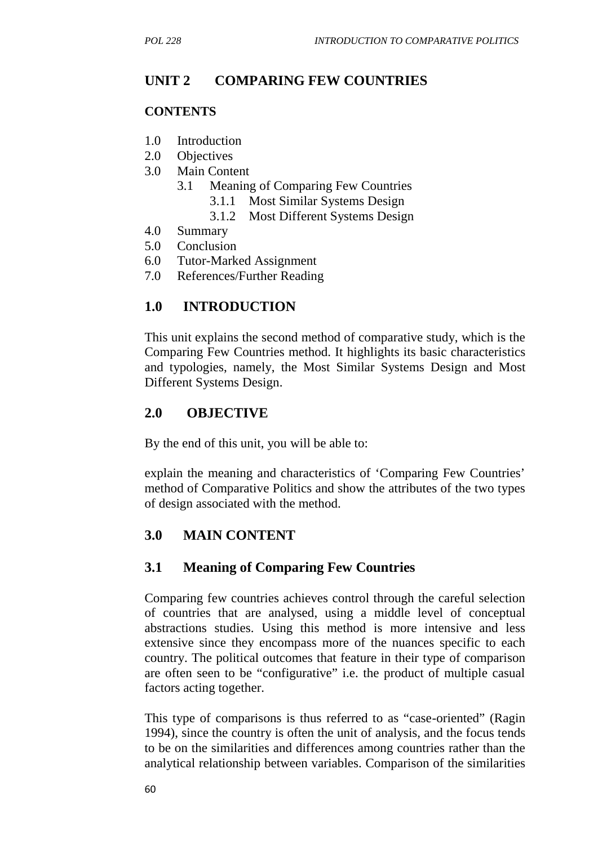# **UNIT 2 COMPARING FEW COUNTRIES**

#### **CONTENTS**

- 1.0 Introduction
- 2.0 Objectives
- 3.0 Main Content
	- 3.1 Meaning of Comparing Few Countries
		- 3.1.1 Most Similar Systems Design
		- 3.1.2 Most Different Systems Design
- 4.0 Summary
- 5.0 Conclusion
- 6.0 Tutor-Marked Assignment
- 7.0 References/Further Reading

### **1.0 INTRODUCTION**

This unit explains the second method of comparative study, which is the Comparing Few Countries method. It highlights its basic characteristics and typologies, namely, the Most Similar Systems Design and Most Different Systems Design.

### **2.0 OBJECTIVE**

By the end of this unit, you will be able to:

explain the meaning and characteristics of 'Comparing Few Countries' method of Comparative Politics and show the attributes of the two types of design associated with the method.

### **3.0 MAIN CONTENT**

#### **3.1 Meaning of Comparing Few Countries**

Comparing few countries achieves control through the careful selection of countries that are analysed, using a middle level of conceptual abstractions studies. Using this method is more intensive and less extensive since they encompass more of the nuances specific to each country. The political outcomes that feature in their type of comparison are often seen to be "configurative" i.e. the product of multiple casual factors acting together.

This type of comparisons is thus referred to as "case-oriented" (Ragin 1994), since the country is often the unit of analysis, and the focus tends to be on the similarities and differences among countries rather than the analytical relationship between variables. Comparison of the similarities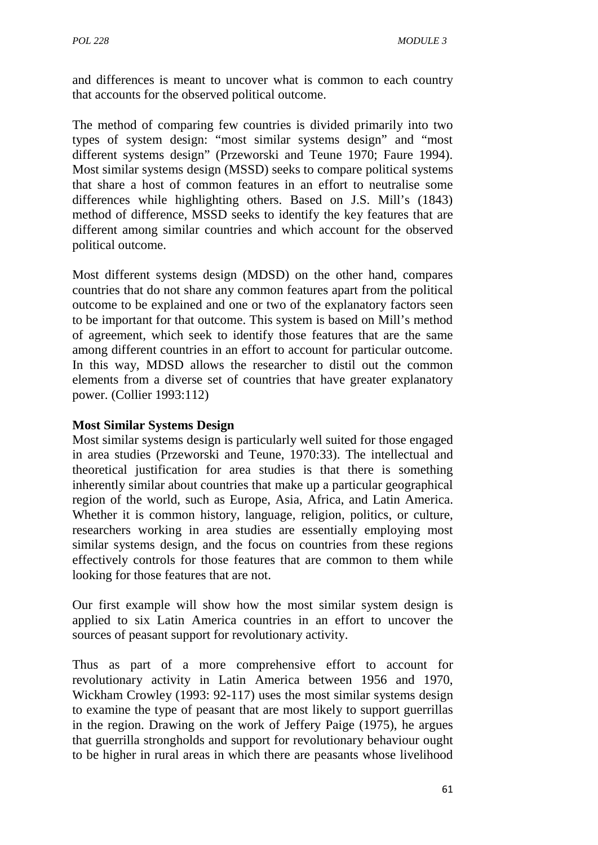and differences is meant to uncover what is common to each country that accounts for the observed political outcome.

The method of comparing few countries is divided primarily into two types of system design: "most similar systems design" and "most different systems design" (Przeworski and Teune 1970; Faure 1994). Most similar systems design (MSSD) seeks to compare political systems that share a host of common features in an effort to neutralise some differences while highlighting others. Based on J.S. Mill's (1843) method of difference, MSSD seeks to identify the key features that are different among similar countries and which account for the observed political outcome.

Most different systems design (MDSD) on the other hand, compares countries that do not share any common features apart from the political outcome to be explained and one or two of the explanatory factors seen to be important for that outcome. This system is based on Mill's method of agreement, which seek to identify those features that are the same among different countries in an effort to account for particular outcome. In this way, MDSD allows the researcher to distil out the common elements from a diverse set of countries that have greater explanatory power. (Collier 1993:112)

#### **Most Similar Systems Design**

Most similar systems design is particularly well suited for those engaged in area studies (Przeworski and Teune, 1970:33). The intellectual and theoretical justification for area studies is that there is something inherently similar about countries that make up a particular geographical region of the world, such as Europe, Asia, Africa, and Latin America. Whether it is common history, language, religion, politics, or culture, researchers working in area studies are essentially employing most similar systems design, and the focus on countries from these regions effectively controls for those features that are common to them while looking for those features that are not.

Our first example will show how the most similar system design is applied to six Latin America countries in an effort to uncover the sources of peasant support for revolutionary activity.

Thus as part of a more comprehensive effort to account for revolutionary activity in Latin America between 1956 and 1970, Wickham Crowley (1993: 92-117) uses the most similar systems design to examine the type of peasant that are most likely to support guerrillas in the region. Drawing on the work of Jeffery Paige (1975), he argues that guerrilla strongholds and support for revolutionary behaviour ought to be higher in rural areas in which there are peasants whose livelihood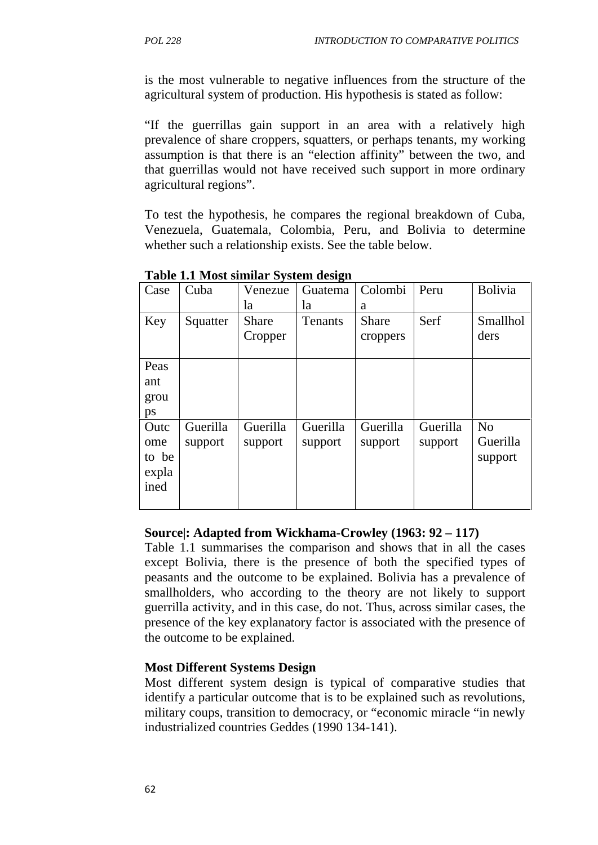is the most vulnerable to negative influences from the structure of the agricultural system of production. His hypothesis is stated as follow:

"If the guerrillas gain support in an area with a relatively high prevalence of share croppers, squatters, or perhaps tenants, my working assumption is that there is an "election affinity" between the two, and that guerrillas would not have received such support in more ordinary agricultural regions".

To test the hypothesis, he compares the regional breakdown of Cuba, Venezuela, Guatemala, Colombia, Peru, and Bolivia to determine whether such a relationship exists. See the table below.

| Case                                  | Cuba                | Venezue             | Guatema             | Colombi             | Peru                | <b>Bolivia</b>                        |
|---------------------------------------|---------------------|---------------------|---------------------|---------------------|---------------------|---------------------------------------|
|                                       |                     | la                  | la                  | a                   |                     |                                       |
| Key                                   | Squatter            | Share<br>Cropper    | Tenants             | Share<br>croppers   | Serf                | Smallhol<br>ders                      |
| Peas<br>ant<br>grou<br>ps             |                     |                     |                     |                     |                     |                                       |
| Outc<br>ome<br>to be<br>expla<br>ined | Guerilla<br>support | Guerilla<br>support | Guerilla<br>support | Guerilla<br>support | Guerilla<br>support | N <sub>o</sub><br>Guerilla<br>support |

**Table 1.1 Most similar System design**

#### **Source|: Adapted from Wickhama-Crowley (1963: 92 – 117)**

Table 1.1 summarises the comparison and shows that in all the cases except Bolivia, there is the presence of both the specified types of peasants and the outcome to be explained. Bolivia has a prevalence of smallholders, who according to the theory are not likely to support guerrilla activity, and in this case, do not. Thus, across similar cases, the presence of the key explanatory factor is associated with the presence of the outcome to be explained.

#### **Most Different Systems Design**

Most different system design is typical of comparative studies that identify a particular outcome that is to be explained such as revolutions, military coups, transition to democracy, or "economic miracle "in newly industrialized countries Geddes (1990 134-141).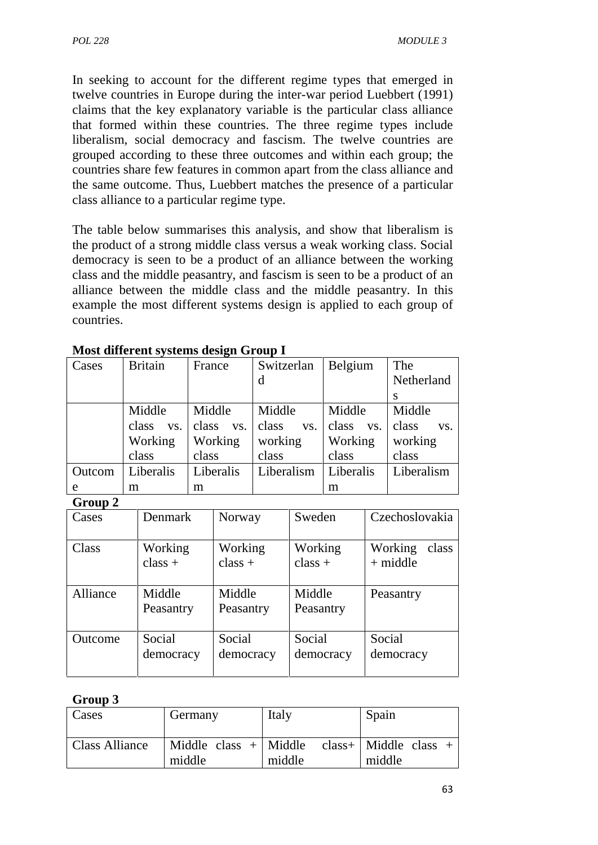In seeking to account for the different regime types that emerged in twelve countries in Europe during the inter-war period Luebbert (1991) claims that the key explanatory variable is the particular class alliance that formed within these countries. The three regime types include liberalism, social democracy and fascism. The twelve countries are grouped according to these three outcomes and within each group; the countries share few features in common apart from the class alliance and the same outcome. Thus, Luebbert matches the presence of a particular class alliance to a particular regime type.

The table below summarises this analysis, and show that liberalism is the product of a strong middle class versus a weak working class. Social democracy is seen to be a product of an alliance between the working class and the middle peasantry, and fascism is seen to be a product of an alliance between the middle class and the middle peasantry. In this example the most different systems design is applied to each group of countries.

| Cases  | <b>Britain</b> | France       | Switzerlan   | Belgium      | The          |
|--------|----------------|--------------|--------------|--------------|--------------|
|        |                |              | d            |              | Netherland   |
|        |                |              |              |              | S            |
|        | Middle         | Middle       | Middle       | Middle       | Middle       |
|        | class<br>VS.   | class<br>VS. | class<br>VS. | class<br>VS. | class<br>VS. |
|        | Working        | Working      | working      | Working      | working      |
|        | class          | class        | class        | class        | class        |
| Outcom | Liberalis      | Liberalis    | Liberalism   | Liberalis    | Liberalism   |
| e      | m              | m            |              | m            |              |

**Most different systems design Group I**

**Group 2**

| Cases    | Denmark              | Norway               | Sweden               | Czechoslovakia                 |
|----------|----------------------|----------------------|----------------------|--------------------------------|
| Class    | Working<br>$class +$ | Working<br>$class +$ | Working<br>$class +$ | Working<br>class<br>$+$ middle |
| Alliance | Middle<br>Peasantry  | Middle<br>Peasantry  | Middle<br>Peasantry  | Peasantry                      |
| Outcome  | Social<br>democracy  | Social<br>democracy  | Social<br>democracy  | Social<br>democracy            |

### **Group 3**

| Cases          | Germany                           | Italy  | Spain                                |
|----------------|-----------------------------------|--------|--------------------------------------|
| Class Alliance | Middle class $+$ Middle<br>middle | middle | $class +   Middle class +$<br>middle |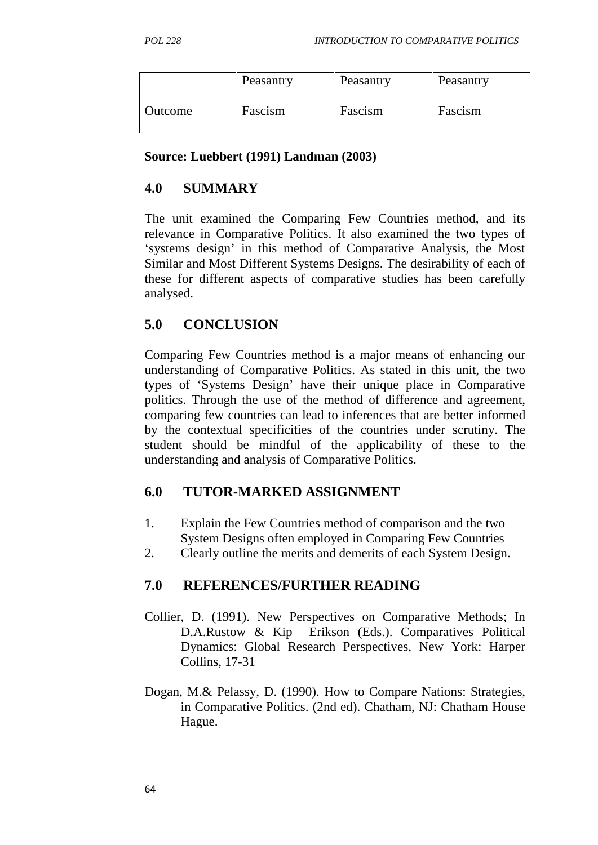|         | Peasantry | Peasantry | Peasantry |
|---------|-----------|-----------|-----------|
| Outcome | Fascism   | Fascism   | Fascism   |

**Source: Luebbert (1991) Landman (2003)**

# **4.0 SUMMARY**

The unit examined the Comparing Few Countries method, and its relevance in Comparative Politics. It also examined the two types of 'systems design' in this method of Comparative Analysis, the Most Similar and Most Different Systems Designs. The desirability of each of these for different aspects of comparative studies has been carefully analysed.

# **5.0 CONCLUSION**

Comparing Few Countries method is a major means of enhancing our understanding of Comparative Politics. As stated in this unit, the two types of 'Systems Design' have their unique place in Comparative politics. Through the use of the method of difference and agreement, comparing few countries can lead to inferences that are better informed by the contextual specificities of the countries under scrutiny. The student should be mindful of the applicability of these to the understanding and analysis of Comparative Politics.

# **6.0 TUTOR-MARKED ASSIGNMENT**

- 1. Explain the Few Countries method of comparison and the two System Designs often employed in Comparing Few Countries
- 2. Clearly outline the merits and demerits of each System Design.

# **7.0 REFERENCES/FURTHER READING**

- Collier, D. (1991). New Perspectives on Comparative Methods; In D.A.Rustow & Kip Erikson (Eds.). Comparatives Political Dynamics: Global Research Perspectives, New York: Harper Collins, 17-31
- Dogan, M.& Pelassy, D. (1990). How to Compare Nations: Strategies, in Comparative Politics. (2nd ed). Chatham, NJ: Chatham House Hague.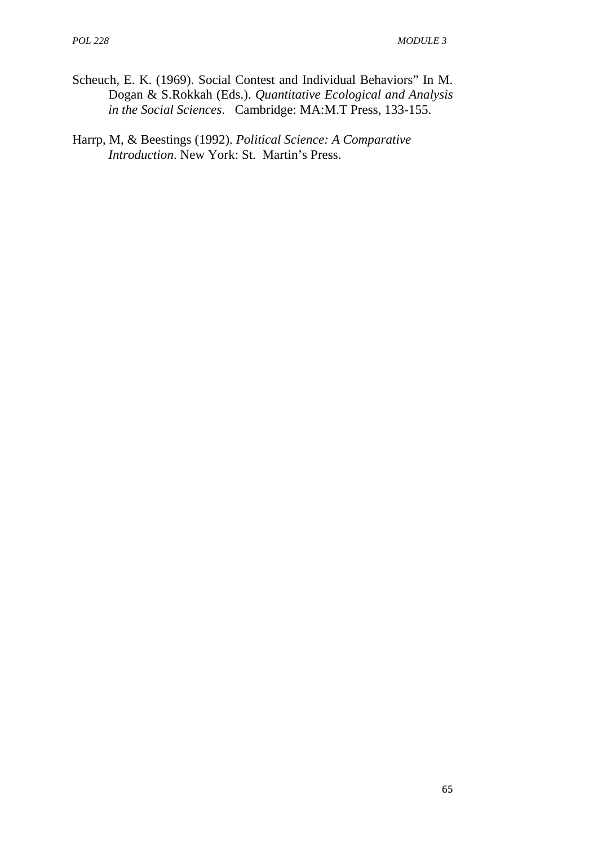- Scheuch, E. K. (1969). Social Contest and Individual Behaviors" In M. Dogan & S.Rokkah (Eds.). *Quantitative Ecological and Analysis in the Social Sciences*. Cambridge: MA:M.T Press, 133-155.
- Harrp, M, & Beestings (1992). *Political Science: A Comparative Introduction*. New York: St. Martin's Press.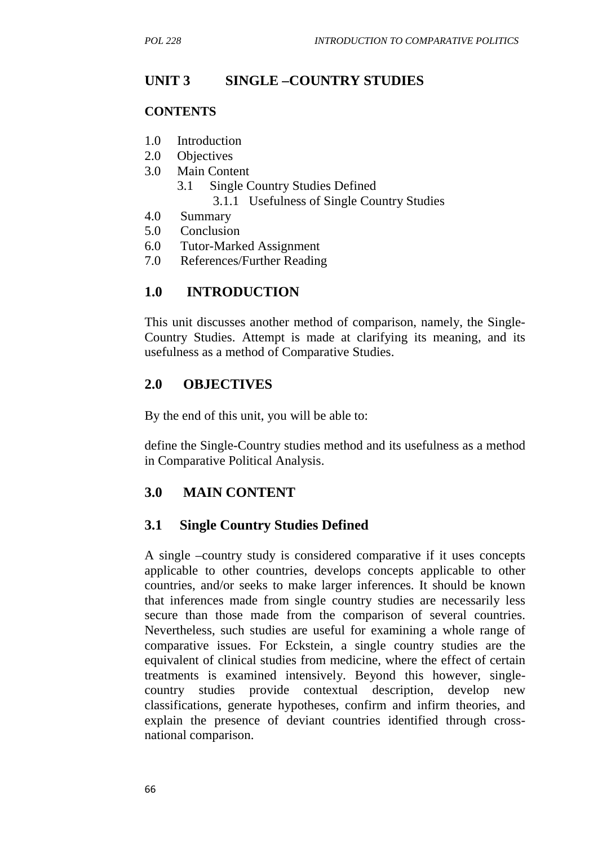# **UNIT 3 SINGLE –COUNTRY STUDIES**

#### **CONTENTS**

- 1.0 Introduction
- 2.0 Objectives
- 3.0 Main Content
	- 3.1 Single Country Studies Defined 3.1.1 Usefulness of Single Country Studies
- 4.0 Summary
- 5.0 Conclusion
- 6.0 Tutor-Marked Assignment
- 7.0 References/Further Reading

### **1.0 INTRODUCTION**

This unit discusses another method of comparison, namely, the Single- Country Studies. Attempt is made at clarifying its meaning, and its usefulness as a method of Comparative Studies.

### **2.0 OBJECTIVES**

By the end of this unit, you will be able to:

define the Single-Country studies method and its usefulness as a method in Comparative Political Analysis.

### **3.0 MAIN CONTENT**

#### **3.1 Single Country Studies Defined**

A single –country study is considered comparative if it uses concepts applicable to other countries, develops concepts applicable to other countries, and/or seeks to make larger inferences. It should be known that inferences made from single country studies are necessarily less secure than those made from the comparison of several countries. Nevertheless, such studies are useful for examining a whole range of comparative issues. For Eckstein, a single country studies are the equivalent of clinical studies from medicine, where the effect of certain treatments is examined intensively. Beyond this however, single country studies provide contextual description, develop new classifications, generate hypotheses, confirm and infirm theories, and explain the presence of deviant countries identified through cross national comparison.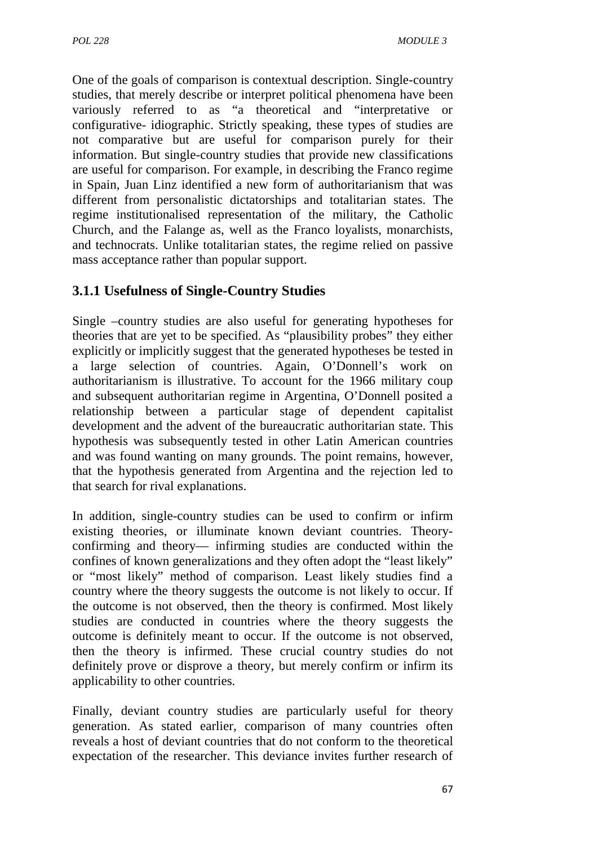One of the goals of comparison is contextual description. Single-country studies, that merely describe or interpret political phenomena have been variously referred to as "a theoretical and "interpretative or configurative- idiographic. Strictly speaking, these types of studies are not comparative but are useful for comparison purely for their information. But single-country studies that provide new classifications are useful for comparison. For example, in describing the Franco regime in Spain, Juan Linz identified a new form of authoritarianism that was different from personalistic dictatorships and totalitarian states. The regime institutionalised representation of the military, the Catholic Church, and the Falange as, well as the Franco loyalists, monarchists, and technocrats. Unlike totalitarian states, the regime relied on passive mass acceptance rather than popular support.

# **3.1.1 Usefulness of Single-Country Studies**

Single –country studies are also useful for generating hypotheses for theories that are yet to be specified. As "plausibility probes" they either explicitly or implicitly suggest that the generated hypotheses be tested in a large selection of countries. Again, O'Donnell's work on authoritarianism is illustrative. To account for the 1966 military coup and subsequent authoritarian regime in Argentina, O'Donnell posited a relationship between a particular stage of dependent capitalist development and the advent of the bureaucratic authoritarian state. This hypothesis was subsequently tested in other Latin American countries and was found wanting on many grounds. The point remains, however, that the hypothesis generated from Argentina and the rejection led to that search for rival explanations.

In addition, single-country studies can be used to confirm or infirm existing theories, or illuminate known deviant countries. Theory confirming and theory— infirming studies are conducted within the confines of known generalizations and they often adopt the "least likely" or "most likely" method of comparison. Least likely studies find a country where the theory suggests the outcome is not likely to occur. If the outcome is not observed, then the theory is confirmed. Most likely studies are conducted in countries where the theory suggests the outcome is definitely meant to occur. If the outcome is not observed, then the theory is infirmed. These crucial country studies do not definitely prove or disprove a theory, but merely confirm or infirm its applicability to other countries.

Finally, deviant country studies are particularly useful for theory generation. As stated earlier, comparison of many countries often reveals a host of deviant countries that do not conform to the theoretical expectation of the researcher. This deviance invites further research of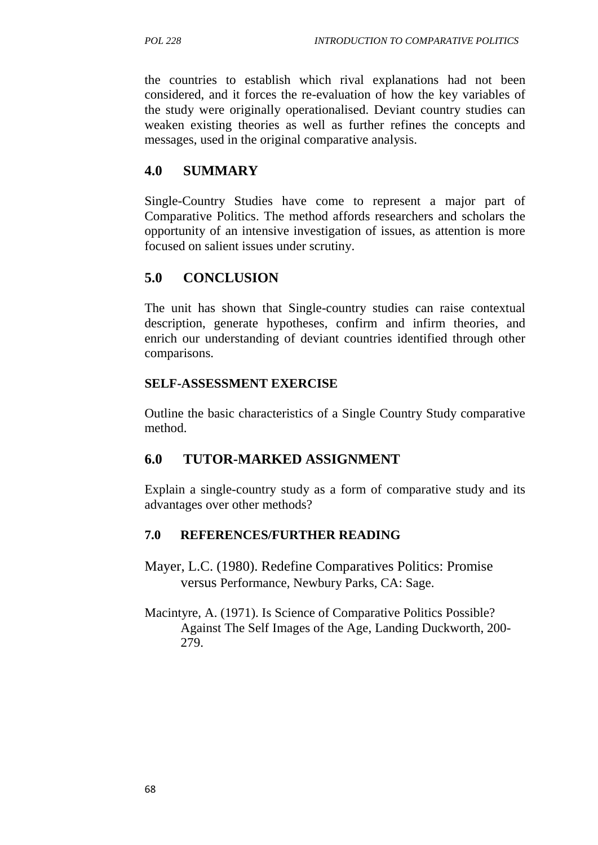the countries to establish which rival explanations had not been considered, and it forces the re-evaluation of how the key variables of the study were originally operationalised. Deviant country studies can weaken existing theories as well as further refines the concepts and messages, used in the original comparative analysis.

# **4.0 SUMMARY**

Single-Country Studies have come to represent a major part of Comparative Politics. The method affords researchers and scholars the opportunity of an intensive investigation of issues, as attention is more focused on salient issues under scrutiny.

# **5.0 CONCLUSION**

The unit has shown that Single-country studies can raise contextual description, generate hypotheses, confirm and infirm theories, and enrich our understanding of deviant countries identified through other comparisons.

### **SELF-ASSESSMENT EXERCISE**

Outline the basic characteristics of a Single Country Study comparative method.

### **6.0 TUTOR-MARKED ASSIGNMENT**

Explain a single-country study as a form of comparative study and its advantages over other methods?

### **7.0 REFERENCES/FURTHER READING**

- Mayer, L.C. (1980). Redefine Comparatives Politics: Promise versus Performance, Newbury Parks, CA: Sage.
- Macintyre, A. (1971). Is Science of Comparative Politics Possible? Against The Self Images of the Age, Landing Duckworth, 200- 279.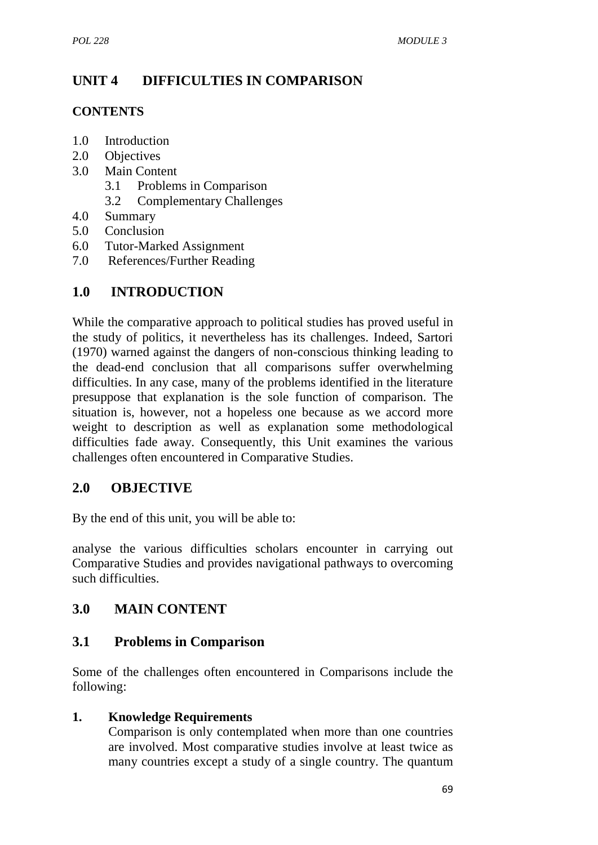# **UNIT 4 DIFFICULTIES IN COMPARISON**

### **CONTENTS**

- 1.0 Introduction
- 2.0 Objectives
- 3.0 Main Content
	- 3.1 Problems in Comparison
	- 3.2 Complementary Challenges
- 4.0 Summary
- 5.0 Conclusion
- 6.0 Tutor-Marked Assignment
- 7.0 References/Further Reading

# **1.0 INTRODUCTION**

While the comparative approach to political studies has proved useful in the study of politics, it nevertheless has its challenges. Indeed, Sartori (1970) warned against the dangers of non-conscious thinking leading to the dead-end conclusion that all comparisons suffer overwhelming difficulties. In any case, many of the problems identified in the literature presuppose that explanation is the sole function of comparison. The situation is, however, not a hopeless one because as we accord more weight to description as well as explanation some methodological difficulties fade away. Consequently, this Unit examines the various challenges often encountered in Comparative Studies.

### **2.0 OBJECTIVE**

By the end of this unit, you will be able to:

analyse the various difficulties scholars encounter in carrying out Comparative Studies and provides navigational pathways to overcoming such difficulties.

# **3.0 MAIN CONTENT**

### **3.1 Problems in Comparison**

Some of the challenges often encountered in Comparisons include the following:

### **1. Knowledge Requirements**

Comparison is only contemplated when more than one countries are involved. Most comparative studies involve at least twice as many countries except a study of a single country. The quantum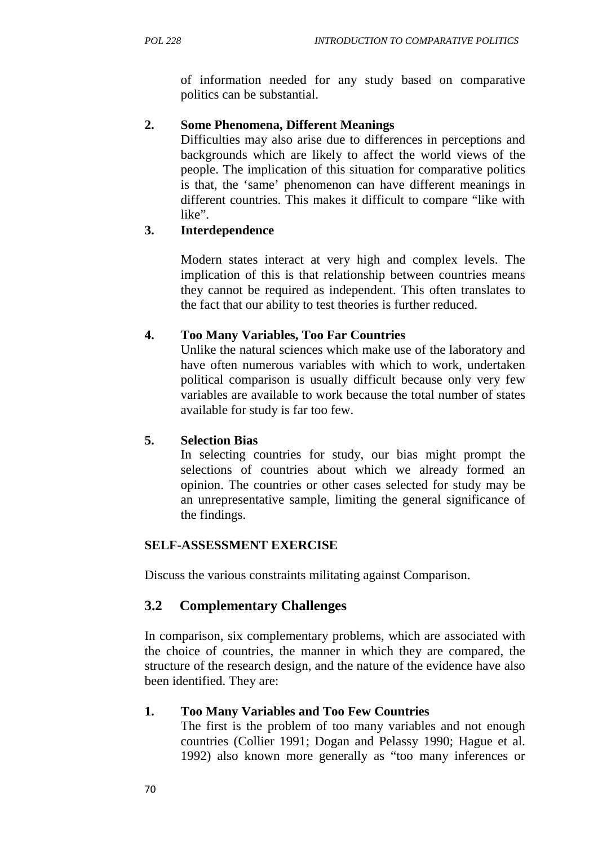of information needed for any study based on comparative politics can be substantial.

### **2. Some Phenomena, Different Meanings**

Difficulties may also arise due to differences in perceptions and backgrounds which are likely to affect the world views of the people. The implication of this situation for comparative politics is that, the 'same' phenomenon can have different meanings in different countries. This makes it difficult to compare "like with like".

### **3. Interdependence**

Modern states interact at very high and complex levels. The implication of this is that relationship between countries means they cannot be required as independent. This often translates to the fact that our ability to test theories is further reduced.

### **4. Too Many Variables, Too Far Countries**

Unlike the natural sciences which make use of the laboratory and have often numerous variables with which to work, undertaken political comparison is usually difficult because only very few variables are available to work because the total number of states available for study is far too few.

#### **5. Selection Bias**

In selecting countries for study, our bias might prompt the selections of countries about which we already formed an opinion. The countries or other cases selected for study may be an unrepresentative sample, limiting the general significance of the findings.

#### **SELF-ASSESSMENT EXERCISE**

Discuss the various constraints militating against Comparison.

### **3.2 Complementary Challenges**

In comparison, six complementary problems, which are associated with the choice of countries, the manner in which they are compared, the structure of the research design, and the nature of the evidence have also been identified. They are:

#### **1. Too Many Variables and Too Few Countries**

The first is the problem of too many variables and not enough countries (Collier 1991; Dogan and Pelassy 1990; Hague et al. 1992) also known more generally as "too many inferences or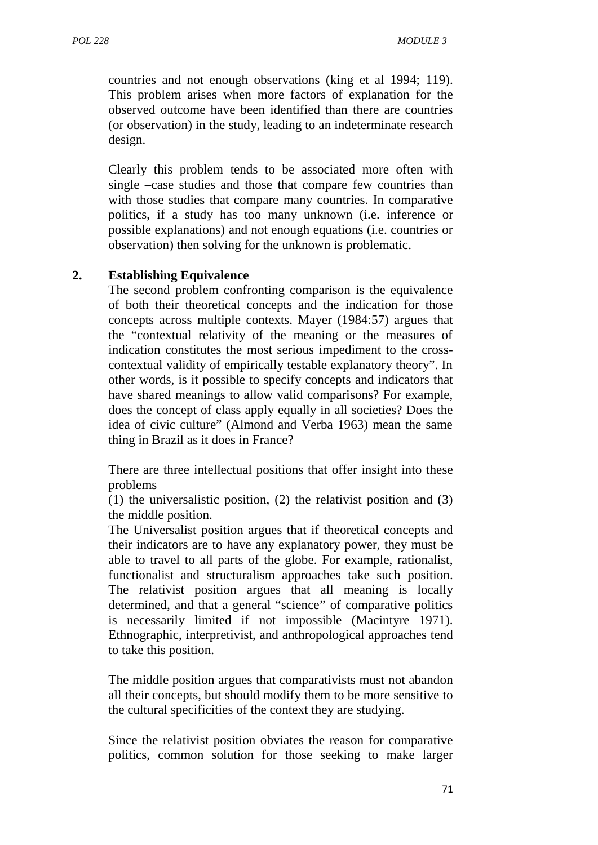countries and not enough observations (king et al 1994; 119). This problem arises when more factors of explanation for the observed outcome have been identified than there are countries (or observation) in the study, leading to an indeterminate research design.

Clearly this problem tends to be associated more often with single –case studies and those that compare few countries than with those studies that compare many countries. In comparative politics, if a study has too many unknown (i.e. inference or possible explanations) and not enough equations (i.e. countries or observation) then solving for the unknown is problematic.

#### **2. Establishing Equivalence**

The second problem confronting comparison is the equivalence of both their theoretical concepts and the indication for those concepts across multiple contexts. Mayer (1984:57) argues that the "contextual relativity of the meaning or the measures of indication constitutes the most serious impediment to the cross contextual validity of empirically testable explanatory theory". In other words, is it possible to specify concepts and indicators that have shared meanings to allow valid comparisons? For example, does the concept of class apply equally in all societies? Does the idea of civic culture" (Almond and Verba 1963) mean the same thing in Brazil as it does in France?

There are three intellectual positions that offer insight into these problems

(1) the universalistic position, (2) the relativist position and (3) the middle position.

The Universalist position argues that if theoretical concepts and their indicators are to have any explanatory power, they must be able to travel to all parts of the globe. For example, rationalist, functionalist and structuralism approaches take such position. The relativist position argues that all meaning is locally determined, and that a general "science" of comparative politics is necessarily limited if not impossible (Macintyre 1971). Ethnographic, interpretivist, and anthropological approaches tend to take this position.

The middle position argues that comparativists must not abandon all their concepts, but should modify them to be more sensitive to the cultural specificities of the context they are studying.

Since the relativist position obviates the reason for comparative politics, common solution for those seeking to make larger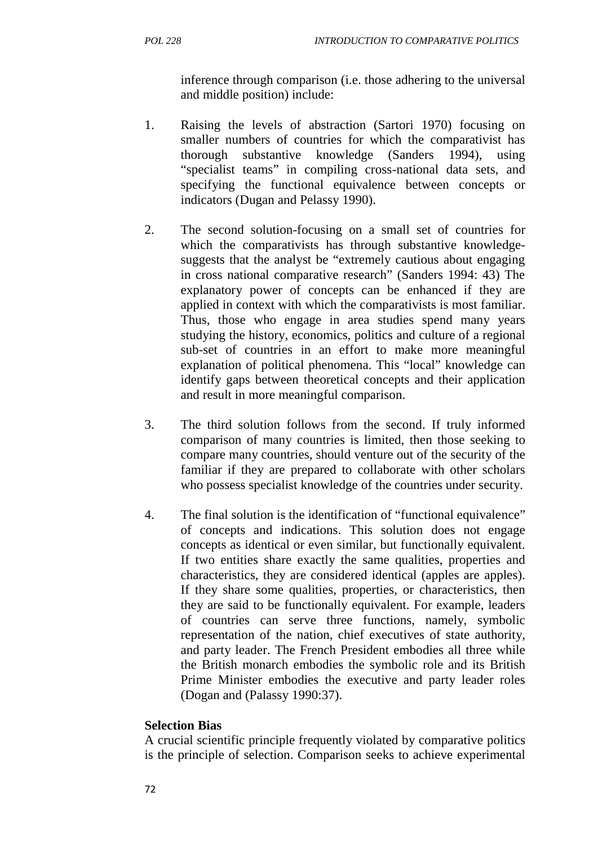inference through comparison (i.e. those adhering to the universal and middle position) include:

- 1. Raising the levels of abstraction (Sartori 1970) focusing on smaller numbers of countries for which the comparativist has thorough substantive knowledge (Sanders 1994), using "specialist teams" in compiling cross-national data sets, and specifying the functional equivalence between concepts or indicators (Dugan and Pelassy 1990).
- 2. The second solution-focusing on a small set of countries for which the comparativists has through substantive knowledge suggests that the analyst be "extremely cautious about engaging in cross national comparative research" (Sanders 1994: 43) The explanatory power of concepts can be enhanced if they are applied in context with which the comparativists is most familiar. Thus, those who engage in area studies spend many years studying the history, economics, politics and culture of a regional sub-set of countries in an effort to make more meaningful explanation of political phenomena. This "local" knowledge can identify gaps between theoretical concepts and their application and result in more meaningful comparison.
- 3. The third solution follows from the second. If truly informed comparison of many countries is limited, then those seeking to compare many countries, should venture out of the security of the familiar if they are prepared to collaborate with other scholars who possess specialist knowledge of the countries under security.
- 4. The final solution is the identification of "functional equivalence" of concepts and indications. This solution does not engage concepts as identical or even similar, but functionally equivalent. If two entities share exactly the same qualities, properties and characteristics, they are considered identical (apples are apples). If they share some qualities, properties, or characteristics, then they are said to be functionally equivalent. For example, leaders of countries can serve three functions, namely, symbolic representation of the nation, chief executives of state authority, and party leader. The French President embodies all three while the British monarch embodies the symbolic role and its British Prime Minister embodies the executive and party leader roles (Dogan and (Palassy 1990:37).

#### **Selection Bias**

A crucial scientific principle frequently violated by comparative politics is the principle of selection. Comparison seeks to achieve experimental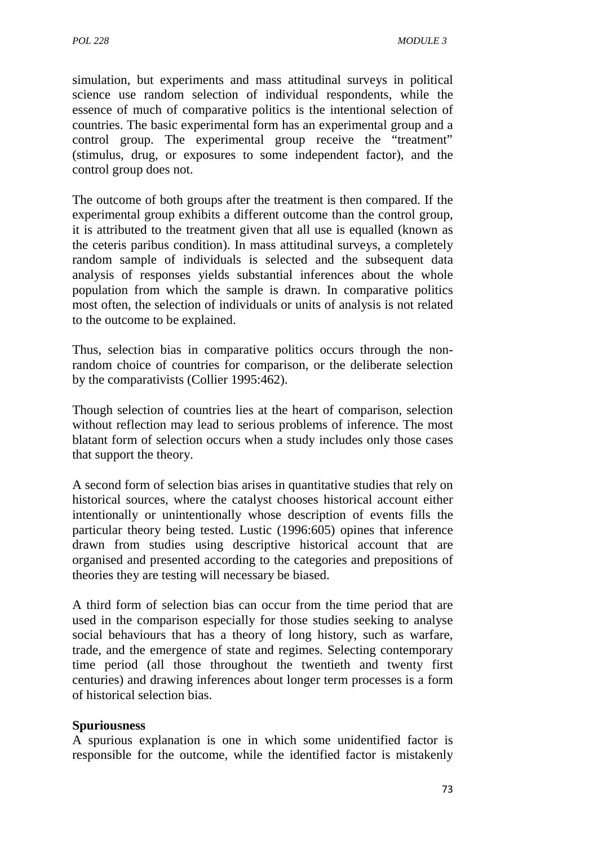simulation, but experiments and mass attitudinal surveys in political science use random selection of individual respondents, while the essence of much of comparative politics is the intentional selection of countries. The basic experimental form has an experimental group and a control group. The experimental group receive the "treatment" (stimulus, drug, or exposures to some independent factor), and the control group does not.

The outcome of both groups after the treatment is then compared. If the experimental group exhibits a different outcome than the control group, it is attributed to the treatment given that all use is equalled (known as the ceteris paribus condition). In mass attitudinal surveys, a completely random sample of individuals is selected and the subsequent data analysis of responses yields substantial inferences about the whole population from which the sample is drawn. In comparative politics most often, the selection of individuals or units of analysis is not related to the outcome to be explained.

Thus, selection bias in comparative politics occurs through the nonrandom choice of countries for comparison, or the deliberate selection by the comparativists (Collier 1995:462).

Though selection of countries lies at the heart of comparison, selection without reflection may lead to serious problems of inference. The most blatant form of selection occurs when a study includes only those cases that support the theory.

A second form of selection bias arises in quantitative studies that rely on historical sources, where the catalyst chooses historical account either intentionally or unintentionally whose description of events fills the particular theory being tested. Lustic (1996:605) opines that inference drawn from studies using descriptive historical account that are organised and presented according to the categories and prepositions of theories they are testing will necessary be biased.

A third form of selection bias can occur from the time period that are used in the comparison especially for those studies seeking to analyse social behaviours that has a theory of long history, such as warfare, trade, and the emergence of state and regimes. Selecting contemporary time period (all those throughout the twentieth and twenty first centuries) and drawing inferences about longer term processes is a form of historical selection bias.

#### **Spuriousness**

A spurious explanation is one in which some unidentified factor is responsible for the outcome, while the identified factor is mistakenly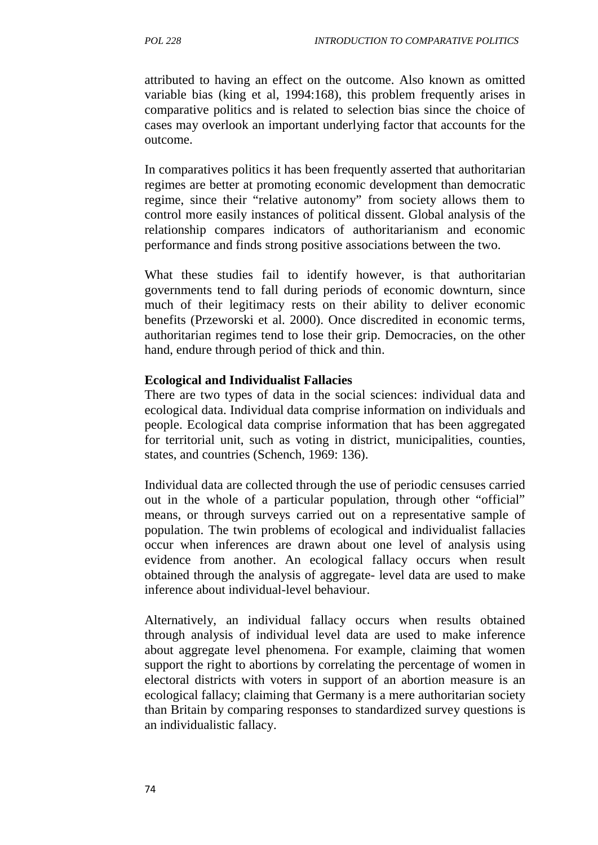attributed to having an effect on the outcome. Also known as omitted variable bias (king et al, 1994:168), this problem frequently arises in comparative politics and is related to selection bias since the choice of cases may overlook an important underlying factor that accounts for the outcome.

In comparatives politics it has been frequently asserted that authoritarian regimes are better at promoting economic development than democratic regime, since their "relative autonomy" from society allows them to control more easily instances of political dissent. Global analysis of the relationship compares indicators of authoritarianism and economic performance and finds strong positive associations between the two.

What these studies fail to identify however, is that authoritarian governments tend to fall during periods of economic downturn, since much of their legitimacy rests on their ability to deliver economic benefits (Przeworski et al. 2000). Once discredited in economic terms, authoritarian regimes tend to lose their grip. Democracies, on the other hand, endure through period of thick and thin.

#### **Ecological and Individualist Fallacies**

There are two types of data in the social sciences: individual data and ecological data. Individual data comprise information on individuals and people. Ecological data comprise information that has been aggregated for territorial unit, such as voting in district, municipalities, counties, states, and countries (Schench, 1969: 136).

Individual data are collected through the use of periodic censuses carried out in the whole of a particular population, through other "official" means, or through surveys carried out on a representative sample of population. The twin problems of ecological and individualist fallacies occur when inferences are drawn about one level of analysis using evidence from another. An ecological fallacy occurs when result obtained through the analysis of aggregate- level data are used to make inference about individual-level behaviour.

Alternatively, an individual fallacy occurs when results obtained through analysis of individual level data are used to make inference about aggregate level phenomena. For example, claiming that women support the right to abortions by correlating the percentage of women in electoral districts with voters in support of an abortion measure is an ecological fallacy; claiming that Germany is a mere authoritarian society than Britain by comparing responses to standardized survey questions is an individualistic fallacy.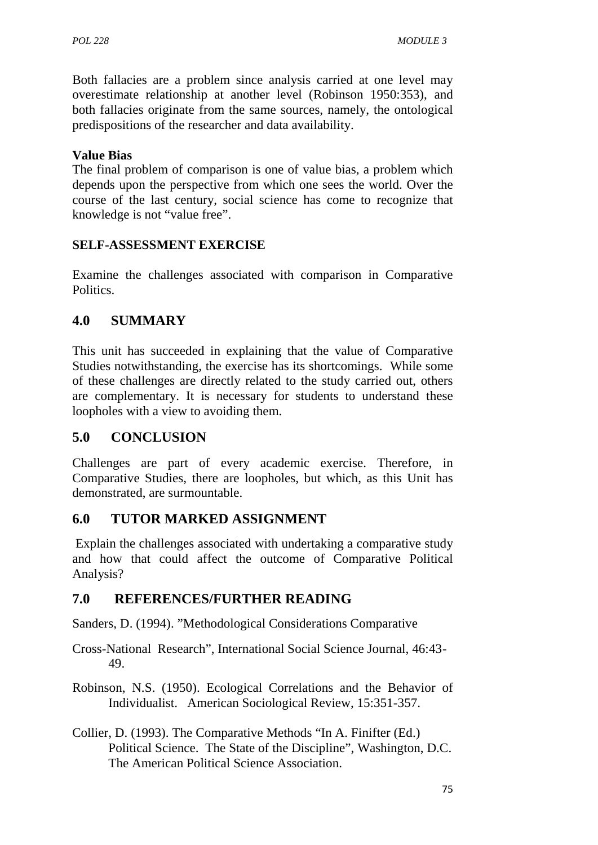Both fallacies are a problem since analysis carried at one level may overestimate relationship at another level (Robinson 1950:353), and both fallacies originate from the same sources, namely, the ontological predispositions of the researcher and data availability.

#### **Value Bias**

The final problem of comparison is one of value bias, a problem which depends upon the perspective from which one sees the world. Over the course of the last century, social science has come to recognize that knowledge is not "value free".

### **SELF-ASSESSMENT EXERCISE**

Examine the challenges associated with comparison in Comparative Politics.

# **4.0 SUMMARY**

This unit has succeeded in explaining that the value of Comparative Studies notwithstanding, the exercise has its shortcomings. While some of these challenges are directly related to the study carried out, others are complementary. It is necessary for students to understand these loopholes with a view to avoiding them.

### **5.0 CONCLUSION**

Challenges are part of every academic exercise. Therefore, in Comparative Studies, there are loopholes, but which, as this Unit has demonstrated, are surmountable.

# **6.0 TUTOR MARKED ASSIGNMENT**

Explain the challenges associated with undertaking a comparative study and how that could affect the outcome of Comparative Political Analysis?

# **7.0 REFERENCES/FURTHER READING**

Sanders, D. (1994). "Methodological Considerations Comparative

- Cross-National Research", International Social Science Journal, 46:43- 49.
- Robinson, N.S. (1950). Ecological Correlations and the Behavior of Individualist. American Sociological Review, 15:351-357.
- Collier, D. (1993). The Comparative Methods "In A. Finifter (Ed.) Political Science. The State of the Discipline", Washington, D.C. The American Political Science Association.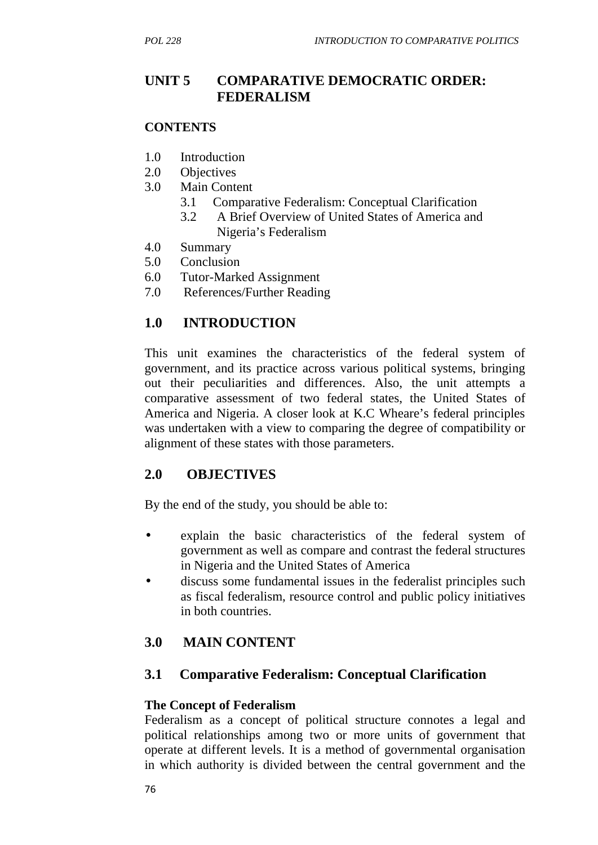# **UNIT 5 COMPARATIVE DEMOCRATIC ORDER: FEDERALISM**

#### **CONTENTS**

- 1.0 Introduction
- 2.0 Objectives
- 3.0 Main Content
	- 3.1 Comparative Federalism: Conceptual Clarification
	- 3.2 A Brief Overview of United States of America and Nigeria's Federalism
- 4.0 Summary
- 5.0 Conclusion
- 6.0 Tutor-Marked Assignment
- 7.0 References/Further Reading

# **1.0 INTRODUCTION**

This unit examines the characteristics of the federal system of government, and its practice across various political systems, bringing out their peculiarities and differences. Also, the unit attempts a comparative assessment of two federal states, the United States of America and Nigeria. A closer look at K.C Wheare's federal principles was undertaken with a view to comparing the degree of compatibility or alignment of these states with those parameters.

### **2.0 OBJECTIVES**

By the end of the study, you should be able to:

- explain the basic characteristics of the federal system of government as well as compare and contrast the federal structures in Nigeria and the United States of America
- discuss some fundamental issues in the federalist principles such as fiscal federalism, resource control and public policy initiatives in both countries.

# **3.0 MAIN CONTENT**

### **3.1 Comparative Federalism: Conceptual Clarification**

#### **The Concept of Federalism**

Federalism as a concept of political structure connotes a legal and political relationships among two or more units of government that operate at different levels. It is a method of governmental organisation in which authority is divided between the central government and the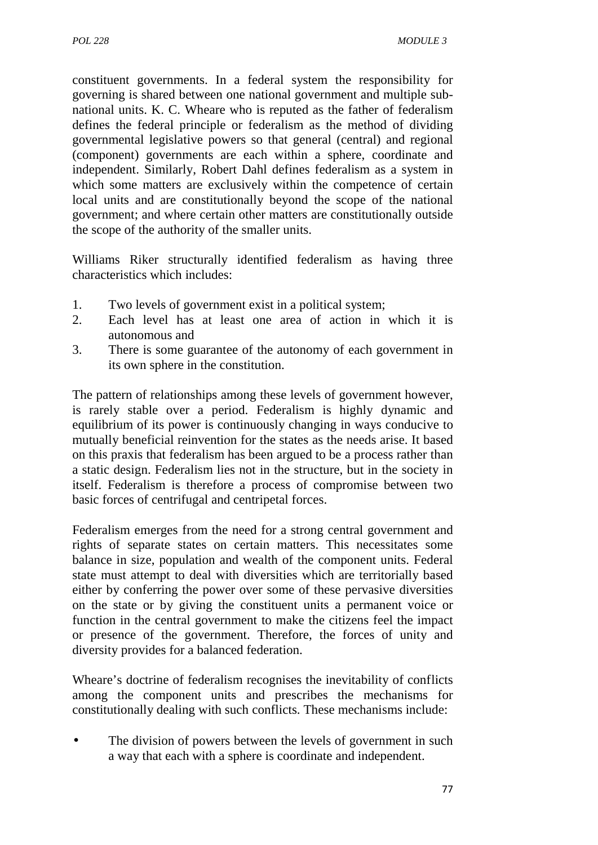constituent governments. In a federal system the responsibility for governing is shared between one national government and multiple sub national units. K. C. Wheare who is reputed as the father of federalism defines the federal principle or federalism as the method of dividing governmental legislative powers so that general (central) and regional (component) governments are each within a sphere, coordinate and independent. Similarly, Robert Dahl defines federalism as a system in which some matters are exclusively within the competence of certain local units and are constitutionally beyond the scope of the national government; and where certain other matters are constitutionally outside the scope of the authority of the smaller units.

Williams Riker structurally identified federalism as having three characteristics which includes:

- 1. Two levels of government exist in a political system;
- 2. Each level has at least one area of action in which it is autonomous and
- 3. There is some guarantee of the autonomy of each government in its own sphere in the constitution.

The pattern of relationships among these levels of government however, is rarely stable over a period. Federalism is highly dynamic and equilibrium of its power is continuously changing in ways conducive to mutually beneficial reinvention for the states as the needs arise. It based on this praxis that federalism has been argued to be a process rather than a static design. Federalism lies not in the structure, but in the society in itself. Federalism is therefore a process of compromise between two basic forces of centrifugal and centripetal forces.

Federalism emerges from the need for a strong central government and rights of separate states on certain matters. This necessitates some balance in size, population and wealth of the component units. Federal state must attempt to deal with diversities which are territorially based either by conferring the power over some of these pervasive diversities on the state or by giving the constituent units a permanent voice or function in the central government to make the citizens feel the impact or presence of the government. Therefore, the forces of unity and diversity provides for a balanced federation.

Wheare's doctrine of federalism recognises the inevitability of conflicts among the component units and prescribes the mechanisms for constitutionally dealing with such conflicts. These mechanisms include:

 The division of powers between the levels of government in such a way that each with a sphere is coordinate and independent.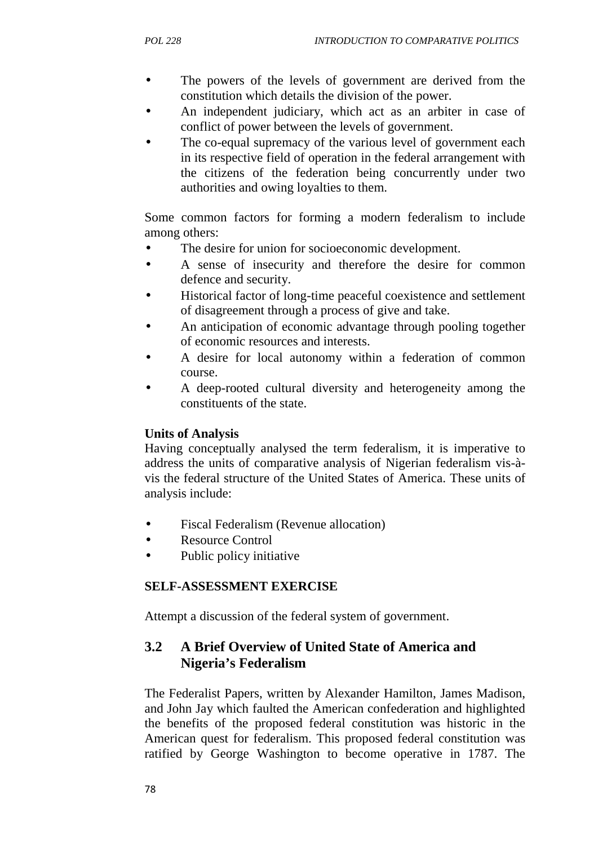- The powers of the levels of government are derived from the constitution which details the division of the power.
- An independent judiciary, which act as an arbiter in case of conflict of power between the levels of government.
- The co-equal supremacy of the various level of government each in its respective field of operation in the federal arrangement with the citizens of the federation being concurrently under two authorities and owing loyalties to them.

Some common factors for forming a modern federalism to include among others:

- The desire for union for socioeconomic development.
- A sense of insecurity and therefore the desire for common defence and security.
- Historical factor of long-time peaceful coexistence and settlement of disagreement through a process of give and take.
- An anticipation of economic advantage through pooling together of economic resources and interests.
- A desire for local autonomy within a federation of common course.
- A deep-rooted cultural diversity and heterogeneity among the constituents of the state.

#### **Units of Analysis**

Having conceptually analysed the term federalism, it is imperative to address the units of comparative analysis of Nigerian federalism vis-à vis the federal structure of the United States of America. These units of analysis include:

- Fiscal Federalism (Revenue allocation)
- Resource Control
- Public policy initiative

#### **SELF-ASSESSMENT EXERCISE**

Attempt a discussion of the federal system of government.

# **3.2 A Brief Overview of United State of America and Nigeria's Federalism**

The Federalist Papers, written by Alexander Hamilton, James Madison, and John Jay which faulted the American confederation and highlighted the benefits of the proposed federal constitution was historic in the American quest for federalism. This proposed federal constitution was ratified by George Washington to become operative in 1787. The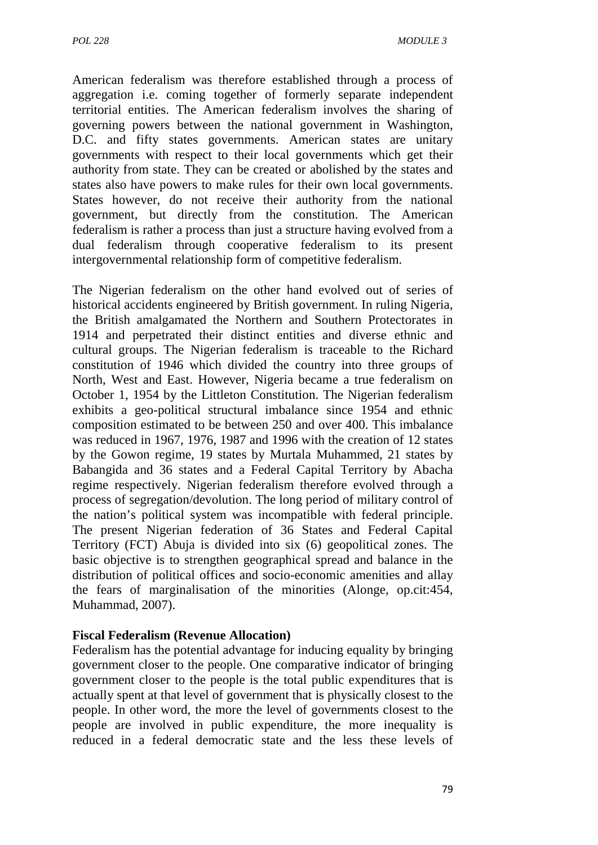American federalism was therefore established through a process of aggregation i.e. coming together of formerly separate independent territorial entities. The American federalism involves the sharing of governing powers between the national government in Washington, D.C. and fifty states governments. American states are unitary governments with respect to their local governments which get their authority from state. They can be created or abolished by the states and states also have powers to make rules for their own local governments. States however, do not receive their authority from the national government, but directly from the constitution. The American federalism is rather a process than just a structure having evolved from a dual federalism through cooperative federalism to its present intergovernmental relationship form of competitive federalism.

The Nigerian federalism on the other hand evolved out of series of historical accidents engineered by British government. In ruling Nigeria, the British amalgamated the Northern and Southern Protectorates in 1914 and perpetrated their distinct entities and diverse ethnic and cultural groups. The Nigerian federalism is traceable to the Richard constitution of 1946 which divided the country into three groups of North, West and East. However, Nigeria became a true federalism on October 1, 1954 by the Littleton Constitution. The Nigerian federalism exhibits a geo-political structural imbalance since 1954 and ethnic composition estimated to be between 250 and over 400. This imbalance was reduced in 1967, 1976, 1987 and 1996 with the creation of 12 states by the Gowon regime, 19 states by Murtala Muhammed, 21 states by Babangida and 36 states and a Federal Capital Territory by Abacha regime respectively. Nigerian federalism therefore evolved through a process of segregation/devolution. The long period of military control of the nation's political system was incompatible with federal principle. The present Nigerian federation of 36 States and Federal Capital Territory (FCT) Abuja is divided into six (6) geopolitical zones. The basic objective is to strengthen geographical spread and balance in the distribution of political offices and socio-economic amenities and allay the fears of marginalisation of the minorities (Alonge, op.cit:454, Muhammad, 2007).

#### **Fiscal Federalism (Revenue Allocation)**

Federalism has the potential advantage for inducing equality by bringing government closer to the people. One comparative indicator of bringing government closer to the people is the total public expenditures that is actually spent at that level of government that is physically closest to the people. In other word, the more the level of governments closest to the people are involved in public expenditure, the more inequality is reduced in a federal democratic state and the less these levels of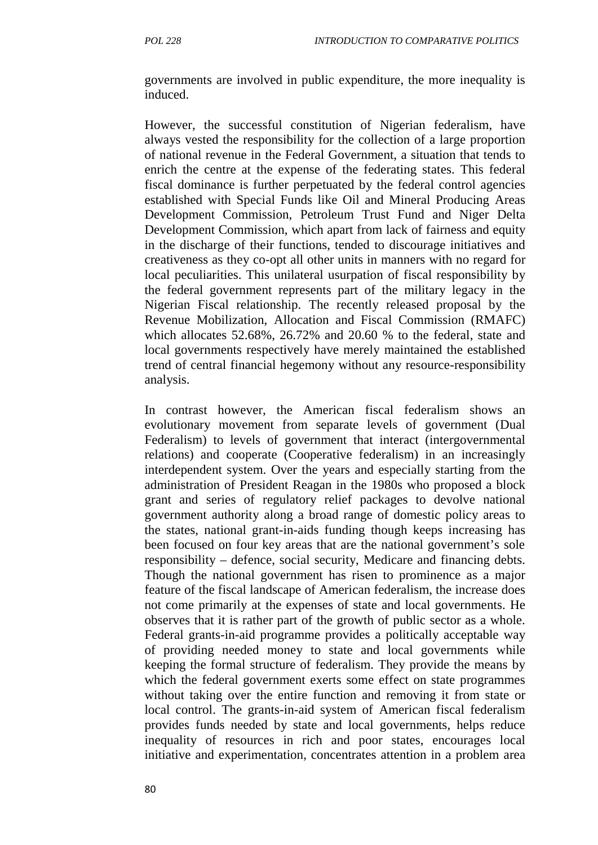governments are involved in public expenditure, the more inequality is induced.

However, the successful constitution of Nigerian federalism, have always vested the responsibility for the collection of a large proportion of national revenue in the Federal Government, a situation that tends to enrich the centre at the expense of the federating states. This federal fiscal dominance is further perpetuated by the federal control agencies established with Special Funds like Oil and Mineral Producing Areas Development Commission, Petroleum Trust Fund and Niger Delta Development Commission, which apart from lack of fairness and equity in the discharge of their functions, tended to discourage initiatives and creativeness as they co-opt all other units in manners with no regard for local peculiarities. This unilateral usurpation of fiscal responsibility by the federal government represents part of the military legacy in the Nigerian Fiscal relationship. The recently released proposal by the Revenue Mobilization, Allocation and Fiscal Commission (RMAFC) which allocates 52.68%, 26.72% and 20.60 % to the federal, state and local governments respectively have merely maintained the established trend of central financial hegemony without any resource-responsibility analysis.

In contrast however, the American fiscal federalism shows an evolutionary movement from separate levels of government (Dual Federalism) to levels of government that interact (intergovernmental relations) and cooperate (Cooperative federalism) in an increasingly interdependent system. Over the years and especially starting from the administration of President Reagan in the 1980s who proposed a block grant and series of regulatory relief packages to devolve national government authority along a broad range of domestic policy areas to the states, national grant-in-aids funding though keeps increasing has been focused on four key areas that are the national government's sole responsibility – defence, social security, Medicare and financing debts. Though the national government has risen to prominence as a major feature of the fiscal landscape of American federalism, the increase does not come primarily at the expenses of state and local governments. He observes that it is rather part of the growth of public sector as a whole. Federal grants-in-aid programme provides a politically acceptable way of providing needed money to state and local governments while keeping the formal structure of federalism. They provide the means by which the federal government exerts some effect on state programmes without taking over the entire function and removing it from state or local control. The grants-in-aid system of American fiscal federalism provides funds needed by state and local governments, helps reduce inequality of resources in rich and poor states, encourages local initiative and experimentation, concentrates attention in a problem area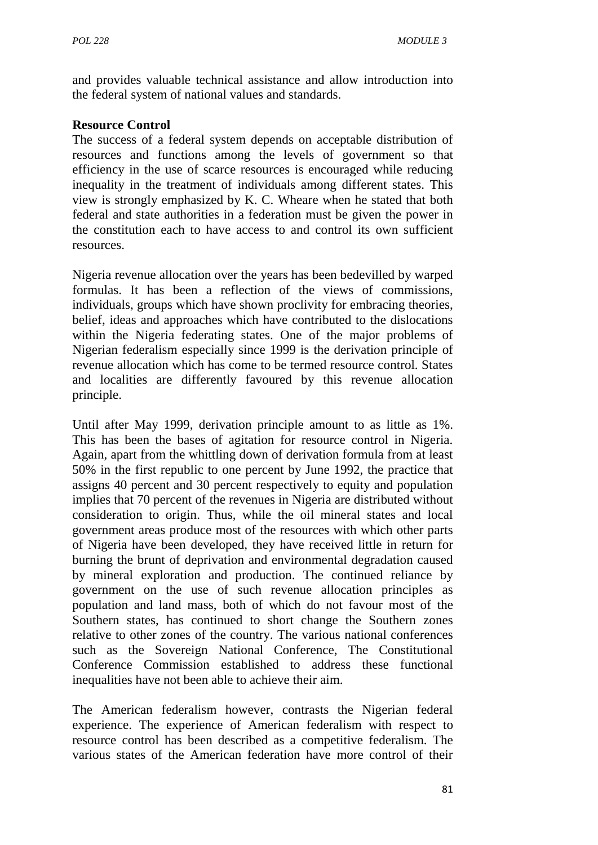and provides valuable technical assistance and allow introduction into the federal system of national values and standards.

#### **Resource Control**

The success of a federal system depends on acceptable distribution of resources and functions among the levels of government so that efficiency in the use of scarce resources is encouraged while reducing inequality in the treatment of individuals among different states. This view is strongly emphasized by K. C. Wheare when he stated that both federal and state authorities in a federation must be given the power in the constitution each to have access to and control its own sufficient resources.

Nigeria revenue allocation over the years has been bedevilled by warped formulas. It has been a reflection of the views of commissions, individuals, groups which have shown proclivity for embracing theories, belief, ideas and approaches which have contributed to the dislocations within the Nigeria federating states. One of the major problems of Nigerian federalism especially since 1999 is the derivation principle of revenue allocation which has come to be termed resource control. States and localities are differently favoured by this revenue allocation principle.

Until after May 1999, derivation principle amount to as little as 1%. This has been the bases of agitation for resource control in Nigeria. Again, apart from the whittling down of derivation formula from at least 50% in the first republic to one percent by June 1992, the practice that assigns 40 percent and 30 percent respectively to equity and population implies that 70 percent of the revenues in Nigeria are distributed without consideration to origin. Thus, while the oil mineral states and local government areas produce most of the resources with which other parts of Nigeria have been developed, they have received little in return for burning the brunt of deprivation and environmental degradation caused by mineral exploration and production. The continued reliance by government on the use of such revenue allocation principles as population and land mass, both of which do not favour most of the Southern states, has continued to short change the Southern zones relative to other zones of the country. The various national conferences such as the Sovereign National Conference, The Constitutional Conference Commission established to address these functional inequalities have not been able to achieve their aim.

The American federalism however, contrasts the Nigerian federal experience. The experience of American federalism with respect to resource control has been described as a competitive federalism. The various states of the American federation have more control of their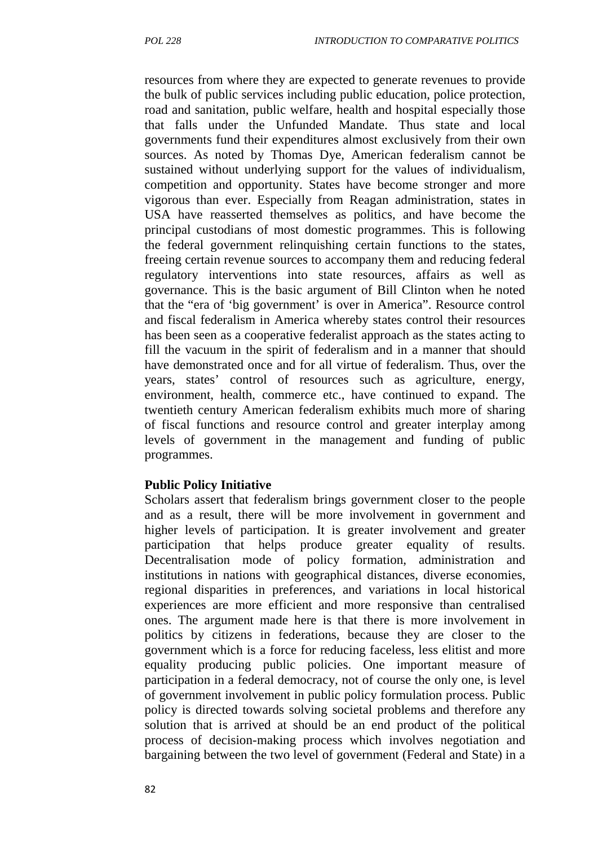resources from where they are expected to generate revenues to provide the bulk of public services including public education, police protection, road and sanitation, public welfare, health and hospital especially those that falls under the Unfunded Mandate. Thus state and local governments fund their expenditures almost exclusively from their own sources. As noted by Thomas Dye, American federalism cannot be sustained without underlying support for the values of individualism, competition and opportunity. States have become stronger and more vigorous than ever. Especially from Reagan administration, states in USA have reasserted themselves as politics, and have become the principal custodians of most domestic programmes. This is following the federal government relinquishing certain functions to the states, freeing certain revenue sources to accompany them and reducing federal regulatory interventions into state resources, affairs as well as governance. This is the basic argument of Bill Clinton when he noted that the "era of 'big government' is over in America". Resource control and fiscal federalism in America whereby states control their resources has been seen as a cooperative federalist approach as the states acting to fill the vacuum in the spirit of federalism and in a manner that should have demonstrated once and for all virtue of federalism. Thus, over the years, states' control of resources such as agriculture, energy, environment, health, commerce etc., have continued to expand. The twentieth century American federalism exhibits much more of sharing of fiscal functions and resource control and greater interplay among levels of government in the management and funding of public programmes.

#### **Public Policy Initiative**

Scholars assert that federalism brings government closer to the people and as a result, there will be more involvement in government and higher levels of participation. It is greater involvement and greater participation that helps produce greater equality of results. Decentralisation mode of policy formation, administration and institutions in nations with geographical distances, diverse economies, regional disparities in preferences, and variations in local historical experiences are more efficient and more responsive than centralised ones. The argument made here is that there is more involvement in politics by citizens in federations, because they are closer to the government which is a force for reducing faceless, less elitist and more equality producing public policies. One important measure of participation in a federal democracy, not of course the only one, is level of government involvement in public policy formulation process. Public policy is directed towards solving societal problems and therefore any solution that is arrived at should be an end product of the political process of decision-making process which involves negotiation and bargaining between the two level of government (Federal and State) in a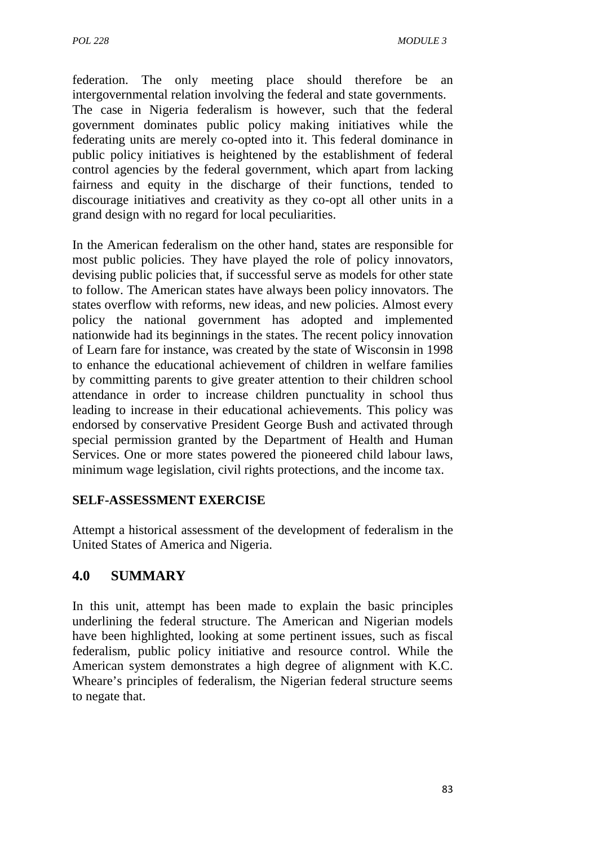federation. The only meeting place should therefore be an intergovernmental relation involving the federal and state governments. The case in Nigeria federalism is however, such that the federal government dominates public policy making initiatives while the federating units are merely co-opted into it. This federal dominance in public policy initiatives is heightened by the establishment of federal control agencies by the federal government, which apart from lacking fairness and equity in the discharge of their functions, tended to discourage initiatives and creativity as they co-opt all other units in a grand design with no regard for local peculiarities.

In the American federalism on the other hand, states are responsible for most public policies. They have played the role of policy innovators, devising public policies that, if successful serve as models for other state to follow. The American states have always been policy innovators. The states overflow with reforms, new ideas, and new policies. Almost every policy the national government has adopted and implemented nationwide had its beginnings in the states. The recent policy innovation of Learn fare for instance, was created by the state of Wisconsin in 1998 to enhance the educational achievement of children in welfare families by committing parents to give greater attention to their children school attendance in order to increase children punctuality in school thus leading to increase in their educational achievements. This policy was endorsed by conservative President George Bush and activated through special permission granted by the Department of Health and Human Services. One or more states powered the pioneered child labour laws, minimum wage legislation, civil rights protections, and the income tax.

#### **SELF-ASSESSMENT EXERCISE**

Attempt a historical assessment of the development of federalism in the United States of America and Nigeria.

# **4.0 SUMMARY**

In this unit, attempt has been made to explain the basic principles underlining the federal structure. The American and Nigerian models have been highlighted, looking at some pertinent issues, such as fiscal federalism, public policy initiative and resource control. While the American system demonstrates a high degree of alignment with K.C. Wheare's principles of federalism, the Nigerian federal structure seems to negate that.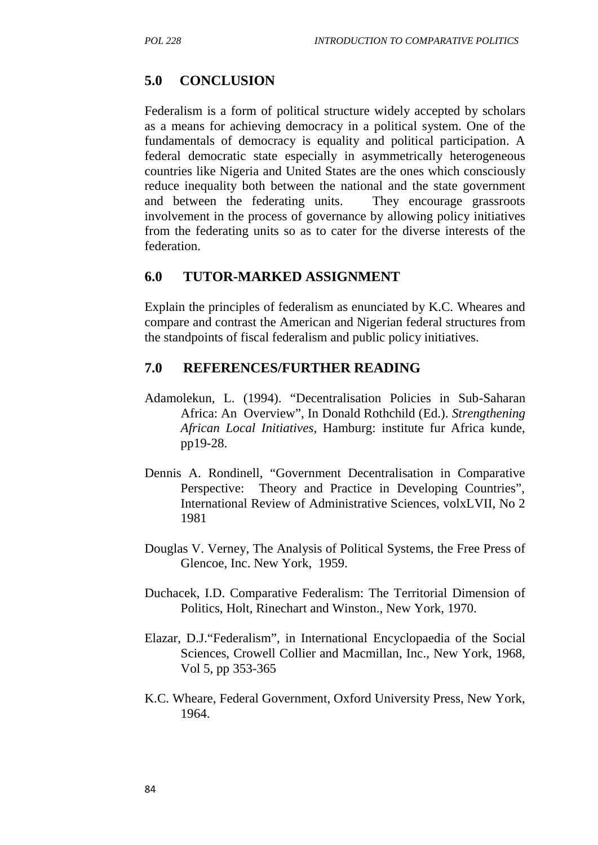# **5.0 CONCLUSION**

Federalism is a form of political structure widely accepted by scholars as a means for achieving democracy in a political system. One of the fundamentals of democracy is equality and political participation. A federal democratic state especially in asymmetrically heterogeneous countries like Nigeria and United States are the ones which consciously reduce inequality both between the national and the state government and between the federating units. They encourage grassroots involvement in the process of governance by allowing policy initiatives from the federating units so as to cater for the diverse interests of the federation.

# **6.0 TUTOR-MARKED ASSIGNMENT**

Explain the principles of federalism as enunciated by K.C. Wheares and compare and contrast the American and Nigerian federal structures from the standpoints of fiscal federalism and public policy initiatives.

# **7.0 REFERENCES/FURTHER READING**

- Adamolekun, L. (1994). "Decentralisation Policies in Sub-Saharan Africa: An Overview", In Donald Rothchild (Ed.). *Strengthening African Local Initiatives,* Hamburg: institute fur Africa kunde, pp19-28.
- Dennis A. Rondinell, "Government Decentralisation in Comparative Perspective: Theory and Practice in Developing Countries", International Review of Administrative Sciences, volxLVII, No 2 1981
- Douglas V. Verney, The Analysis of Political Systems, the Free Press of Glencoe, Inc. New York, 1959.
- Duchacek, I.D. Comparative Federalism: The Territorial Dimension of Politics, Holt, Rinechart and Winston., New York, 1970.
- Elazar, D.J."Federalism", in International Encyclopaedia of the Social Sciences, Crowell Collier and Macmillan, Inc., New York, 1968, Vol 5, pp 353-365
- K.C. Wheare, Federal Government, Oxford University Press, New York, 1964.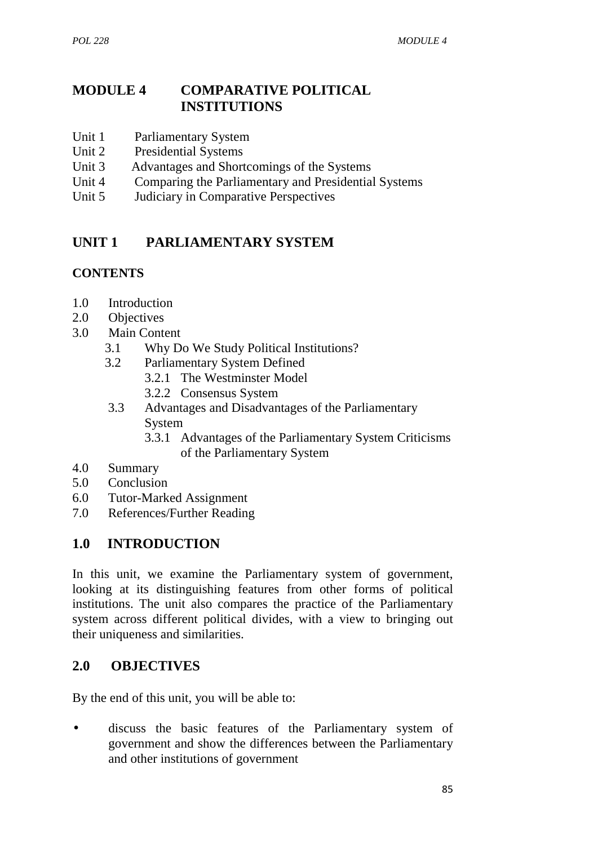# **MODULE 4 COMPARATIVE POLITICAL INSTITUTIONS**

- Unit 1 Parliamentary System
- Unit 2 Presidential Systems
- Unit 3 Advantages and Shortcomings of the Systems
- Unit 4 Comparing the Parliamentary and Presidential Systems
- Unit 5 Judiciary in Comparative Perspectives

# **UNIT 1 PARLIAMENTARY SYSTEM**

### **CONTENTS**

- 1.0 Introduction
- 2.0 Objectives
- 3.0 Main Content
	- 3.1 Why Do We Study Political Institutions?
	- 3.2 Parliamentary System Defined
		- 3.2.1 The Westminster Model
		- 3.2.2 Consensus System
	- 3.3 Advantages and Disadvantages of the Parliamentary System
		- 3.3.1 Advantages of the Parliamentary System Criticisms of the Parliamentary System
- 4.0 Summary
- 5.0 Conclusion
- 6.0 Tutor-Marked Assignment
- 7.0 References/Further Reading

# **1.0 INTRODUCTION**

In this unit, we examine the Parliamentary system of government, looking at its distinguishing features from other forms of political institutions. The unit also compares the practice of the Parliamentary system across different political divides, with a view to bringing out their uniqueness and similarities.

### **2.0 OBJECTIVES**

By the end of this unit, you will be able to:

 discuss the basic features of the Parliamentary system of government and show the differences between the Parliamentary and other institutions of government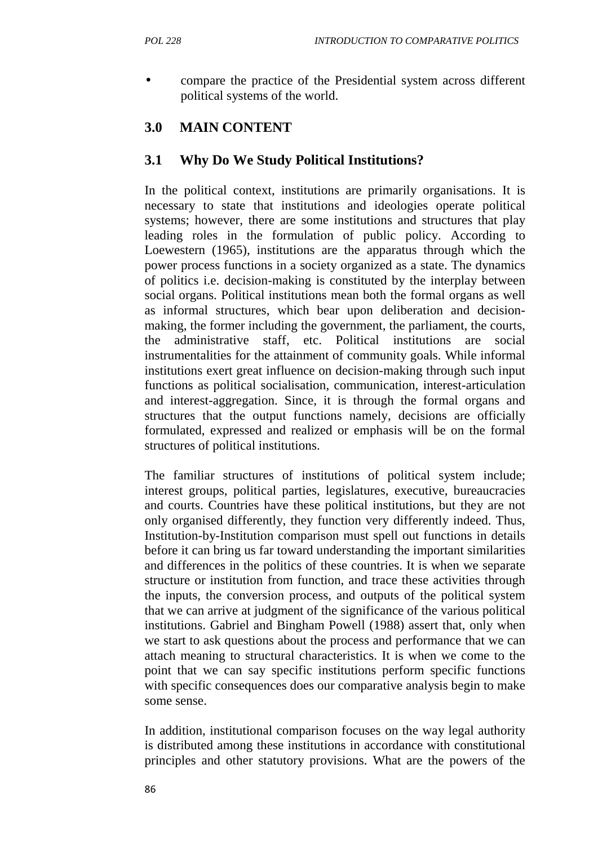compare the practice of the Presidential system across different political systems of the world.

# **3.0 MAIN CONTENT**

# **3.1 Why Do We Study Political Institutions?**

In the political context, institutions are primarily organisations. It is necessary to state that institutions and ideologies operate political systems; however, there are some institutions and structures that play leading roles in the formulation of public policy. According to Loewestern (1965), institutions are the apparatus through which the power process functions in a society organized as a state. The dynamics of politics i.e. decision-making is constituted by the interplay between social organs. Political institutions mean both the formal organs as well as informal structures, which bear upon deliberation and decision making, the former including the government, the parliament, the courts, the administrative staff, etc. Political institutions are social instrumentalities for the attainment of community goals. While informal institutions exert great influence on decision-making through such input functions as political socialisation, communication, interest-articulation and interest-aggregation. Since, it is through the formal organs and structures that the output functions namely, decisions are officially formulated, expressed and realized or emphasis will be on the formal structures of political institutions.

The familiar structures of institutions of political system include; interest groups, political parties, legislatures, executive, bureaucracies and courts. Countries have these political institutions, but they are not only organised differently, they function very differently indeed. Thus, Institution-by-Institution comparison must spell out functions in details before it can bring us far toward understanding the important similarities and differences in the politics of these countries. It is when we separate structure or institution from function, and trace these activities through the inputs, the conversion process, and outputs of the political system that we can arrive at judgment of the significance of the various political institutions. Gabriel and Bingham Powell (1988) assert that, only when we start to ask questions about the process and performance that we can attach meaning to structural characteristics. It is when we come to the point that we can say specific institutions perform specific functions with specific consequences does our comparative analysis begin to make some sense.

In addition, institutional comparison focuses on the way legal authority is distributed among these institutions in accordance with constitutional principles and other statutory provisions. What are the powers of the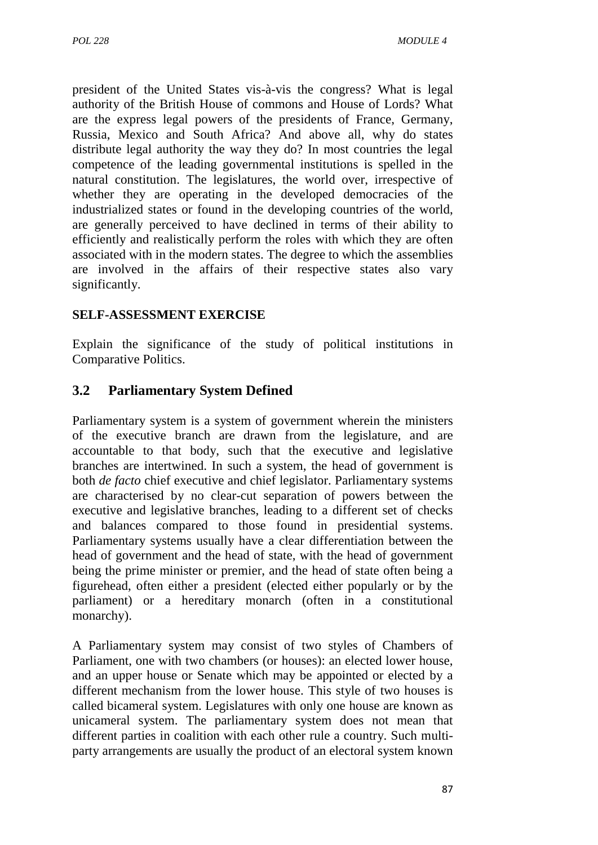president of the United States vis-à-vis the congress? What is legal authority of the British House of commons and House of Lords? What are the express legal powers of the presidents of France, Germany, Russia, Mexico and South Africa? And above all, why do states distribute legal authority the way they do? In most countries the legal competence of the leading governmental institutions is spelled in the natural constitution. The legislatures, the world over, irrespective of whether they are operating in the developed democracies of the industrialized states or found in the developing countries of the world, are generally perceived to have declined in terms of their ability to efficiently and realistically perform the roles with which they are often associated with in the modern states. The degree to which the assemblies are involved in the affairs of their respective states also vary significantly.

### **SELF-ASSESSMENT EXERCISE**

Explain the significance of the study of political institutions in Comparative Politics.

# **3.2 Parliamentary System Defined**

Parliamentary system is a system of government wherein the ministers of the executive branch are drawn from the legislature, and are accountable to that body, such that the executive and legislative branches are intertwined. In such a system, the head of government is both *de facto* chief executive and chief legislator. Parliamentary systems are characterised by no clear-cut separation of powers between the executive and legislative branches, leading to a different set of checks and balances compared to those found in presidential systems. Parliamentary systems usually have a clear differentiation between the head of government and the head of state, with the head of government being the prime minister or premier, and the head of state often being a figurehead, often either a president (elected either popularly or by the parliament) or a hereditary monarch (often in a constitutional monarchy).

A Parliamentary system may consist of two styles of Chambers of Parliament, one with two chambers (or houses): an elected lower house, and an upper house or Senate which may be appointed or elected by a different mechanism from the lower house. This style of two houses is called bicameral system. Legislatures with only one house are known as unicameral system. The parliamentary system does not mean that different parties in coalition with each other rule a country. Such multi party arrangements are usually the product of an electoral system known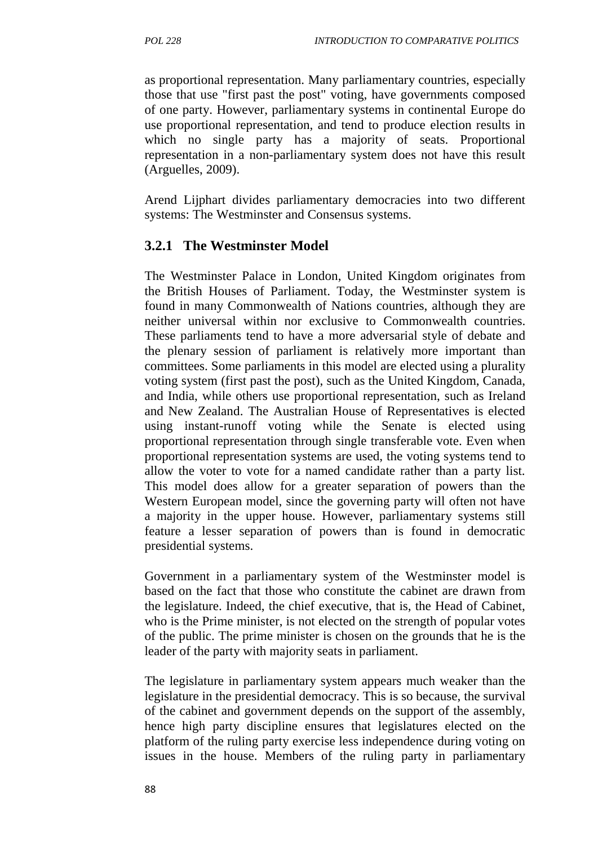as proportional representation. Many parliamentary countries, especially those that use "first past the post" voting, have governments composed of one party. However, parliamentary systems in continental Europe do use proportional representation, and tend to produce election results in which no single party has a majority of seats. Proportional representation in a non-parliamentary system does not have this result (Arguelles, 2009).

Arend Lijphart divides parliamentary democracies into two different systems: The Westminster and Consensus systems.

# **3.2.1 The Westminster Model**

The Westminster Palace in London, United Kingdom originates from the British Houses of Parliament. Today, the Westminster system is found in many Commonwealth of Nations countries, although they are neither universal within nor exclusive to Commonwealth countries. These parliaments tend to have a more adversarial style of debate and the plenary session of parliament is relatively more important than committees. Some parliaments in this model are elected using a plurality voting system (first past the post), such as the United Kingdom, Canada, and India, while others use proportional representation, such as Ireland and New Zealand. The Australian House of Representatives is elected using instant-runoff voting while the Senate is elected using proportional representation through single transferable vote. Even when proportional representation systems are used, the voting systems tend to allow the voter to vote for a named candidate rather than a party list. This model does allow for a greater separation of powers than the Western European model, since the governing party will often not have a majority in the upper house. However, parliamentary systems still feature a lesser separation of powers than is found in democratic presidential systems.

Government in a parliamentary system of the Westminster model is based on the fact that those who constitute the cabinet are drawn from the legislature. Indeed, the chief executive, that is, the Head of Cabinet, who is the Prime minister, is not elected on the strength of popular votes of the public. The prime minister is chosen on the grounds that he is the leader of the party with majority seats in parliament.

The legislature in parliamentary system appears much weaker than the legislature in the presidential democracy. This is so because, the survival of the cabinet and government depends on the support of the assembly, hence high party discipline ensures that legislatures elected on the platform of the ruling party exercise less independence during voting on issues in the house. Members of the ruling party in parliamentary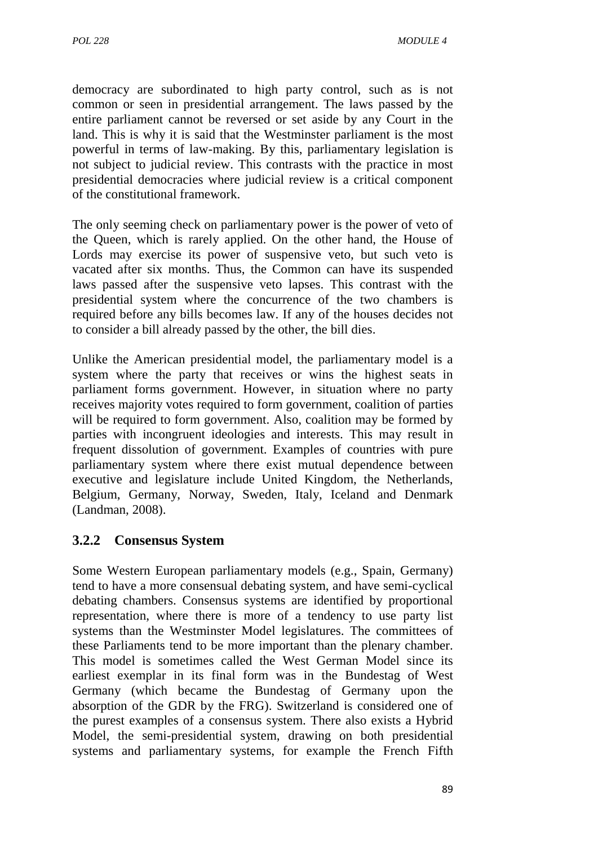democracy are subordinated to high party control, such as is not common or seen in presidential arrangement. The laws passed by the entire parliament cannot be reversed or set aside by any Court in the land. This is why it is said that the Westminster parliament is the most powerful in terms of law-making. By this, parliamentary legislation is not subject to judicial review. This contrasts with the practice in most presidential democracies where judicial review is a critical component of the constitutional framework.

The only seeming check on parliamentary power is the power of veto of the Queen, which is rarely applied. On the other hand, the House of Lords may exercise its power of suspensive veto, but such veto is vacated after six months. Thus, the Common can have its suspended laws passed after the suspensive veto lapses. This contrast with the presidential system where the concurrence of the two chambers is required before any bills becomes law. If any of the houses decides not to consider a bill already passed by the other, the bill dies.

Unlike the American presidential model, the parliamentary model is a system where the party that receives or wins the highest seats in parliament forms government. However, in situation where no party receives majority votes required to form government, coalition of parties will be required to form government. Also, coalition may be formed by parties with incongruent ideologies and interests. This may result in frequent dissolution of government. Examples of countries with pure parliamentary system where there exist mutual dependence between executive and legislature include United Kingdom, the Netherlands, Belgium, Germany, Norway, Sweden, Italy, Iceland and Denmark (Landman, 2008).

# **3.2.2 Consensus System**

Some Western European parliamentary models (e.g., Spain, Germany) tend to have a more consensual debating system, and have semi-cyclical debating chambers. Consensus systems are identified by proportional representation, where there is more of a tendency to use party list systems than the Westminster Model legislatures. The committees of these Parliaments tend to be more important than the plenary chamber. This model is sometimes called the West German Model since its earliest exemplar in its final form was in the Bundestag of West Germany (which became the Bundestag of Germany upon the absorption of the GDR by the FRG). Switzerland is considered one of the purest examples of a consensus system. There also exists a Hybrid Model, the semi-presidential system, drawing on both presidential systems and parliamentary systems, for example the French Fifth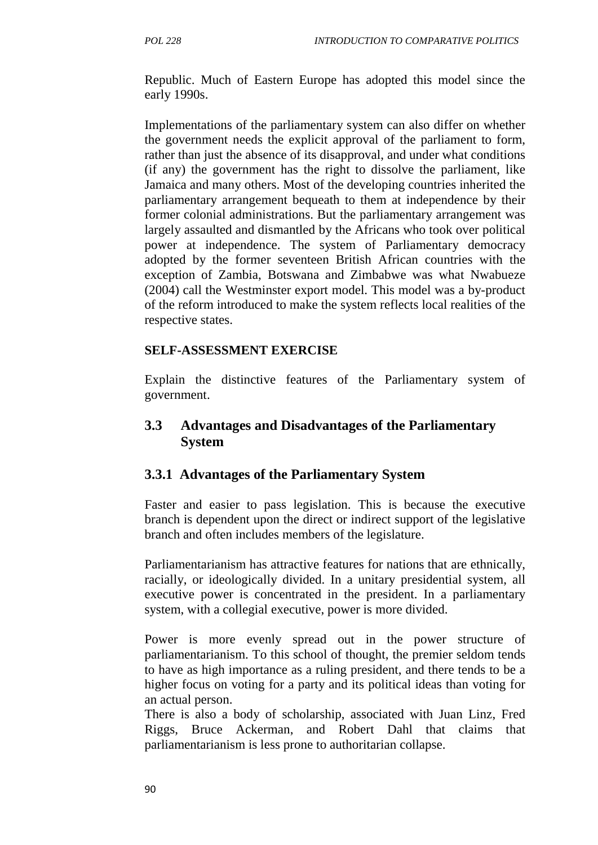Republic. Much of Eastern Europe has adopted this model since the early 1990s.

Implementations of the parliamentary system can also differ on whether the government needs the explicit approval of the parliament to form, rather than just the absence of its disapproval, and under what conditions (if any) the government has the right to dissolve the parliament, like Jamaica and many others. Most of the developing countries inherited the parliamentary arrangement bequeath to them at independence by their former colonial administrations. But the parliamentary arrangement was largely assaulted and dismantled by the Africans who took over political power at independence. The system of Parliamentary democracy adopted by the former seventeen British African countries with the exception of Zambia, Botswana and Zimbabwe was what Nwabueze (2004) call the Westminster export model. This model was a by-product of the reform introduced to make the system reflects local realities of the respective states.

#### **SELF-ASSESSMENT EXERCISE**

Explain the distinctive features of the Parliamentary system of government.

### **3.3 Advantages and Disadvantages of the Parliamentary System**

#### **3.3.1 Advantages of the Parliamentary System**

Faster and easier to pass legislation. This is because the executive branch is dependent upon the direct or indirect support of the legislative branch and often includes members of the legislature.

Parliamentarianism has attractive features for nations that are ethnically, racially, or ideologically divided. In a unitary presidential system, all executive power is concentrated in the president. In a parliamentary system, with a collegial executive, power is more divided.

Power is more evenly spread out in the power structure of parliamentarianism. To this school of thought, the premier seldom tends to have as high importance as a ruling president, and there tends to be a higher focus on voting for a party and its political ideas than voting for an actual person.

There is also a body of scholarship, associated with Juan Linz, Fred Riggs, Bruce Ackerman, and Robert Dahl that claims that parliamentarianism is less prone to authoritarian collapse.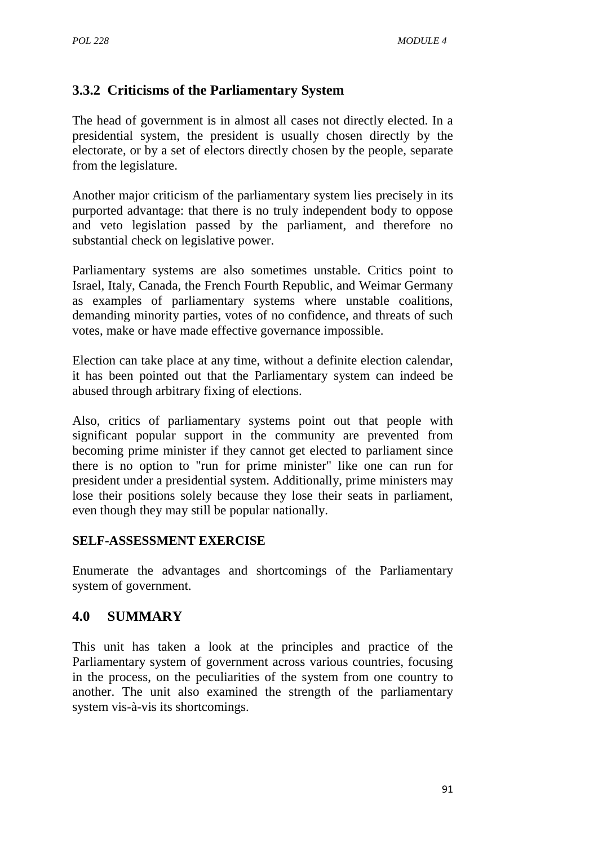# **3.3.2 Criticisms of the Parliamentary System**

The head of government is in almost all cases not directly elected. In a presidential system, the president is usually chosen directly by the electorate, or by a set of electors directly chosen by the people, separate from the legislature.

Another major criticism of the parliamentary system lies precisely in its purported advantage: that there is no truly independent body to oppose and veto legislation passed by the parliament, and therefore no substantial check on legislative power.

Parliamentary systems are also sometimes unstable. Critics point to Israel, Italy, Canada, the French Fourth Republic, and Weimar Germany as examples of parliamentary systems where unstable coalitions, demanding minority parties, votes of no confidence, and threats of such votes, make or have made effective governance impossible.

Election can take place at any time, without a definite election calendar, it has been pointed out that the Parliamentary system can indeed be abused through arbitrary fixing of elections.

Also, critics of parliamentary systems point out that people with significant popular support in the community are prevented from becoming prime minister if they cannot get elected to parliament since there is no option to "run for prime minister" like one can run for president under a presidential system. Additionally, prime ministers may lose their positions solely because they lose their seats in parliament, even though they may still be popular nationally.

#### **SELF-ASSESSMENT EXERCISE**

Enumerate the advantages and shortcomings of the Parliamentary system of government.

### **4.0 SUMMARY**

This unit has taken a look at the principles and practice of the Parliamentary system of government across various countries, focusing in the process, on the peculiarities of the system from one country to another. The unit also examined the strength of the parliamentary system vis-à-vis its shortcomings.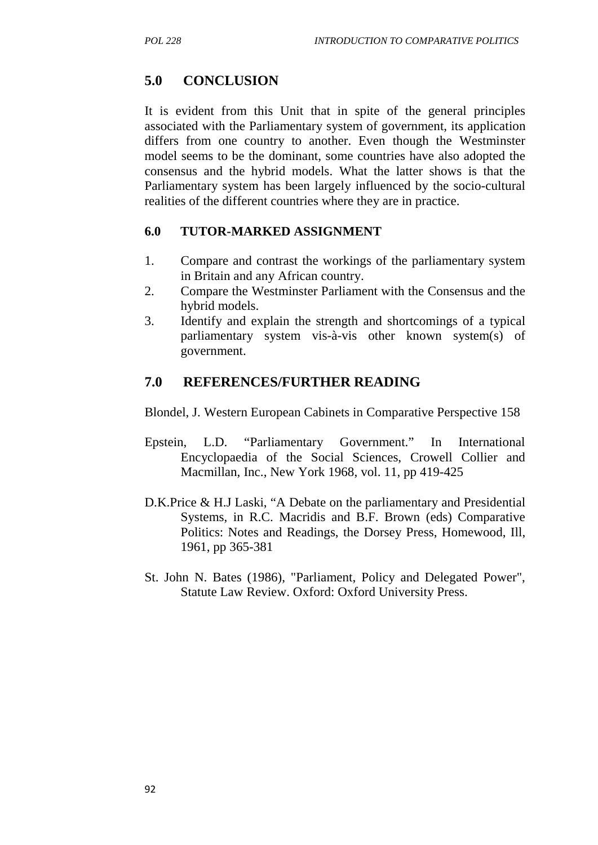# **5.0 CONCLUSION**

It is evident from this Unit that in spite of the general principles associated with the Parliamentary system of government, its application differs from one country to another. Even though the Westminster model seems to be the dominant, some countries have also adopted the consensus and the hybrid models. What the latter shows is that the Parliamentary system has been largely influenced by the socio-cultural realities of the different countries where they are in practice.

#### **6.0 TUTOR-MARKED ASSIGNMENT**

- 1. Compare and contrast the workings of the parliamentary system in Britain and any African country.
- 2. Compare the Westminster Parliament with the Consensus and the hybrid models.
- 3. Identify and explain the strength and shortcomings of a typical parliamentary system vis-à-vis other known system(s) of government.

# **7.0 REFERENCES/FURTHER READING**

Blondel, J. Western European Cabinets in Comparative Perspective 158

- Epstein, L.D. "Parliamentary Government." In International Encyclopaedia of the Social Sciences, Crowell Collier and Macmillan, Inc., New York 1968, vol. 11, pp 419-425
- D.K.Price & H.J Laski, "A Debate on the parliamentary and Presidential Systems, in R.C. Macridis and B.F. Brown (eds) Comparative Politics: Notes and Readings, the Dorsey Press, Homewood, Ill, 1961, pp 365-381
- St. John N. Bates (1986), "Parliament, Policy and Delegated Power", Statute Law Review. Oxford: Oxford University Press.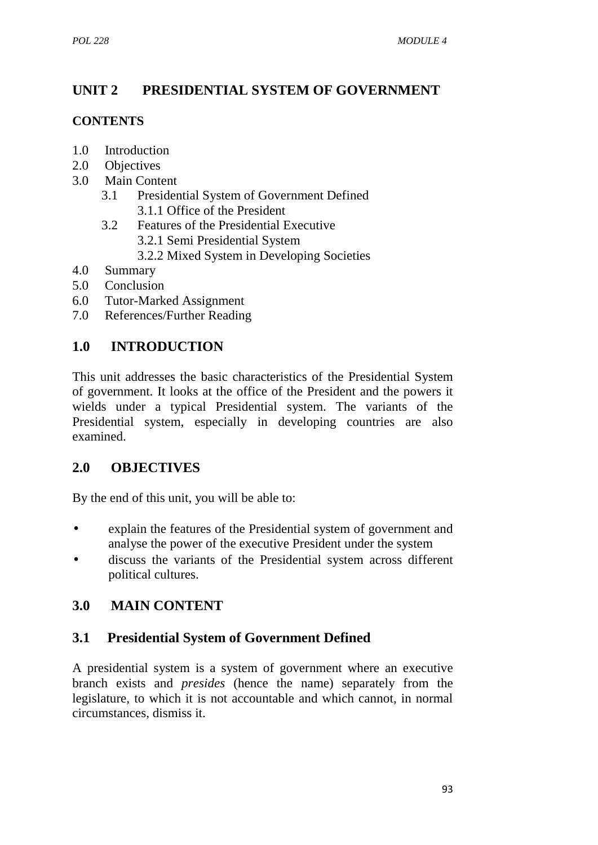# **UNIT 2 PRESIDENTIAL SYSTEM OF GOVERNMENT**

### **CONTENTS**

- 1.0 Introduction
- 2.0 Objectives
- 3.0 Main Content
	- 3.1 Presidential System of Government Defined 3.1.1 Office of the President
	- 3.2 Features of the Presidential Executive 3.2.1 Semi Presidential System 3.2.2 Mixed System in Developing Societies
- 4.0 Summary
- 5.0 Conclusion
- 6.0 Tutor-Marked Assignment
- 7.0 References/Further Reading

# **1.0 INTRODUCTION**

This unit addresses the basic characteristics of the Presidential System of government. It looks at the office of the President and the powers it wields under a typical Presidential system. The variants of the Presidential system, especially in developing countries are also examined.

### **2.0 OBJECTIVES**

By the end of this unit, you will be able to:

- explain the features of the Presidential system of government and analyse the power of the executive President under the system
- discuss the variants of the Presidential system across different political cultures.

# **3.0 MAIN CONTENT**

### **3.1 Presidential System of Government Defined**

A presidential system is a system of government where an executive branch exists and *presides* (hence the name) separately from the legislature, to which it is not accountable and which cannot, in normal circumstances, dismiss it.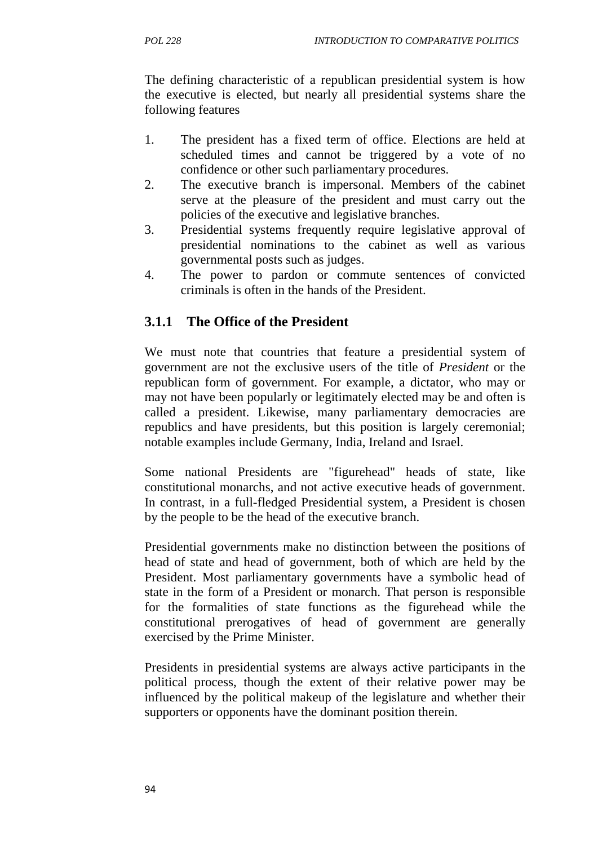The defining characteristic of a republican presidential system is how the executive is elected, but nearly all presidential systems share the following features

- 1. The president has a fixed term of office. Elections are held at scheduled times and cannot be triggered by a vote of no confidence or other such parliamentary procedures.
- 2. The executive branch is impersonal. Members of the cabinet serve at the pleasure of the president and must carry out the policies of the executive and legislative branches.
- 3. Presidential systems frequently require legislative approval of presidential nominations to the cabinet as well as various governmental posts such as judges.
- 4. The power to pardon or commute sentences of convicted criminals is often in the hands of the President.

# **3.1.1 The Office of the President**

We must note that countries that feature a presidential system of government are not the exclusive users of the title of *President* or the republican form of government. For example, a dictator, who may or may not have been popularly or legitimately elected may be and often is called a president. Likewise, many parliamentary democracies are republics and have presidents, but this position is largely ceremonial; notable examples include Germany, India, Ireland and Israel.

Some national Presidents are "figurehead" heads of state, like constitutional monarchs, and not active executive heads of government. In contrast, in a full-fledged Presidential system, a President is chosen by the people to be the head of the executive branch.

Presidential governments make no distinction between the positions of head of state and head of government, both of which are held by the President. Most parliamentary governments have a symbolic head of state in the form of a President or monarch. That person is responsible for the formalities of state functions as the figurehead while the constitutional prerogatives of head of government are generally exercised by the Prime Minister.

Presidents in presidential systems are always active participants in the political process, though the extent of their relative power may be influenced by the political makeup of the legislature and whether their supporters or opponents have the dominant position therein.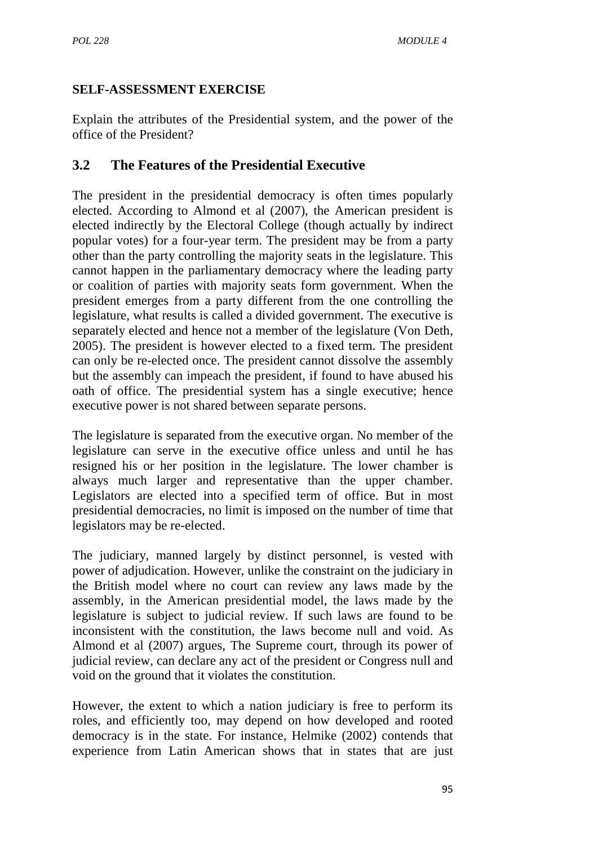### **SELF-ASSESSMENT EXERCISE**

Explain the attributes of the Presidential system, and the power of the office of the President?

# **3.2 The Features of the Presidential Executive**

The president in the presidential democracy is often times popularly elected. According to Almond et al (2007), the American president is elected indirectly by the Electoral College (though actually by indirect popular votes) for a four-year term. The president may be from a party other than the party controlling the majority seats in the legislature. This cannot happen in the parliamentary democracy where the leading party or coalition of parties with majority seats form government. When the president emerges from a party different from the one controlling the legislature, what results is called a divided government. The executive is separately elected and hence not a member of the legislature (Von Deth, 2005). The president is however elected to a fixed term. The president can only be re-elected once. The president cannot dissolve the assembly but the assembly can impeach the president, if found to have abused his oath of office. The presidential system has a single executive; hence executive power is not shared between separate persons.

The legislature is separated from the executive organ. No member of the legislature can serve in the executive office unless and until he has resigned his or her position in the legislature. The lower chamber is always much larger and representative than the upper chamber. Legislators are elected into a specified term of office. But in most presidential democracies, no limit is imposed on the number of time that legislators may be re-elected.

The judiciary, manned largely by distinct personnel, is vested with power of adjudication. However, unlike the constraint on the judiciary in the British model where no court can review any laws made by the assembly, in the American presidential model, the laws made by the legislature is subject to judicial review. If such laws are found to be inconsistent with the constitution, the laws become null and void. As Almond et al (2007) argues, The Supreme court, through its power of judicial review, can declare any act of the president or Congress null and void on the ground that it violates the constitution.

However, the extent to which a nation judiciary is free to perform its roles, and efficiently too, may depend on how developed and rooted democracy is in the state. For instance, Helmike (2002) contends that experience from Latin American shows that in states that are just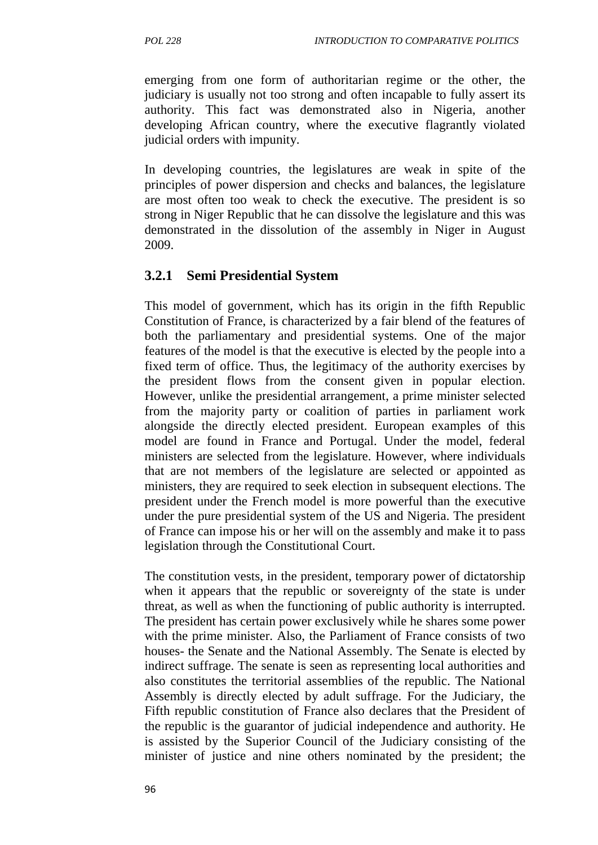emerging from one form of authoritarian regime or the other, the judiciary is usually not too strong and often incapable to fully assert its authority. This fact was demonstrated also in Nigeria, another developing African country, where the executive flagrantly violated judicial orders with impunity.

In developing countries, the legislatures are weak in spite of the principles of power dispersion and checks and balances, the legislature are most often too weak to check the executive. The president is so strong in Niger Republic that he can dissolve the legislature and this was demonstrated in the dissolution of the assembly in Niger in August 2009.

### **3.2.1 Semi Presidential System**

This model of government, which has its origin in the fifth Republic Constitution of France, is characterized by a fair blend of the features of both the parliamentary and presidential systems. One of the major features of the model is that the executive is elected by the people into a fixed term of office. Thus, the legitimacy of the authority exercises by the president flows from the consent given in popular election. However, unlike the presidential arrangement, a prime minister selected from the majority party or coalition of parties in parliament work alongside the directly elected president. European examples of this model are found in France and Portugal. Under the model, federal ministers are selected from the legislature. However, where individuals that are not members of the legislature are selected or appointed as ministers, they are required to seek election in subsequent elections. The president under the French model is more powerful than the executive under the pure presidential system of the US and Nigeria. The president of France can impose his or her will on the assembly and make it to pass legislation through the Constitutional Court.

The constitution vests, in the president, temporary power of dictatorship when it appears that the republic or sovereignty of the state is under threat, as well as when the functioning of public authority is interrupted. The president has certain power exclusively while he shares some power with the prime minister. Also, the Parliament of France consists of two houses- the Senate and the National Assembly. The Senate is elected by indirect suffrage. The senate is seen as representing local authorities and also constitutes the territorial assemblies of the republic. The National Assembly is directly elected by adult suffrage. For the Judiciary, the Fifth republic constitution of France also declares that the President of the republic is the guarantor of judicial independence and authority. He is assisted by the Superior Council of the Judiciary consisting of the minister of justice and nine others nominated by the president; the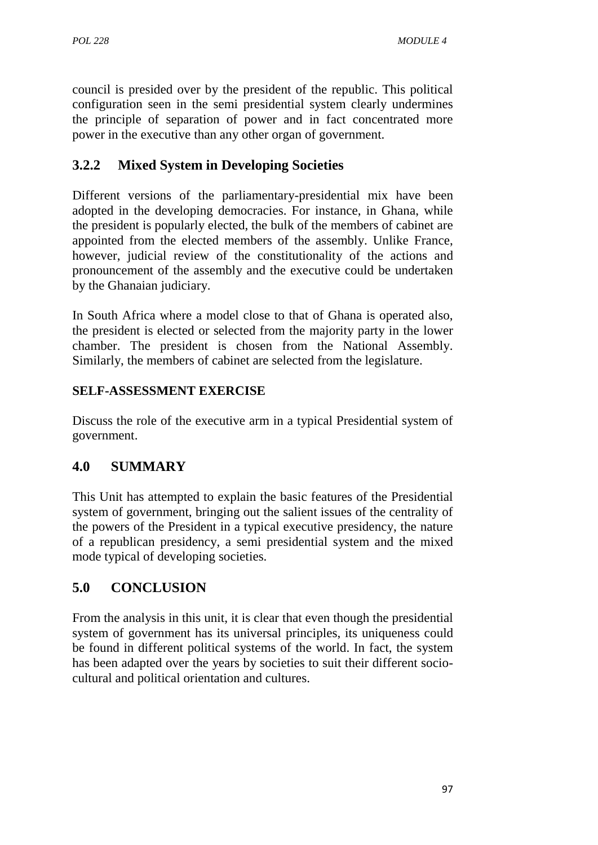council is presided over by the president of the republic. This political configuration seen in the semi presidential system clearly undermines the principle of separation of power and in fact concentrated more power in the executive than any other organ of government.

# **3.2.2 Mixed System in Developing Societies**

Different versions of the parliamentary-presidential mix have been adopted in the developing democracies. For instance, in Ghana, while the president is popularly elected, the bulk of the members of cabinet are appointed from the elected members of the assembly. Unlike France, however, judicial review of the constitutionality of the actions and pronouncement of the assembly and the executive could be undertaken by the Ghanaian judiciary.

In South Africa where a model close to that of Ghana is operated also, the president is elected or selected from the majority party in the lower chamber. The president is chosen from the National Assembly. Similarly, the members of cabinet are selected from the legislature.

### **SELF-ASSESSMENT EXERCISE**

Discuss the role of the executive arm in a typical Presidential system of government.

# **4.0 SUMMARY**

This Unit has attempted to explain the basic features of the Presidential system of government, bringing out the salient issues of the centrality of the powers of the President in a typical executive presidency, the nature of a republican presidency, a semi presidential system and the mixed mode typical of developing societies.

# **5.0 CONCLUSION**

From the analysis in this unit, it is clear that even though the presidential system of government has its universal principles, its uniqueness could be found in different political systems of the world. In fact, the system has been adapted over the years by societies to suit their different socio cultural and political orientation and cultures.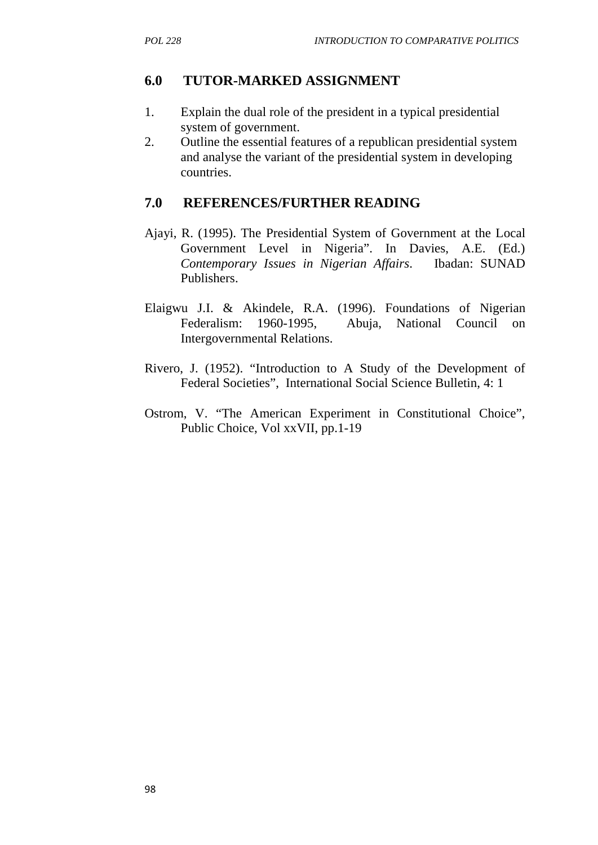### **6.0 TUTOR-MARKED ASSIGNMENT**

- 1. Explain the dual role of the president in a typical presidential system of government.
- 2. Outline the essential features of a republican presidential system and analyse the variant of the presidential system in developing countries.

### **7.0 REFERENCES/FURTHER READING**

- Ajayi, R. (1995). The Presidential System of Government at the Local Government Level in Nigeria". In Davies, A.E. (Ed.) *Contemporary Issues in Nigerian Affairs*. Ibadan: SUNAD Publishers.
- Elaigwu J.I. & Akindele, R.A. (1996). Foundations of Nigerian Federalism: 1960-1995, Abuja, National Council on Intergovernmental Relations.
- Rivero, J. (1952). "Introduction to A Study of the Development of Federal Societies", International Social Science Bulletin, 4: 1
- Ostrom, V. "The American Experiment in Constitutional Choice", Public Choice, Vol xxVII, pp.1-19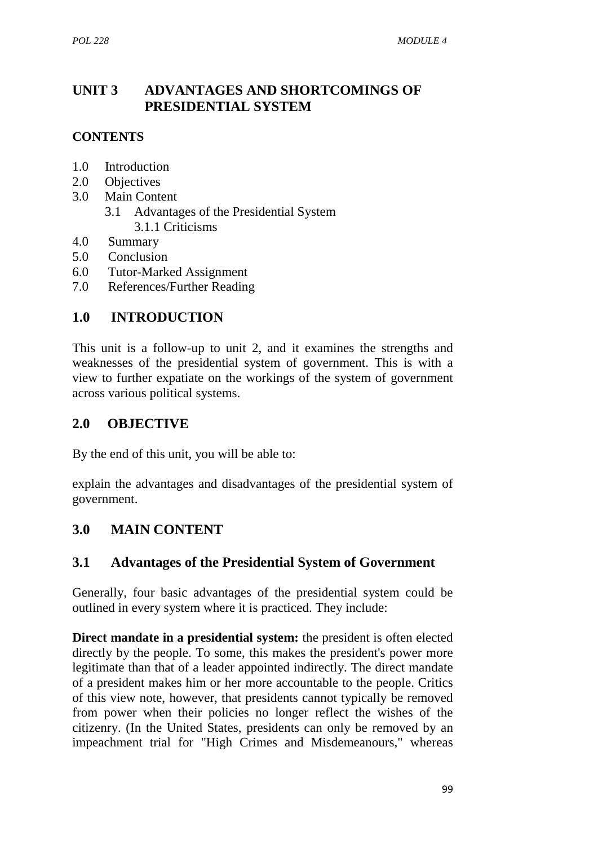## **UNIT 3 ADVANTAGES AND SHORTCOMINGS OF PRESIDENTIAL SYSTEM**

### **CONTENTS**

- 1.0 Introduction
- 2.0 Objectives
- 3.0 Main Content
	- 3.1 Advantages of the Presidential System 3.1.1 Criticisms
- 4.0 Summary
- 5.0 Conclusion
- 6.0 Tutor-Marked Assignment
- 7.0 References/Further Reading

## **1.0 INTRODUCTION**

This unit is a follow-up to unit 2, and it examines the strengths and weaknesses of the presidential system of government. This is with a view to further expatiate on the workings of the system of government across various political systems.

## **2.0 OBJECTIVE**

By the end of this unit, you will be able to:

explain the advantages and disadvantages of the presidential system of government.

## **3.0 MAIN CONTENT**

### **3.1 Advantages of the Presidential System of Government**

Generally, four basic advantages of the presidential system could be outlined in every system where it is practiced. They include:

**Direct mandate in a presidential system:** the president is often elected directly by the people. To some, this makes the president's power more legitimate than that of a leader appointed indirectly. The direct mandate of a president makes him or her more accountable to the people. Critics of this view note, however, that presidents cannot typically be removed from power when their policies no longer reflect the wishes of the citizenry. (In the United States, presidents can only be removed by an impeachment trial for "High Crimes and Misdemeanours," whereas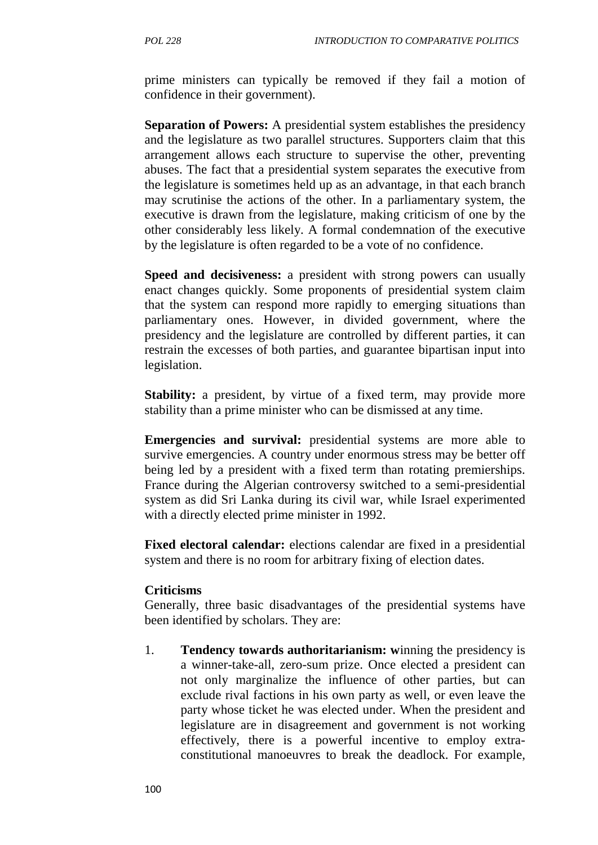prime ministers can typically be removed if they fail a motion of confidence in their government).

**Separation of Powers:** A presidential system establishes the presidency and the legislature as two parallel structures. Supporters claim that this arrangement allows each structure to supervise the other, preventing abuses. The fact that a presidential system separates the executive from the legislature is sometimes held up as an advantage, in that each branch may scrutinise the actions of the other. In a parliamentary system, the executive is drawn from the legislature, making criticism of one by the other considerably less likely. A formal condemnation of the executive by the legislature is often regarded to be a vote of no confidence.

**Speed and decisiveness:** a president with strong powers can usually enact changes quickly. Some proponents of presidential system claim that the system can respond more rapidly to emerging situations than parliamentary ones. However, in divided government, where the presidency and the legislature are controlled by different parties, it can restrain the excesses of both parties, and guarantee bipartisan input into legislation.

**Stability:** a president, by virtue of a fixed term, may provide more stability than a prime minister who can be dismissed at any time.

**Emergencies and survival:** presidential systems are more able to survive emergencies. A country under enormous stress may be better off being led by a president with a fixed term than rotating premierships. France during the Algerian controversy switched to a semi-presidential system as did Sri Lanka during its civil war, while Israel experimented with a directly elected prime minister in 1992.

**Fixed electoral calendar:** elections calendar are fixed in a presidential system and there is no room for arbitrary fixing of election dates.

#### **Criticisms**

Generally, three basic disadvantages of the presidential systems have been identified by scholars. They are:

1. **Tendency towards authoritarianism: w**inning the presidency is a winner-take-all, zero-sum prize. Once elected a president can not only marginalize the influence of other parties, but can exclude rival factions in his own party as well, or even leave the party whose ticket he was elected under. When the president and legislature are in disagreement and government is not working effectively, there is a powerful incentive to employ extra constitutional manoeuvres to break the deadlock. For example,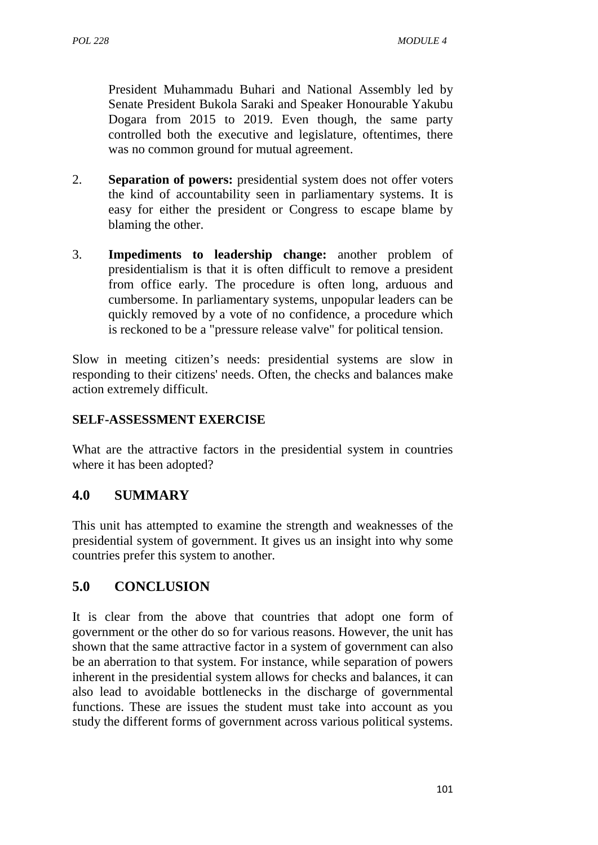President Muhammadu Buhari and National Assembly led by Senate President Bukola Saraki and Speaker Honourable Yakubu Dogara from 2015 to 2019. Even though, the same party controlled both the executive and legislature, oftentimes, there was no common ground for mutual agreement.

- 2. **Separation of powers:** presidential system does not offer voters the kind of accountability seen in parliamentary systems. It is easy for either the president or Congress to escape blame by blaming the other.
- 3. **Impediments to leadership change:** another problem of presidentialism is that it is often difficult to remove a president from office early. The procedure is often long, arduous and cumbersome. In parliamentary systems, unpopular leaders can be quickly removed by a vote of no confidence, a procedure which is reckoned to be a "pressure release valve" for political tension.

Slow in meeting citizen's needs: presidential systems are slow in responding to their citizens' needs. Often, the checks and balances make action extremely difficult.

#### **SELF-ASSESSMENT EXERCISE**

What are the attractive factors in the presidential system in countries where it has been adopted?

### **4.0 SUMMARY**

This unit has attempted to examine the strength and weaknesses of the presidential system of government. It gives us an insight into why some countries prefer this system to another.

### **5.0 CONCLUSION**

It is clear from the above that countries that adopt one form of government or the other do so for various reasons. However, the unit has shown that the same attractive factor in a system of government can also be an aberration to that system. For instance, while separation of powers inherent in the presidential system allows for checks and balances, it can also lead to avoidable bottlenecks in the discharge of governmental functions. These are issues the student must take into account as you study the different forms of government across various political systems.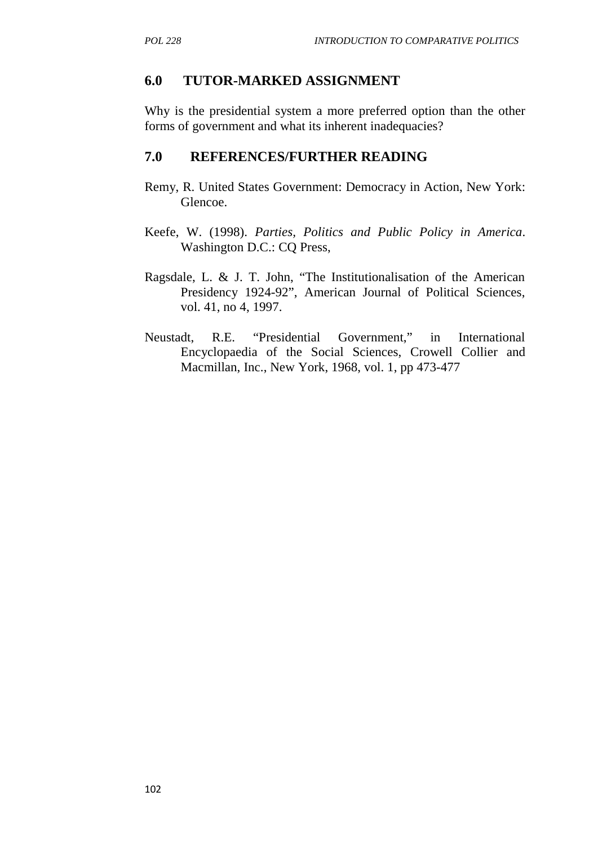#### **6.0 TUTOR-MARKED ASSIGNMENT**

Why is the presidential system a more preferred option than the other forms of government and what its inherent inadequacies?

#### **7.0 REFERENCES/FURTHER READING**

- Remy, R. United States Government: Democracy in Action, New York: Glencoe.
- Keefe, W. (1998). *Parties, Politics and Public Policy in America*. Washington D.C.: CQ Press,
- Ragsdale, L. & J. T. John, "The Institutionalisation of the American Presidency 1924-92", American Journal of Political Sciences, vol. 41, no 4, 1997.
- Neustadt, R.E. "Presidential Government," in International Encyclopaedia of the Social Sciences, Crowell Collier and Macmillan, Inc., New York, 1968, vol. 1, pp 473-477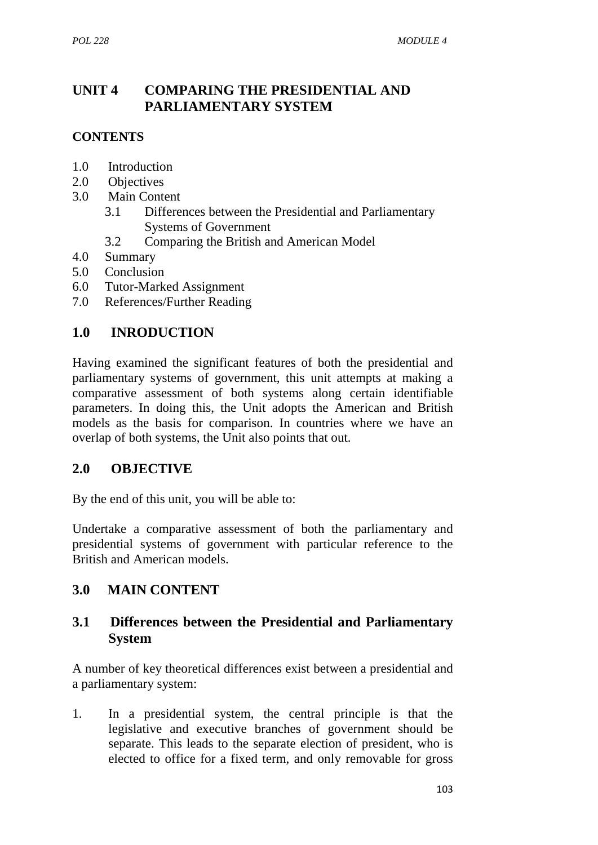## **UNIT 4 COMPARING THE PRESIDENTIAL AND PARLIAMENTARY SYSTEM**

### **CONTENTS**

- 1.0 Introduction
- 2.0 Objectives
- 3.0 Main Content
	- 3.1 Differences between the Presidential and Parliamentary Systems of Government
	- 3.2 Comparing the British and American Model
- 4.0 Summary
- 5.0 Conclusion
- 6.0 Tutor-Marked Assignment
- 7.0 References/Further Reading

### **1.0 INRODUCTION**

Having examined the significant features of both the presidential and parliamentary systems of government, this unit attempts at making a comparative assessment of both systems along certain identifiable parameters. In doing this, the Unit adopts the American and British models as the basis for comparison. In countries where we have an overlap of both systems, the Unit also points that out.

### **2.0 OBJECTIVE**

By the end of this unit, you will be able to:

Undertake a comparative assessment of both the parliamentary and presidential systems of government with particular reference to the British and American models.

## **3.0 MAIN CONTENT**

### **3.1 Differences between the Presidential and Parliamentary System**

A number of key theoretical differences exist between a presidential and a parliamentary system:

1. In a presidential system, the central principle is that the legislative and executive branches of government should be separate. This leads to the separate election of president, who is elected to office for a fixed term, and only removable for gross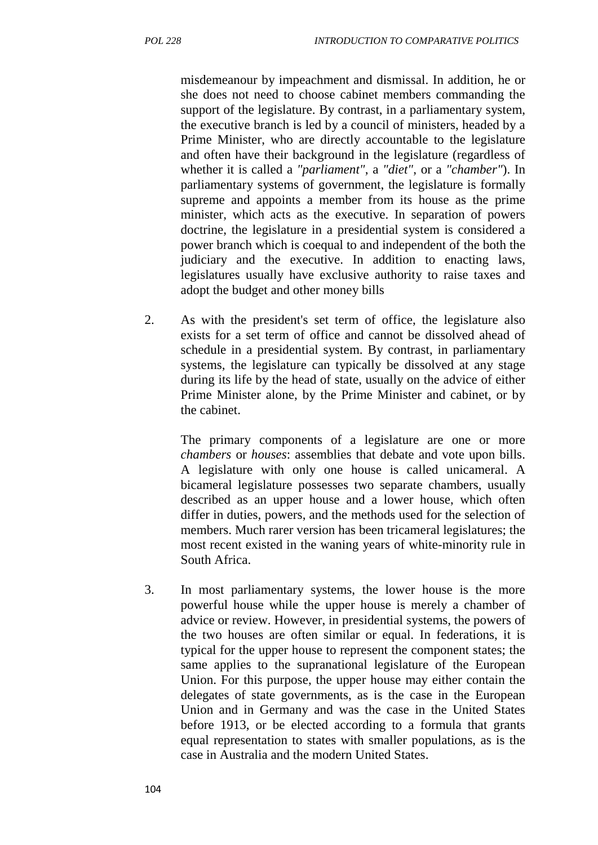misdemeanour by impeachment and dismissal. In addition, he or she does not need to choose cabinet members commanding the support of the legislature. By contrast, in a parliamentary system, the executive branch is led by a council of ministers, headed by a Prime Minister, who are directly accountable to the legislature and often have their background in the legislature (regardless of whether it is called a *"parliament"*, a *"diet"*, or a *"chamber"*). In parliamentary systems of government, the legislature is formally supreme and appoints a member from its house as the prime minister, which acts as the executive. In separation of powers doctrine, the legislature in a presidential system is considered a power branch which is coequal to and independent of the both the judiciary and the executive. In addition to enacting laws, legislatures usually have exclusive authority to raise taxes and adopt the budget and other money bills

2. As with the president's set term of office, the legislature also exists for a set term of office and cannot be dissolved ahead of schedule in a presidential system. By contrast, in parliamentary systems, the legislature can typically be dissolved at any stage during its life by the head of state, usually on the advice of either Prime Minister alone, by the Prime Minister and cabinet, or by the cabinet.

The primary components of a legislature are one or more *chambers* or *houses*: assemblies that debate and vote upon bills. A legislature with only one house is called unicameral. A bicameral legislature possesses two separate chambers, usually described as an upper house and a lower house, which often differ in duties, powers, and the methods used for the selection of members. Much rarer version has been tricameral legislatures; the most recent existed in the waning years of white-minority rule in South Africa.

3. In most parliamentary systems, the lower house is the more powerful house while the upper house is merely a chamber of advice or review. However, in presidential systems, the powers of the two houses are often similar or equal. In federations, it is typical for the upper house to represent the component states; the same applies to the supranational legislature of the European Union. For this purpose, the upper house may either contain the delegates of state governments, as is the case in the European Union and in Germany and was the case in the United States before 1913, or be elected according to a formula that grants equal representation to states with smaller populations, as is the case in Australia and the modern United States.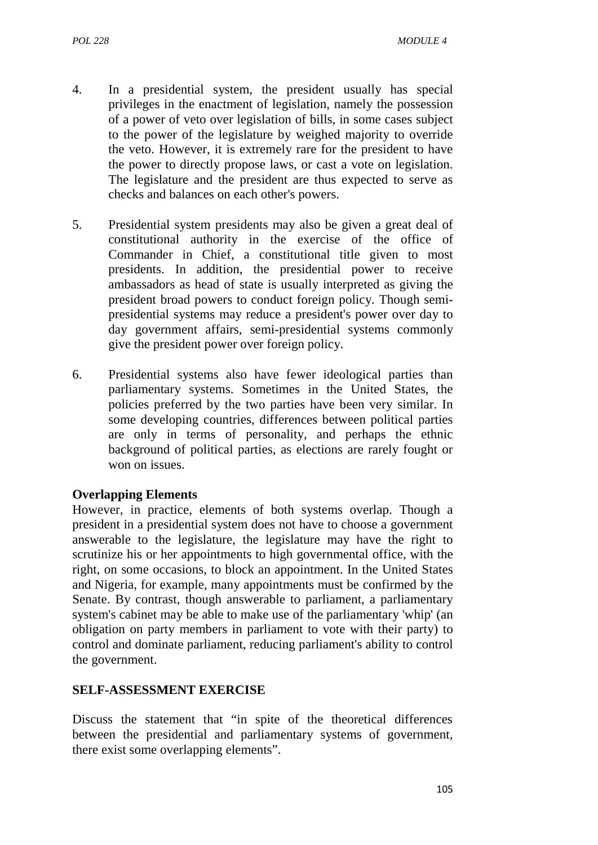- 4. In a presidential system, the president usually has special privileges in the enactment of legislation, namely the possession of a power of veto over legislation of bills, in some cases subject to the power of the legislature by weighed majority to override the veto. However, it is extremely rare for the president to have the power to directly propose laws, or cast a vote on legislation. The legislature and the president are thus expected to serve as checks and balances on each other's powers.
- 5. Presidential system presidents may also be given a great deal of constitutional authority in the exercise of the office of Commander in Chief, a constitutional title given to most presidents. In addition, the presidential power to receive ambassadors as head of state is usually interpreted as giving the president broad powers to conduct foreign policy. Though semi presidential systems may reduce a president's power over day to day government affairs, semi-presidential systems commonly give the president power over foreign policy.
- 6. Presidential systems also have fewer ideological parties than parliamentary systems. Sometimes in the United States, the policies preferred by the two parties have been very similar. In some developing countries, differences between political parties are only in terms of personality, and perhaps the ethnic background of political parties, as elections are rarely fought or won on issues.

#### **Overlapping Elements**

However, in practice, elements of both systems overlap. Though a president in a presidential system does not have to choose a government answerable to the legislature, the legislature may have the right to scrutinize his or her appointments to high governmental office, with the right, on some occasions, to block an appointment. In the United States and Nigeria, for example, many appointments must be confirmed by the Senate. By contrast, though answerable to parliament, a parliamentary system's cabinet may be able to make use of the parliamentary 'whip' (an obligation on party members in parliament to vote with their party) to control and dominate parliament, reducing parliament's ability to control the government.

#### **SELF-ASSESSMENT EXERCISE**

Discuss the statement that "in spite of the theoretical differences between the presidential and parliamentary systems of government, there exist some overlapping elements".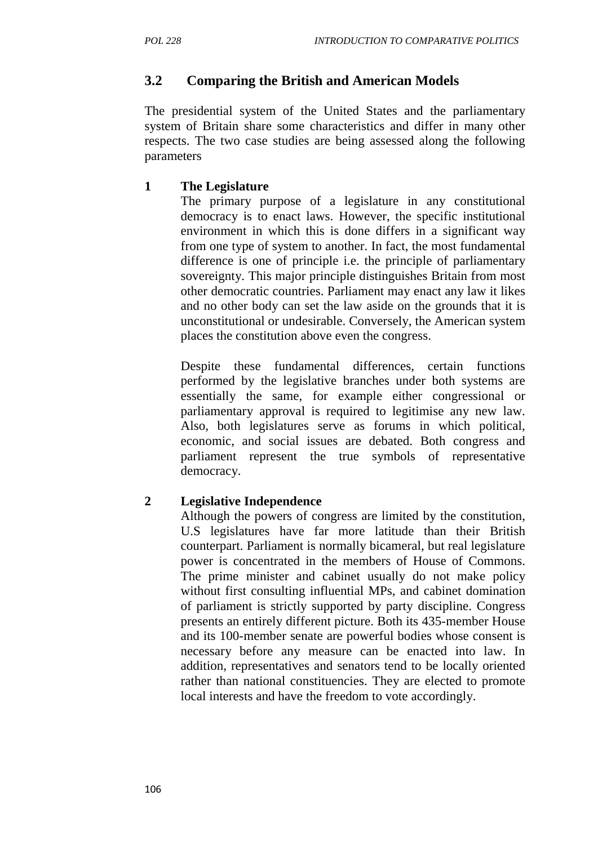## **3.2 Comparing the British and American Models**

The presidential system of the United States and the parliamentary system of Britain share some characteristics and differ in many other respects. The two case studies are being assessed along the following parameters

#### **1 The Legislature**

The primary purpose of a legislature in any constitutional democracy is to enact laws. However, the specific institutional environment in which this is done differs in a significant way from one type of system to another. In fact, the most fundamental difference is one of principle i.e. the principle of parliamentary sovereignty. This major principle distinguishes Britain from most other democratic countries. Parliament may enact any law it likes and no other body can set the law aside on the grounds that it is unconstitutional or undesirable. Conversely, the American system places the constitution above even the congress.

Despite these fundamental differences, certain functions performed by the legislative branches under both systems are essentially the same, for example either congressional or parliamentary approval is required to legitimise any new law. Also, both legislatures serve as forums in which political, economic, and social issues are debated. Both congress and parliament represent the true symbols of representative democracy.

### **2 Legislative Independence**

Although the powers of congress are limited by the constitution, U.S legislatures have far more latitude than their British counterpart. Parliament is normally bicameral, but real legislature power is concentrated in the members of House of Commons. The prime minister and cabinet usually do not make policy without first consulting influential MPs, and cabinet domination of parliament is strictly supported by party discipline. Congress presents an entirely different picture. Both its 435-member House and its 100-member senate are powerful bodies whose consent is necessary before any measure can be enacted into law. In addition, representatives and senators tend to be locally oriented rather than national constituencies. They are elected to promote local interests and have the freedom to vote accordingly.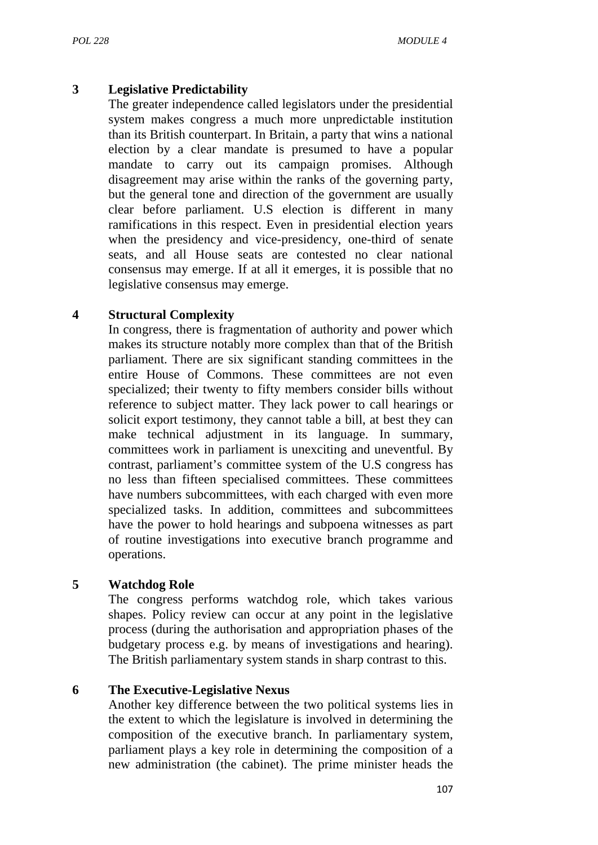#### **3 Legislative Predictability**

The greater independence called legislators under the presidential system makes congress a much more unpredictable institution than its British counterpart. In Britain, a party that wins a national election by a clear mandate is presumed to have a popular mandate to carry out its campaign promises. Although disagreement may arise within the ranks of the governing party, but the general tone and direction of the government are usually clear before parliament. U.S election is different in many ramifications in this respect. Even in presidential election years when the presidency and vice-presidency, one-third of senate seats, and all House seats are contested no clear national consensus may emerge. If at all it emerges, it is possible that no legislative consensus may emerge.

#### **4 Structural Complexity**

In congress, there is fragmentation of authority and power which makes its structure notably more complex than that of the British parliament. There are six significant standing committees in the entire House of Commons. These committees are not even specialized; their twenty to fifty members consider bills without reference to subject matter. They lack power to call hearings or solicit export testimony, they cannot table a bill, at best they can make technical adjustment in its language. In summary, committees work in parliament is unexciting and uneventful. By contrast, parliament's committee system of the U.S congress has no less than fifteen specialised committees. These committees have numbers subcommittees, with each charged with even more specialized tasks. In addition, committees and subcommittees have the power to hold hearings and subpoena witnesses as part of routine investigations into executive branch programme and operations.

#### **5 Watchdog Role**

The congress performs watchdog role, which takes various shapes. Policy review can occur at any point in the legislative process (during the authorisation and appropriation phases of the budgetary process e.g. by means of investigations and hearing). The British parliamentary system stands in sharp contrast to this.

#### **6 The Executive-Legislative Nexus**

Another key difference between the two political systems lies in the extent to which the legislature is involved in determining the composition of the executive branch. In parliamentary system, parliament plays a key role in determining the composition of a new administration (the cabinet). The prime minister heads the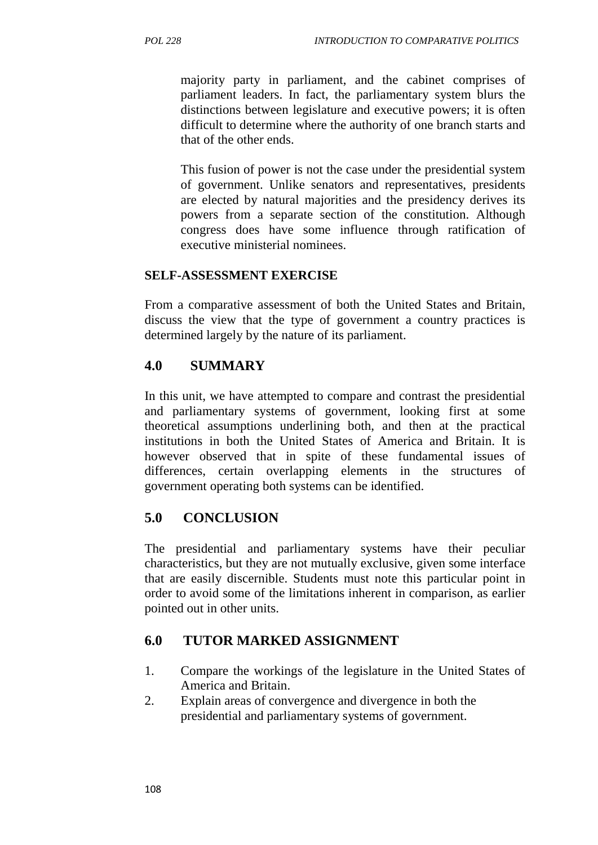majority party in parliament, and the cabinet comprises of parliament leaders. In fact, the parliamentary system blurs the distinctions between legislature and executive powers; it is often difficult to determine where the authority of one branch starts and that of the other ends.

This fusion of power is not the case under the presidential system of government. Unlike senators and representatives, presidents are elected by natural majorities and the presidency derives its powers from a separate section of the constitution. Although congress does have some influence through ratification of executive ministerial nominees.

#### **SELF-ASSESSMENT EXERCISE**

From a comparative assessment of both the United States and Britain, discuss the view that the type of government a country practices is determined largely by the nature of its parliament.

### **4.0 SUMMARY**

In this unit, we have attempted to compare and contrast the presidential and parliamentary systems of government, looking first at some theoretical assumptions underlining both, and then at the practical institutions in both the United States of America and Britain. It is however observed that in spite of these fundamental issues of differences, certain overlapping elements in the structures of government operating both systems can be identified.

### **5.0 CONCLUSION**

The presidential and parliamentary systems have their peculiar characteristics, but they are not mutually exclusive, given some interface that are easily discernible. Students must note this particular point in order to avoid some of the limitations inherent in comparison, as earlier pointed out in other units.

### **6.0 TUTOR MARKED ASSIGNMENT**

- 1. Compare the workings of the legislature in the United States of America and Britain.
- 2. Explain areas of convergence and divergence in both the presidential and parliamentary systems of government.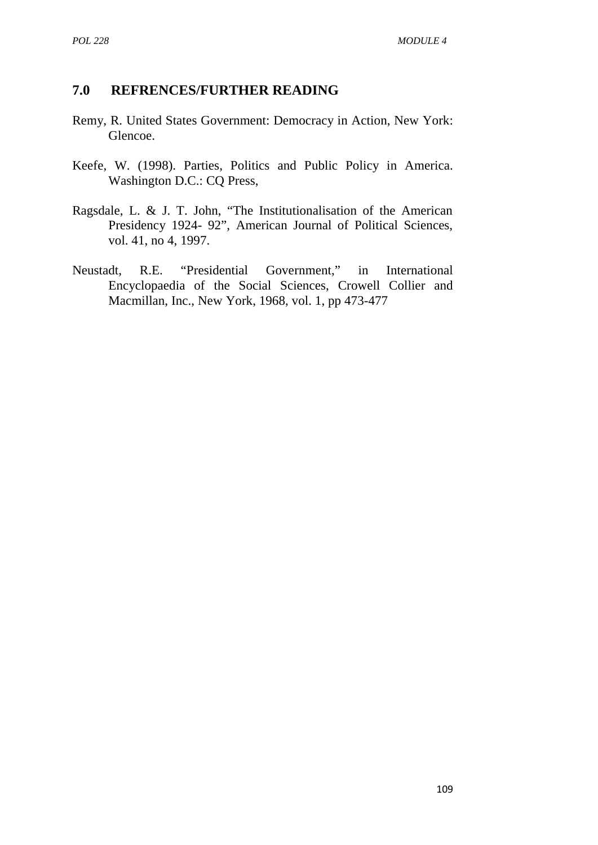#### **7.0 REFRENCES/FURTHER READING**

- Remy, R. United States Government: Democracy in Action, New York: Glencoe.
- Keefe, W. (1998). Parties, Politics and Public Policy in America. Washington D.C.: CQ Press,
- Ragsdale, L. & J. T. John, "The Institutionalisation of the American Presidency 1924- 92", American Journal of Political Sciences, vol. 41, no 4, 1997.
- Neustadt, R.E. "Presidential Government," in International Encyclopaedia of the Social Sciences, Crowell Collier and Macmillan, Inc., New York, 1968, vol. 1, pp 473-477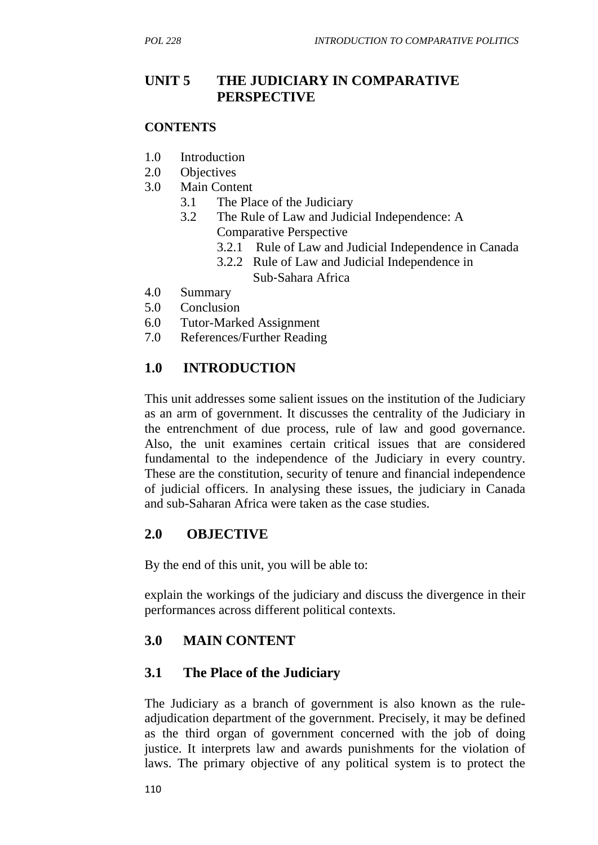## **UNIT 5 THE JUDICIARY IN COMPARATIVE PERSPECTIVE**

#### **CONTENTS**

- 1.0 Introduction
- 2.0 Objectives
- 3.0 Main Content
	- 3.1 The Place of the Judiciary
	- 3.2 The Rule of Law and Judicial Independence: A Comparative Perspective
		- 3.2.1 Rule of Law and Judicial Independence in Canada
		- 3.2.2 Rule of Law and Judicial Independence in Sub‐Sahara Africa
- 4.0 Summary
- 5.0 Conclusion
- 6.0 Tutor-Marked Assignment
- 7.0 References/Further Reading

### **1.0 INTRODUCTION**

This unit addresses some salient issues on the institution of the Judiciary as an arm of government. It discusses the centrality of the Judiciary in the entrenchment of due process, rule of law and good governance. Also, the unit examines certain critical issues that are considered fundamental to the independence of the Judiciary in every country. These are the constitution, security of tenure and financial independence of judicial officers. In analysing these issues, the judiciary in Canada and sub-Saharan Africa were taken as the case studies.

### **2.0 OBJECTIVE**

By the end of this unit, you will be able to:

explain the workings of the judiciary and discuss the divergence in their performances across different political contexts.

### **3.0 MAIN CONTENT**

### **3.1 The Place of the Judiciary**

The Judiciary as a branch of government is also known as the rule adjudication department of the government. Precisely, it may be defined as the third organ of government concerned with the job of doing justice. It interprets law and awards punishments for the violation of laws. The primary objective of any political system is to protect the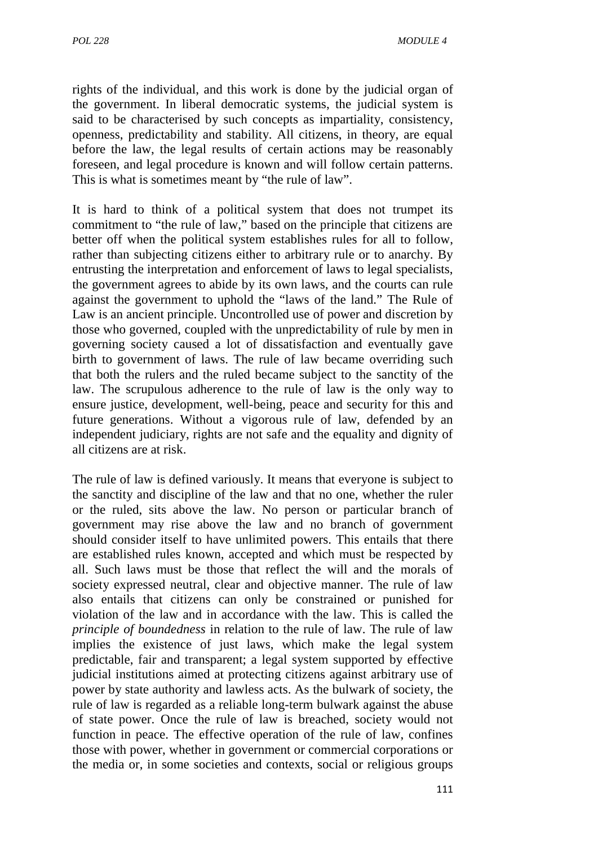rights of the individual, and this work is done by the judicial organ of the government. In liberal democratic systems, the judicial system is said to be characterised by such concepts as impartiality, consistency, openness, predictability and stability. All citizens, in theory, are equal before the law, the legal results of certain actions may be reasonably foreseen, and legal procedure is known and will follow certain patterns. This is what is sometimes meant by "the rule of law".

It is hard to think of a political system that does not trumpet its commitment to "the rule of law," based on the principle that citizens are better off when the political system establishes rules for all to follow, rather than subjecting citizens either to arbitrary rule or to anarchy. By entrusting the interpretation and enforcement of laws to legal specialists, the government agrees to abide by its own laws, and the courts can rule against the government to uphold the "laws of the land." The Rule of Law is an ancient principle. Uncontrolled use of power and discretion by those who governed, coupled with the unpredictability of rule by men in governing society caused a lot of dissatisfaction and eventually gave birth to government of laws. The rule of law became overriding such that both the rulers and the ruled became subject to the sanctity of the law. The scrupulous adherence to the rule of law is the only way to ensure justice, development, well-being, peace and security for this and future generations. Without a vigorous rule of law, defended by an independent judiciary, rights are not safe and the equality and dignity of all citizens are at risk.

The rule of law is defined variously. It means that everyone is subject to the sanctity and discipline of the law and that no one, whether the ruler or the ruled, sits above the law. No person or particular branch of government may rise above the law and no branch of government should consider itself to have unlimited powers. This entails that there are established rules known, accepted and which must be respected by all. Such laws must be those that reflect the will and the morals of society expressed neutral, clear and objective manner. The rule of law also entails that citizens can only be constrained or punished for violation of the law and in accordance with the law. This is called the *principle of boundedness* in relation to the rule of law. The rule of law implies the existence of just laws, which make the legal system predictable, fair and transparent; a legal system supported by effective judicial institutions aimed at protecting citizens against arbitrary use of power by state authority and lawless acts. As the bulwark of society, the rule of law is regarded as a reliable long-term bulwark against the abuse of state power. Once the rule of law is breached, society would not function in peace. The effective operation of the rule of law, confines those with power, whether in government or commercial corporations or the media or, in some societies and contexts, social or religious groups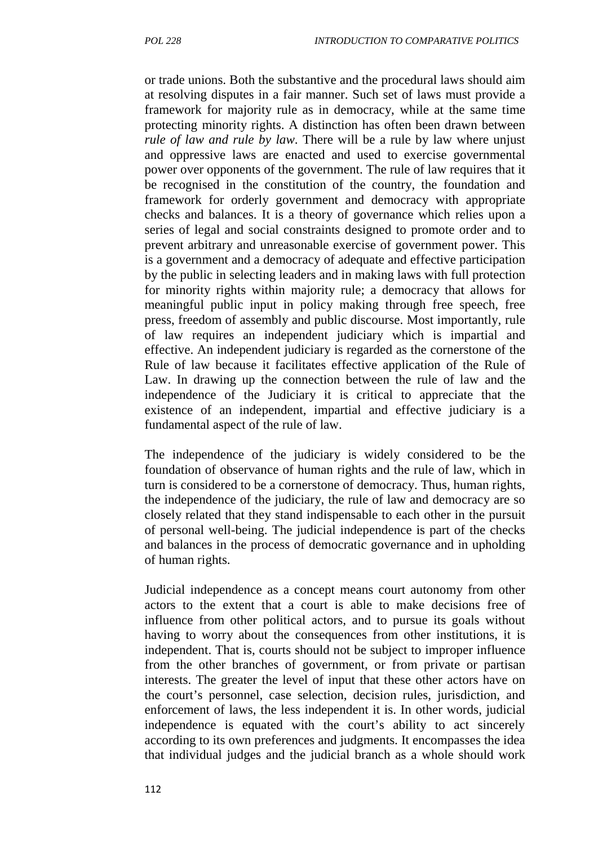or trade unions. Both the substantive and the procedural laws should aim at resolving disputes in a fair manner. Such set of laws must provide a framework for majority rule as in democracy, while at the same time protecting minority rights. A distinction has often been drawn between *rule of law and rule by law*. There will be a rule by law where unjust and oppressive laws are enacted and used to exercise governmental power over opponents of the government. The rule of law requires that it be recognised in the constitution of the country, the foundation and framework for orderly government and democracy with appropriate checks and balances. It is a theory of governance which relies upon a series of legal and social constraints designed to promote order and to prevent arbitrary and unreasonable exercise of government power. This is a government and a democracy of adequate and effective participation by the public in selecting leaders and in making laws with full protection for minority rights within majority rule; a democracy that allows for meaningful public input in policy making through free speech, free press, freedom of assembly and public discourse. Most importantly, rule of law requires an independent judiciary which is impartial and effective. An independent judiciary is regarded as the cornerstone of the Rule of law because it facilitates effective application of the Rule of Law. In drawing up the connection between the rule of law and the independence of the Judiciary it is critical to appreciate that the existence of an independent, impartial and effective judiciary is a fundamental aspect of the rule of law.

The independence of the judiciary is widely considered to be the foundation of observance of human rights and the rule of law, which in turn is considered to be a cornerstone of democracy. Thus, human rights, the independence of the judiciary, the rule of law and democracy are so closely related that they stand indispensable to each other in the pursuit of personal well-being. The judicial independence is part of the checks and balances in the process of democratic governance and in upholding of human rights.

Judicial independence as a concept means court autonomy from other actors to the extent that a court is able to make decisions free of influence from other political actors, and to pursue its goals without having to worry about the consequences from other institutions, it is independent. That is, courts should not be subject to improper influence from the other branches of government, or from private or partisan interests. The greater the level of input that these other actors have on the court's personnel, case selection, decision rules, jurisdiction, and enforcement of laws, the less independent it is. In other words, judicial independence is equated with the court's ability to act sincerely according to its own preferences and judgments. It encompasses the idea that individual judges and the judicial branch as a whole should work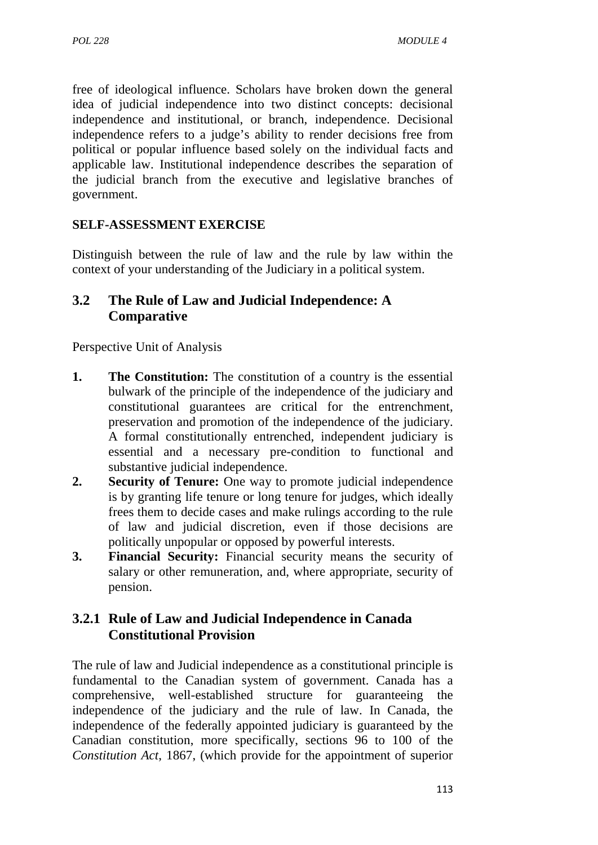free of ideological influence. Scholars have broken down the general idea of judicial independence into two distinct concepts: decisional independence and institutional, or branch, independence. Decisional independence refers to a judge's ability to render decisions free from political or popular influence based solely on the individual facts and applicable law. Institutional independence describes the separation of the judicial branch from the executive and legislative branches of government.

#### **SELF-ASSESSMENT EXERCISE**

Distinguish between the rule of law and the rule by law within the context of your understanding of the Judiciary in a political system.

### **3.2 The Rule of Law and Judicial Independence: A Comparative**

Perspective Unit of Analysis

- **1. The Constitution:** The constitution of a country is the essential bulwark of the principle of the independence of the judiciary and constitutional guarantees are critical for the entrenchment, preservation and promotion of the independence of the judiciary. A formal constitutionally entrenched, independent judiciary is essential and a necessary pre-condition to functional and substantive judicial independence.
- **2. Security of Tenure:** One way to promote judicial independence is by granting life tenure or long tenure for judges, which ideally frees them to decide cases and make rulings according to the rule of law and judicial discretion, even if those decisions are politically unpopular or opposed by powerful interests.
- **3. Financial Security:** Financial security means the security of salary or other remuneration, and, where appropriate, security of pension.

### **3.2.1 Rule of Law and Judicial Independence in Canada Constitutional Provision**

The rule of law and Judicial independence as a constitutional principle is fundamental to the Canadian system of government. Canada has a comprehensive, well-established structure for guaranteeing the independence of the judiciary and the rule of law. In Canada, the independence of the federally appointed judiciary is guaranteed by the Canadian constitution, more specifically, sections 96 to 100 of the *Constitution Act*, 1867, (which provide for the appointment of superior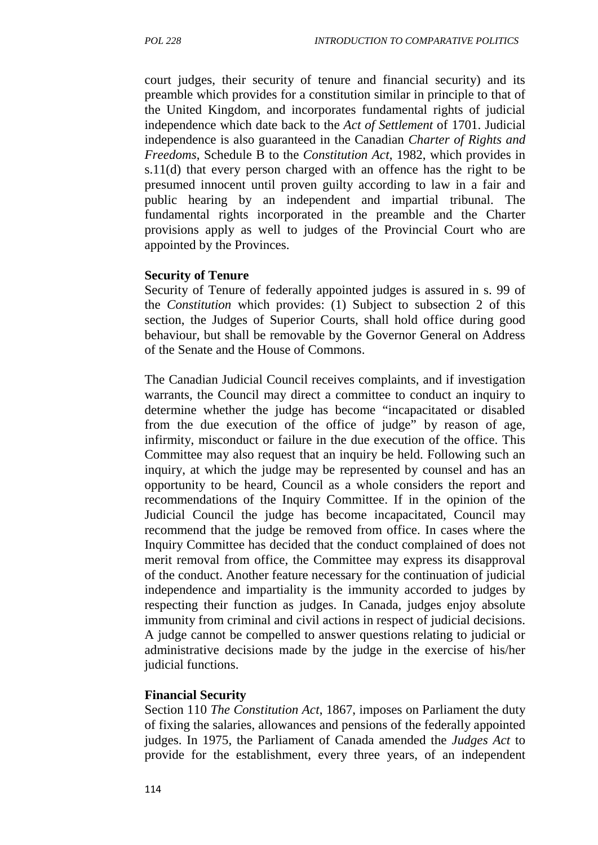court judges, their security of tenure and financial security) and its preamble which provides for a constitution similar in principle to that of the United Kingdom, and incorporates fundamental rights of judicial independence which date back to the *Act of Settlement* of 1701. Judicial independence is also guaranteed in the Canadian *Charter of Rights and Freedoms*, Schedule B to the *Constitution Act*, 1982, which provides in s.11(d) that every person charged with an offence has the right to be presumed innocent until proven guilty according to law in a fair and public hearing by an independent and impartial tribunal. The fundamental rights incorporated in the preamble and the Charter provisions apply as well to judges of the Provincial Court who are appointed by the Provinces.

#### **Security of Tenure**

Security of Tenure of federally appointed judges is assured in s. 99 of the *Constitution* which provides: (1) Subject to subsection 2 of this section, the Judges of Superior Courts, shall hold office during good behaviour, but shall be removable by the Governor General on Address of the Senate and the House of Commons.

The Canadian Judicial Council receives complaints, and if investigation warrants, the Council may direct a committee to conduct an inquiry to determine whether the judge has become "incapacitated or disabled from the due execution of the office of judge" by reason of age, infirmity, misconduct or failure in the due execution of the office. This Committee may also request that an inquiry be held. Following such an inquiry, at which the judge may be represented by counsel and has an opportunity to be heard, Council as a whole considers the report and recommendations of the Inquiry Committee. If in the opinion of the Judicial Council the judge has become incapacitated, Council may recommend that the judge be removed from office. In cases where the Inquiry Committee has decided that the conduct complained of does not merit removal from office, the Committee may express its disapproval of the conduct. Another feature necessary for the continuation of judicial independence and impartiality is the immunity accorded to judges by respecting their function as judges. In Canada, judges enjoy absolute immunity from criminal and civil actions in respect of judicial decisions. A judge cannot be compelled to answer questions relating to judicial or administrative decisions made by the judge in the exercise of his/her judicial functions.

#### **Financial Security**

Section 110 *The Constitution Act*, 1867, imposes on Parliament the duty of fixing the salaries, allowances and pensions of the federally appointed judges. In 1975, the Parliament of Canada amended the *Judges Act* to provide for the establishment, every three years, of an independent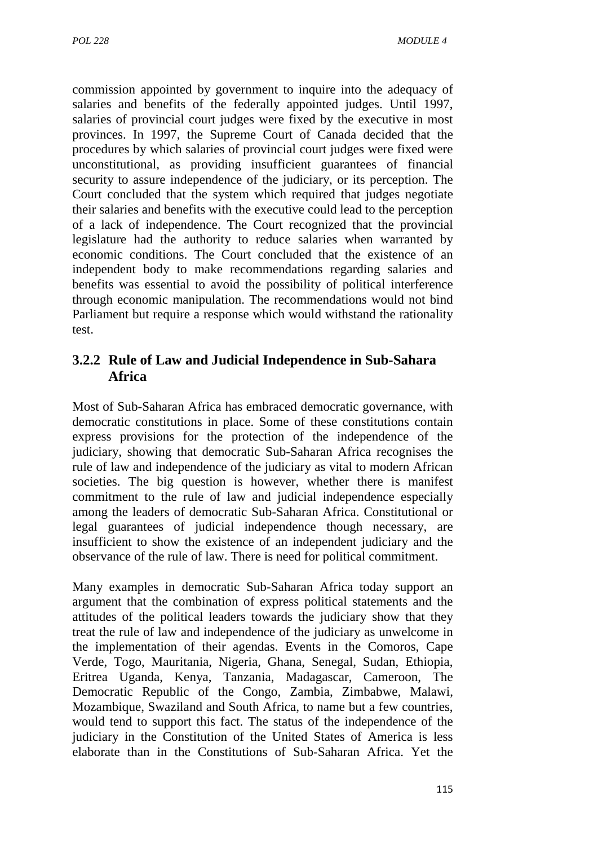commission appointed by government to inquire into the adequacy of salaries and benefits of the federally appointed judges. Until 1997, salaries of provincial court judges were fixed by the executive in most provinces. In 1997, the Supreme Court of Canada decided that the procedures by which salaries of provincial court judges were fixed were unconstitutional, as providing insufficient guarantees of financial security to assure independence of the judiciary, or its perception. The Court concluded that the system which required that judges negotiate their salaries and benefits with the executive could lead to the perception of a lack of independence. The Court recognized that the provincial legislature had the authority to reduce salaries when warranted by economic conditions. The Court concluded that the existence of an independent body to make recommendations regarding salaries and benefits was essential to avoid the possibility of political interference through economic manipulation. The recommendations would not bind Parliament but require a response which would withstand the rationality test.

### **3.2.2 Rule of Law and Judicial Independence in Sub-Sahara Africa**

Most of Sub-Saharan Africa has embraced democratic governance, with democratic constitutions in place. Some of these constitutions contain express provisions for the protection of the independence of the judiciary, showing that democratic Sub-Saharan Africa recognises the rule of law and independence of the judiciary as vital to modern African societies. The big question is however, whether there is manifest commitment to the rule of law and judicial independence especially among the leaders of democratic Sub-Saharan Africa. Constitutional or legal guarantees of judicial independence though necessary, are insufficient to show the existence of an independent judiciary and the observance of the rule of law. There is need for political commitment.

Many examples in democratic Sub-Saharan Africa today support an argument that the combination of express political statements and the attitudes of the political leaders towards the judiciary show that they treat the rule of law and independence of the judiciary as unwelcome in the implementation of their agendas. Events in the Comoros, Cape Verde, Togo, Mauritania, Nigeria, Ghana, Senegal, Sudan, Ethiopia, Eritrea Uganda, Kenya, Tanzania, Madagascar, Cameroon, The Democratic Republic of the Congo, Zambia, Zimbabwe, Malawi, Mozambique, Swaziland and South Africa, to name but a few countries, would tend to support this fact. The status of the independence of the judiciary in the Constitution of the United States of America is less elaborate than in the Constitutions of Sub-Saharan Africa. Yet the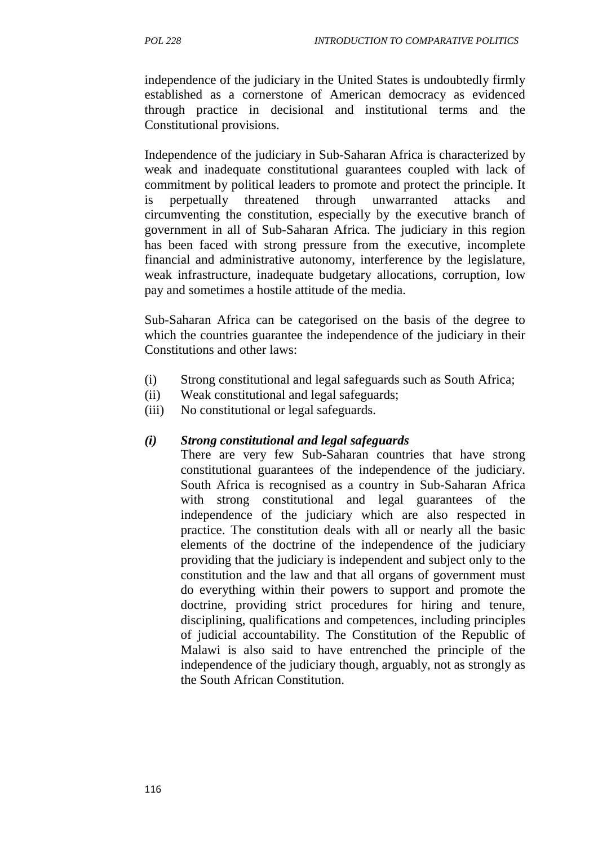independence of the judiciary in the United States is undoubtedly firmly

established as a cornerstone of American democracy as evidenced through practice in decisional and institutional terms and the Constitutional provisions.

Independence of the judiciary in Sub-Saharan Africa is characterized by weak and inadequate constitutional guarantees coupled with lack of commitment by political leaders to promote and protect the principle. It is perpetually threatened through unwarranted attacks and circumventing the constitution, especially by the executive branch of government in all of Sub-Saharan Africa. The judiciary in this region has been faced with strong pressure from the executive, incomplete financial and administrative autonomy, interference by the legislature, weak infrastructure, inadequate budgetary allocations, corruption, low pay and sometimes a hostile attitude of the media.

Sub-Saharan Africa can be categorised on the basis of the degree to which the countries guarantee the independence of the judiciary in their Constitutions and other laws:

- (i) Strong constitutional and legal safeguards such as South Africa;
- (ii) Weak constitutional and legal safeguards;
- (iii) No constitutional or legal safeguards.

#### *(i) Strong constitutional and legal safeguards*

There are very few Sub-Saharan countries that have strong constitutional guarantees of the independence of the judiciary. South Africa is recognised as a country in Sub-Saharan Africa with strong constitutional and legal guarantees of the independence of the judiciary which are also respected in practice. The constitution deals with all or nearly all the basic elements of the doctrine of the independence of the judiciary providing that the judiciary is independent and subject only to the constitution and the law and that all organs of government must do everything within their powers to support and promote the doctrine, providing strict procedures for hiring and tenure, disciplining, qualifications and competences, including principles of judicial accountability. The Constitution of the Republic of Malawi is also said to have entrenched the principle of the independence of the judiciary though, arguably, not as strongly as the South African Constitution.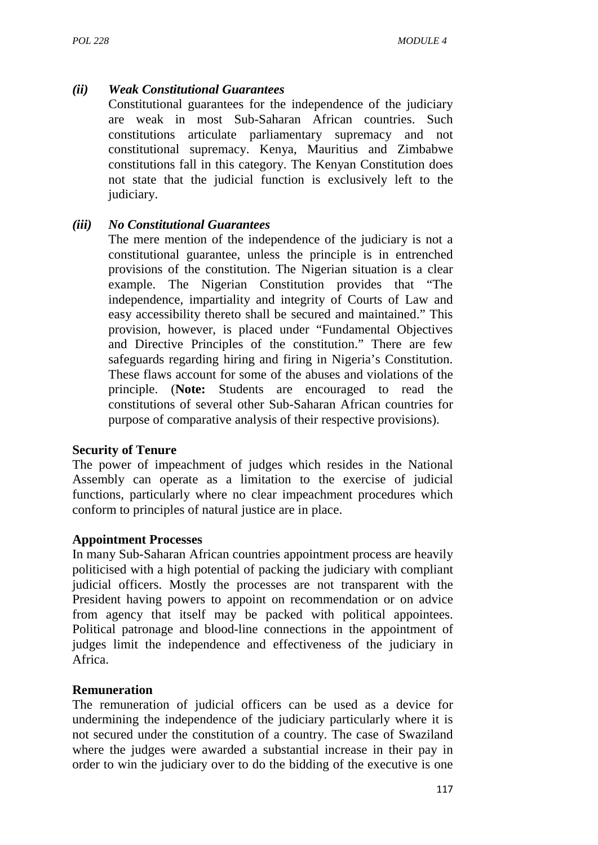#### *(ii) Weak Constitutional Guarantees*

Constitutional guarantees for the independence of the judiciary are weak in most Sub-Saharan African countries. Such constitutions articulate parliamentary supremacy and not constitutional supremacy. Kenya, Mauritius and Zimbabwe constitutions fall in this category. The Kenyan Constitution does not state that the judicial function is exclusively left to the judiciary.

#### *(iii) No Constitutional Guarantees*

The mere mention of the independence of the judiciary is not a constitutional guarantee, unless the principle is in entrenched provisions of the constitution. The Nigerian situation is a clear example. The Nigerian Constitution provides that "The independence, impartiality and integrity of Courts of Law and easy accessibility thereto shall be secured and maintained." This provision, however, is placed under "Fundamental Objectives and Directive Principles of the constitution." There are few safeguards regarding hiring and firing in Nigeria's Constitution. These flaws account for some of the abuses and violations of the principle. (**Note:** Students are encouraged to read the constitutions of several other Sub-Saharan African countries for purpose of comparative analysis of their respective provisions).

#### **Security of Tenure**

The power of impeachment of judges which resides in the National Assembly can operate as a limitation to the exercise of judicial functions, particularly where no clear impeachment procedures which conform to principles of natural justice are in place.

#### **Appointment Processes**

In many Sub-Saharan African countries appointment process are heavily politicised with a high potential of packing the judiciary with compliant judicial officers. Mostly the processes are not transparent with the President having powers to appoint on recommendation or on advice from agency that itself may be packed with political appointees. Political patronage and blood-line connections in the appointment of judges limit the independence and effectiveness of the judiciary in Africa.

#### **Remuneration**

The remuneration of judicial officers can be used as a device for undermining the independence of the judiciary particularly where it is not secured under the constitution of a country. The case of Swaziland where the judges were awarded a substantial increase in their pay in order to win the judiciary over to do the bidding of the executive is one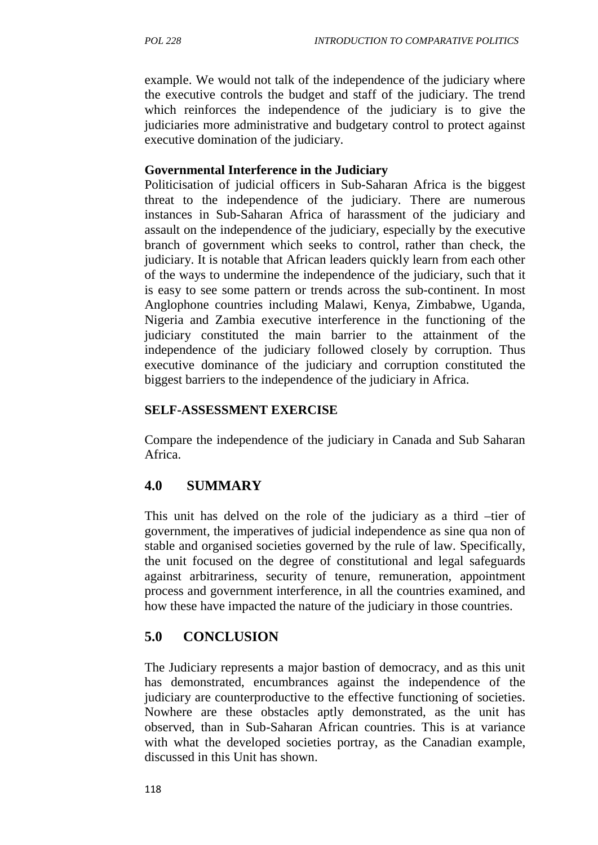example. We would not talk of the independence of the judiciary where the executive controls the budget and staff of the judiciary. The trend which reinforces the independence of the judiciary is to give the judiciaries more administrative and budgetary control to protect against executive domination of the judiciary.

#### **Governmental Interference in the Judiciary**

Politicisation of judicial officers in Sub-Saharan Africa is the biggest threat to the independence of the judiciary. There are numerous instances in Sub-Saharan Africa of harassment of the judiciary and assault on the independence of the judiciary, especially by the executive branch of government which seeks to control, rather than check, the judiciary. It is notable that African leaders quickly learn from each other of the ways to undermine the independence of the judiciary, such that it is easy to see some pattern or trends across the sub-continent. In most Anglophone countries including Malawi, Kenya, Zimbabwe, Uganda, Nigeria and Zambia executive interference in the functioning of the judiciary constituted the main barrier to the attainment of the independence of the judiciary followed closely by corruption. Thus executive dominance of the judiciary and corruption constituted the biggest barriers to the independence of the judiciary in Africa.

#### **SELF-ASSESSMENT EXERCISE**

Compare the independence of the judiciary in Canada and Sub Saharan Africa.

### **4.0 SUMMARY**

This unit has delved on the role of the judiciary as a third –tier of government, the imperatives of judicial independence as sine qua non of stable and organised societies governed by the rule of law. Specifically, the unit focused on the degree of constitutional and legal safeguards against arbitrariness, security of tenure, remuneration, appointment process and government interference, in all the countries examined, and how these have impacted the nature of the judiciary in those countries.

#### **5.0 CONCLUSION**

The Judiciary represents a major bastion of democracy, and as this unit has demonstrated, encumbrances against the independence of the judiciary are counterproductive to the effective functioning of societies. Nowhere are these obstacles aptly demonstrated, as the unit has observed, than in Sub-Saharan African countries. This is at variance with what the developed societies portray, as the Canadian example, discussed in this Unit has shown.